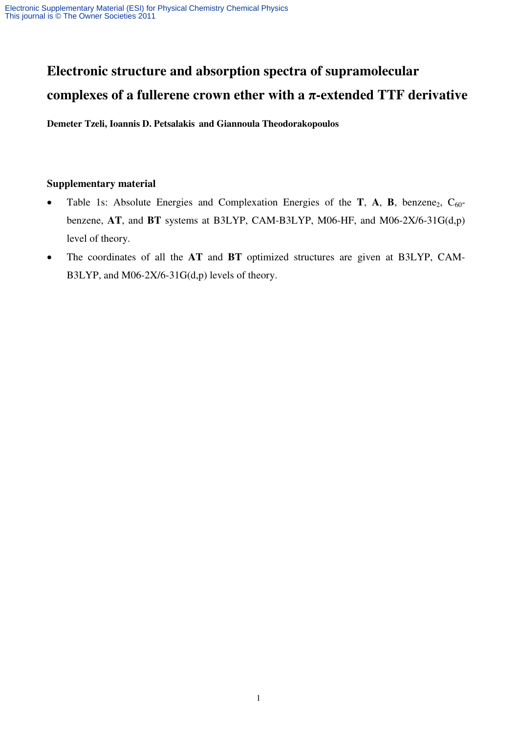# **Electronic structure and absorption spectra of supramolecular complexes of a fullerene crown ether with a** π**-extended TTF derivative**

**Demeter Tzeli, Ioannis D. Petsalakis and Giannoula Theodorakopoulos**

### **Supplementary material**

- Table 1s: Absolute Energies and Complexation Energies of the **T**, **A**, **B**, benzene<sub>2</sub>,  $C_{60}$ benzene, **AT**, and **BT** systems at B3LYP, CAM-B3LYP, M06-HF, and M06-2X/6-31G(d,p) level of theory.
- The coordinates of all the **AT** and **BT** optimized structures are given at B3LYP, CAM-B3LYP, and M06-2X/6-31G(d,p) levels of theory.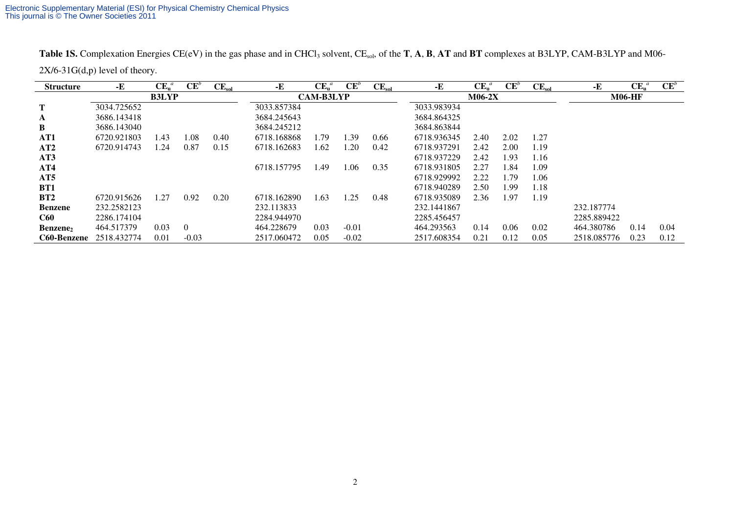Table 1S. Complexation Energies CE(eV) in the gas phase and in CHCl<sub>3</sub> solvent, CE<sub>sol</sub>, of the **T**, **A**, **B**, **AT** and **BT** complexes at B3LYP, CAM-B3LYP and M06- $2X/6-31G(d,p)$  level of theory.

| <b>Structure</b> | -Е          | $\mathbf{CE}_{\mathbf{u}}^{a}$ | $CE^b$   | $CE_{sol}$ | -E          | $\mathbf{CE}_{\mathbf{u}}^{a}$ | $\mathbf{CE}^{b}$ | $CE_{sol}$ | -E          | $\mathbf{CE}_{\mathbf{u}}^{a}$ | $CE^b$ | $CE_{sol}$ | -E          | $\mathbf{CE}_{\mathbf{u}}^{a}$ | $CE^b$ |
|------------------|-------------|--------------------------------|----------|------------|-------------|--------------------------------|-------------------|------------|-------------|--------------------------------|--------|------------|-------------|--------------------------------|--------|
|                  |             | <b>B3LYP</b>                   |          |            |             | <b>CAM-B3LYP</b>               |                   |            |             | $M06-2X$                       |        |            |             | <b>M06-HF</b>                  |        |
| T                | 3034.725652 |                                |          |            | 3033.857384 |                                |                   |            | 3033.983934 |                                |        |            |             |                                |        |
| A                | 3686.143418 |                                |          |            | 3684.245643 |                                |                   |            | 3684.864325 |                                |        |            |             |                                |        |
| B                | 3686.143040 |                                |          |            | 3684.245212 |                                |                   |            | 3684.863844 |                                |        |            |             |                                |        |
| AT1              | 6720.921803 | 1.43                           | 1.08     | 0.40       | 6718.168868 | 1.79                           | 1.39              | 0.66       | 6718.936345 | 2.40                           | 2.02   | 1.27       |             |                                |        |
| AT2              | 6720.914743 | 1.24                           | 0.87     | 0.15       | 6718.162683 | 1.62                           | 1.20              | 0.42       | 6718.937291 | 2.42                           | 2.00   | 1.19       |             |                                |        |
| AT3              |             |                                |          |            |             |                                |                   |            | 6718.937229 | 2.42                           | 1.93   | 1.16       |             |                                |        |
| AT4              |             |                                |          |            | 6718.157795 | 1.49                           | 1.06              | 0.35       | 6718.931805 | 2.27                           | 1.84   | 1.09       |             |                                |        |
| AT5              |             |                                |          |            |             |                                |                   |            | 6718.929992 | 2.22                           | 1.79   | 1.06       |             |                                |        |
| BT1              |             |                                |          |            |             |                                |                   |            | 6718.940289 | 2.50                           | 1.99   | 1.18       |             |                                |        |
| BT2              | 6720.915626 | 1.27                           | 0.92     | 0.20       | 6718.162890 | 1.63                           | 1.25              | 0.48       | 6718.935089 | 2.36                           | 1.97   | 1.19       |             |                                |        |
| <b>Benzene</b>   | 232.2582123 |                                |          |            | 232.113833  |                                |                   |            | 232.1441867 |                                |        |            | 232.187774  |                                |        |
| <b>C60</b>       | 2286.174104 |                                |          |            | 2284.944970 |                                |                   |            | 2285.456457 |                                |        |            | 2285.889422 |                                |        |
| Benzene,         | 464.517379  | 0.03                           | $\Omega$ |            | 464.228679  | 0.03                           | $-0.01$           |            | 464.293563  | 0.14                           | 0.06   | 0.02       | 464.380786  | 0.14                           | 0.04   |
| C60-Benzene      | 2518.432774 | 0.01                           | $-0.03$  |            | 2517.060472 | 0.05                           | $-0.02$           |            | 2517.608354 | 0.21                           | 0.12   | 0.05       | 2518.085776 | 0.23                           | 0.12   |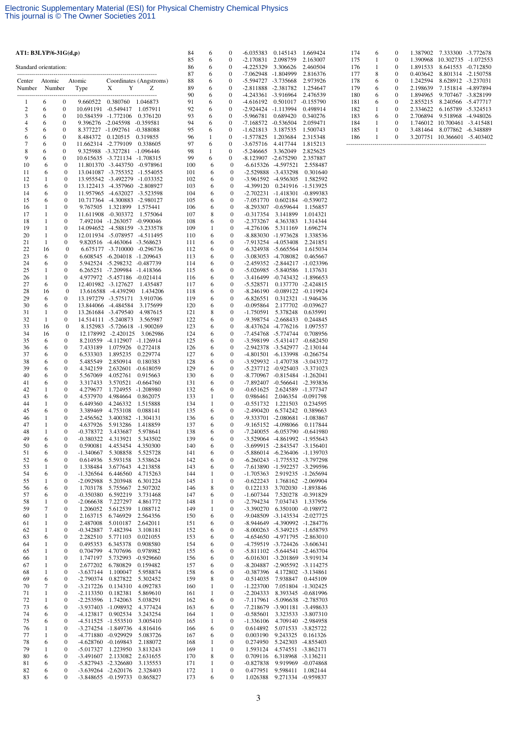| AT1: B3LYP/6-31G(d,p) |                   |                                      |                                            |                                                                |                              | 84         | 6                            | 0                                    | $-6.035383$                                | 0.145143                                                       | 1.669424                                 |
|-----------------------|-------------------|--------------------------------------|--------------------------------------------|----------------------------------------------------------------|------------------------------|------------|------------------------------|--------------------------------------|--------------------------------------------|----------------------------------------------------------------|------------------------------------------|
| Standard orientation: |                   |                                      |                                            |                                                                |                              | 85<br>86   | 6<br>6                       | $\boldsymbol{0}$<br>0                | $-2.170831$<br>-4.225329                   | 2.098759<br>3.306626                                           | 2.163007<br>2.460504                     |
|                       |                   |                                      |                                            |                                                                |                              | 87         | 6                            | $\boldsymbol{0}$                     | -7.062948 -1.804999                        |                                                                | 2.816376                                 |
| Center<br>Number      | Atomic<br>Number  |                                      | Atomic<br>Type                             | X<br>Y                                                         | Coordinates (Angstroms)<br>Z | 88<br>89   | 6<br>6                       | $\boldsymbol{0}$<br>0                | -5.594727<br>-2.811888 -2.381782           | -3.735668                                                      | 2.973926<br>1.254647                     |
|                       |                   |                                      |                                            |                                                                |                              | 90         | 6                            | 0                                    | -4.243361 -3.916964                        |                                                                | 2.476539                                 |
| 1                     | 6                 | $\bf{0}$                             | 9.660522                                   | 0.380760 1.046873                                              |                              | 91         | 6                            | 0                                    | -4.616192                                  | 0.501017                                                       | $-0.155790$                              |
| $\boldsymbol{2}$<br>3 | 6<br>6            | $\boldsymbol{0}$<br>$\boldsymbol{0}$ | 10.691191 -0.549417<br>10.584359 -1.772106 |                                                                | 1.057911<br>0.376120         | 92<br>93   | 6<br>6                       | 0<br>0                               | -2.924424 -1.113994<br>$-5.966781$         | 0.689420                                                       | 0.498914<br>0.340276                     |
| $\overline{4}$        | 6                 | $\boldsymbol{0}$                     |                                            | 9.396276 -2.045598 -0.359581                                   |                              | 94         | 6                            | 0                                    | $-7.168572 -0.536504$                      |                                                                | 2.059471                                 |
| 5                     | 6                 | $\boldsymbol{0}$                     | 8.377227 -1.092761                         |                                                                | -0.388088                    | 95         | 6                            | 0                                    | $-1.621813$                                | 3.187535                                                       | 1.500743                                 |
| 6<br>7                | 6<br>6            | $\boldsymbol{0}$<br>$\boldsymbol{0}$ | 8.484372<br>11.662314 -2.779109            | 0.120515                                                       | 0.319855<br>0.338605         | 96<br>97   | $\mathbf{1}$<br>6            | $\boldsymbol{0}$<br>0                | $-1.577825$<br>$-3.675716$                 | 1.203684<br>4.417744                                           | 2.315348<br>1.815213                     |
| 8                     | 6                 | $\boldsymbol{0}$                     |                                            | 9.325988 -3.327281 -1.096446                                   |                              | 98         | 1                            | $\boldsymbol{0}$                     | $-5.246665$                                | 3.362049                                                       | 2.825625                                 |
| 9<br>10               | 6<br>6            | 0<br>$\boldsymbol{0}$                |                                            | 10.615635 -3.721134 -1.708315<br>11.801370 -3.443750 -0.978961 |                              | 99<br>100  | 6<br>6                       | $\boldsymbol{0}$<br>$\boldsymbol{0}$ | -8.123907 -2.675290<br>-6.615326 -4.597521 |                                                                | 2.357887<br>2.558487                     |
| 11                    | 6                 | 0                                    |                                            | 13.041087 -3.755352 -1.554055                                  |                              | 101        | 6                            | $\boldsymbol{0}$                     |                                            | -2.529888 -3.433298                                            | 0.301640                                 |
| 12                    | 1                 | $\mathbf{0}$                         |                                            | 13.955542 -3.492279 -1.033352                                  |                              | 102        | 6                            | $\mathbf{0}$                         |                                            | -3.961592 -4.956305                                            | 1.582592                                 |
| 13<br>14              | 6<br>6            | 0<br>$\boldsymbol{0}$                |                                            | 13.122413 -4.357960 -2.808927<br>11.957965 -4.632027 -3.523598 |                              | 103<br>104 | 6<br>6                       | $\boldsymbol{0}$<br>$\boldsymbol{0}$ | -4.399120                                  | 0.241916<br>$-2.702231 -1.418301$                              | -1.513925<br>$-0.899383$                 |
| 15                    | 6                 | $\boldsymbol{0}$                     |                                            | 10.717364 -4.300883 -2.980127                                  |                              | 105        | 6                            | $\mathbf{0}$                         | $-7.051770$                                | 0.602184                                                       | $-0.539072$                              |
| 16<br>17              | 1<br>$\mathbf{1}$ | 0<br>$\boldsymbol{0}$                | 9.767505                                   | 1.321899<br>11.611908 -0.303372                                | 1.575441<br>1.575064         | 106<br>107 | 6<br>8                       | $\boldsymbol{0}$<br>$\boldsymbol{0}$ | $-8.293307$<br>$-0.317354$                 | $-0.659644$<br>3.141899                                        | 1.156857<br>1.014321                     |
| 18                    | 1                 | $\boldsymbol{0}$                     |                                            | 7.492104 -1.263057 -0.990046                                   |                              | 108        | 6                            | $\mathbf{0}$                         | $-2.373267$                                | 4.363383                                                       | 1.314344                                 |
| 19                    | $\mathbf{1}$      | 0                                    |                                            | 14.094652 -4.588159                                            | $-3.233578$                  | 109        | 1                            | $\boldsymbol{0}$                     | $-4.276106$                                | 5.311169                                                       | 1.696274                                 |
| 20<br>21              | $\mathbf{1}$<br>1 | $\boldsymbol{0}$<br>0                |                                            | 12.011934 -5.078957 -4.511495<br>9.820516 -4.463064 -3.568623  |                              | 110<br>111 | 6<br>6                       | $\mathbf{0}$<br>$\boldsymbol{0}$     |                                            | -8.883030 -1.973628<br>-7.913254 -4.053408                     | 1.338536<br>2.241851                     |
| 22                    | 16                | $\boldsymbol{0}$                     |                                            | 6.675177 -3.710000 -0.296736                                   |                              | 112        | 6                            | $\boldsymbol{0}$                     | $-6.324938$                                | -5.665564                                                      | 1.615034                                 |
| 23                    | 6                 | 0                                    |                                            | 6.608545 -6.204018 -1.209643                                   |                              | 113        | 6                            | $\mathbf{0}$                         |                                            | $-3.083053 - 4.708082$                                         | 0.465667                                 |
| 24<br>25              | 6<br>$\mathbf{1}$ | 0<br>0                               |                                            | 5.942524 -5.298232<br>6.265251 -7.209984                       | -0.487739<br>-1.418366       | 114<br>115 | 6<br>6                       | $\boldsymbol{0}$<br>$\boldsymbol{0}$ |                                            | -2.459352 -2.844217<br>-5.026985 -5.840586                     | $-1.023396$<br>1.137631                  |
| 26                    | 1                 | 0                                    |                                            | 4.977972 -5.457186 -0.021414                                   |                              | 116        | 6                            | $\boldsymbol{0}$                     |                                            | -3.416499 -0.743432 -1.896653                                  |                                          |
| 27<br>28              | 6<br>16           | 0<br>$\mathbf{0}$                    |                                            | 12.401982 -3.127627<br>13.616588 -4.439290                     | 1.435487<br>1.434206         | 117<br>118 | 6<br>6                       | $\boldsymbol{0}$<br>$\boldsymbol{0}$ | $-5.528571$                                | -8.246190 -0.089122 -0.119924                                  | 0.137770 -2.424815                       |
| 29                    | 6                 | 0                                    |                                            | 13.197279 -3.575171                                            | 3.910706                     | 119        | 6                            | $\mathbf{0}$                         | $-6.826551$                                |                                                                | 0.312321 -1.946436                       |
| 30                    | 6                 | 0                                    |                                            | 13.844066 -4.484584                                            | 3.175699                     | 120        | 6                            | $\boldsymbol{0}$                     | $-0.095864$                                | 2.177702                                                       | $-0.039627$                              |
| 31<br>32              | 1<br>1            | 0<br>0                               |                                            | 13.261684 -3.479540<br>14.514111 -5.240873                     | 4.987615<br>3.565987         | 121<br>122 | 8<br>6                       | $\mathbf{0}$<br>$\boldsymbol{0}$     | -1.750591                                  | 5.378248<br>-9.398754 -2.668433                                | 0.635991<br>0.244845                     |
| 33                    | 16                | $\boldsymbol{0}$                     |                                            | 8.152983 -5.726618                                             | -1.900269                    | 123        | 6                            | $\boldsymbol{0}$                     | $-8.437624$                                | -4.776216                                                      | 1.097557                                 |
| 34                    | 16                | $\mathbf{0}$                         |                                            | 12.178992 -2.420125                                            | 3.062986                     | 124        | 6                            | $\boldsymbol{0}$                     |                                            | -7.454768 -5.774744                                            | 0.708956                                 |
| 35<br>36              | 6<br>6            | 0<br>0                               | 7.433189                                   | 8.210559 -4.112907 -1.126914<br>1.075926                       | 0.272418                     | 125<br>126 | 6<br>6                       | $\boldsymbol{0}$<br>$\boldsymbol{0}$ |                                            | -3.598199 -5.431417<br>-2.942378 -3.542977                     | $-0.682450$<br>$-2.130144$               |
| 37                    | 6                 | 0                                    | 6.533303                                   | 1.895235                                                       | 0.229774                     | 127        | 6                            | $\boldsymbol{0}$                     |                                            | -4.801501 -6.133998                                            | $-0.266754$                              |
| 38<br>39              | 6<br>6            | $\boldsymbol{0}$<br>0                | 5.485549<br>4.342159                       | 2.850914<br>2.632601                                           | 0.180383<br>$-0.618059$      | 128<br>129 | 6<br>6                       | $\boldsymbol{0}$<br>$\boldsymbol{0}$ |                                            | -3.929932 -1.470738<br>-5.237712 -0.925403                     | $-3.043372$<br>-3.371023                 |
| 40                    | 6                 | 0                                    | 5.567069                                   | 4.052761                                                       | 0.915663                     | 130        | 6                            | $\boldsymbol{0}$                     |                                            | -8.770967 -0.815484 -1.262041                                  |                                          |
| 41                    | 6                 | $\boldsymbol{0}$                     | 3.317433                                   | 3.570521                                                       | $-0.664760$                  | 131        | 6                            | $\boldsymbol{0}$                     |                                            | $-7.892407 -0.566641$                                          | -2.393836                                |
| 42<br>43              | $\mathbf{1}$<br>6 | $\boldsymbol{0}$<br>0                | 4.279677<br>4.537970                       | 1.724955<br>4.984664                                           | $-1.208980$<br>0.862075      | 132<br>133 | 6<br>1                       | $\mathbf{0}$<br>$\boldsymbol{0}$     | $-0.651625$<br>0.986461                    |                                                                | 2.624589 -1.377347<br>2.046354 -0.091798 |
| 44                    | $\mathbf{1}$      | $\boldsymbol{0}$                     | 6.449360                                   | 4.246332                                                       | 1.515888                     | 134        | $\mathbf{1}$                 | $\boldsymbol{0}$                     | $-0.551732$                                | 1.221503                                                       | 0.234595                                 |
| 45<br>46              | 6<br>1            | 0<br>0                               | 3.389469<br>2.456562                       | 4.753108<br>3.400382                                           | 0.088141<br>$-1.304131$      | 135<br>136 | 6<br>6                       | $\boldsymbol{0}$<br>$\boldsymbol{0}$ | $-2.490420$                                | 6.574242<br>-9.333701 -2.080681                                | 0.389663<br>$-1.083867$                  |
| 47                    | 1                 | $\boldsymbol{0}$                     | 4.637926                                   | 5.913286                                                       | 1.418859                     | 137        | 6                            | $\boldsymbol{0}$                     |                                            | -9.165152 -4.098066                                            | 0.117844                                 |
| 48                    | 1                 | 0                                    | $-0.378372$                                | 3.433687                                                       | 5.978641                     | 138        | 6                            | $\mathbf{0}$                         |                                            | -7.240055 -6.053790                                            | $-0.641980$                              |
| 49<br>50              | 6<br>6            | 0<br>0                               | $-0.380322$<br>0.590081                    | 4.313921<br>4.453454                                           | 5.343502<br>4.350300         | 139<br>140 | 6<br>6                       | $\boldsymbol{0}$<br>$\boldsymbol{0}$ |                                            | -3.529064 -4.861992 -1.955643<br>-3.699915 -2.843547 -3.156401 |                                          |
| 51                    | 6                 | 0                                    | $-1.340667$                                | 5.308858                                                       | 5.525728                     | 141        | 6                            | $\boldsymbol{0}$                     |                                            | -5.886014 -6.236406 -1.139703                                  |                                          |
| 52<br>53              | 6<br>1            | $\boldsymbol{0}$<br>0                | 0.614936<br>1.338484                       | 5.593158<br>3.677643                                           | 3.538624<br>4.213858         | 142<br>143 | 6<br>6                       | $\boldsymbol{0}$<br>$\boldsymbol{0}$ |                                            | -6.260243 -1.775532 -3.797298<br>-7.613890 -1.592257 -3.299596 |                                          |
| 54                    | 6                 | 0                                    | $-1.326564$                                | 6.446560                                                       | 4.715263                     | 144        | $\mathbf{1}$                 | $\boldsymbol{0}$                     | $-1.705363$                                |                                                                | 2.919235 -1.265694                       |
| 55                    | $\mathbf{1}$      | $\boldsymbol{0}$                     | $-2.092988$                                | 5.203948                                                       | 6.301224                     | 145        | $\mathbf{1}$                 | $\boldsymbol{0}$                     | $-0.622243$                                |                                                                | 1.768162 -2.069904                       |
| 56<br>57              | 6<br>6            | 0<br>0                               | 1.703178<br>$-0.350380$                    | 5.755667<br>6.592219                                           | 2.507202<br>3.731468         | 146<br>147 | 8<br>6                       | $\boldsymbol{0}$<br>$\boldsymbol{0}$ | 0.122133<br>$-1.607344$                    | 7.520278                                                       | 3.702030 -1.893846<br>$-0.391829$        |
| 58                    | 1                 | 0                                    | $-2.066638$                                | 7.227297                                                       | 4.861772                     | 148        | 1                            | $\boldsymbol{0}$                     | $-2.794234$                                | 7.034743                                                       | 1.337956                                 |
| 59<br>60              | 7<br>1            | 0<br>0                               | 1.206052<br>2.163715                       | 5.612539<br>6.746929                                           | 1.088712<br>2.564356         | 149<br>150 | $\mathbf{1}$<br>6            | $\boldsymbol{0}$<br>$\boldsymbol{0}$ | $-3.390270$<br>-9.048509                   | -3.143534 -2.027725                                            | 6.350100 -0.198972                       |
| 61                    | 1                 | 0                                    | 2.487008                                   | 5.010187                                                       | 2.642011                     | 151        | 6                            | $\boldsymbol{0}$                     |                                            | -8.944649 -4.390992 -1.284776                                  |                                          |
| 62                    | 1                 | 0                                    | $-0.342887$                                | 7.482394                                                       | 3.108181                     | 152        | 6                            | $\boldsymbol{0}$                     |                                            | $-8.000263$ $-5.349215$ $-1.658793$                            |                                          |
| 63<br>64              | 6<br>1            | 0<br>0                               | 2.282510<br>0.495353                       | 5.771103<br>6.345378                                           | 0.021055<br>0.908580         | 153<br>154 | 6<br>6                       | $\boldsymbol{0}$<br>$\boldsymbol{0}$ |                                            | -4.654650 -4.971795<br>-4.759519 -3.724426 -3.606341           | $-2.863010$                              |
| 65                    | 1                 | 0                                    | 0.704799                                   | 4.707696                                                       | 0.978982                     | 155        | 6                            | $\boldsymbol{0}$                     |                                            | $-5.811102 - 5.644541$                                         | $-2.463704$                              |
| 66<br>67              | $\mathbf{1}$<br>1 | 0<br>0                               | 1.747197<br>2.677202                       | 5.732993<br>6.780829                                           | $-0.929660$<br>0.159482      | 156<br>157 | 6<br>6                       | $\boldsymbol{0}$<br>$\boldsymbol{0}$ |                                            | $-6.016301 -3.201869$<br>-8.204887 -2.905592 -3.114275         | -3.919134                                |
| 68                    | $\mathbf{1}$      | 0                                    | $-3.637144$                                | 1.100047                                                       | 5.958874                     | 158        | 6                            | $\boldsymbol{0}$                     | $-0.387396$                                | 4.172802                                                       | $-3.134861$                              |
| 69                    | 6                 | 0                                    | $-2.790374$                                | 0.827822                                                       | 5.302452                     | 159        | 8                            | $\boldsymbol{0}$                     | $-0.514035$                                | 7.938847                                                       | 0.445109                                 |
| 70<br>71              | 7<br>1            | 0<br>0                               | $-3.217226$<br>$-2.113350$                 | 0.134310<br>0.182381                                           | 4.092783<br>5.869610         | 160<br>161 | 1<br>$\mathbf{1}$            | $\boldsymbol{0}$<br>$\boldsymbol{0}$ | $-1.223700$<br>$-2.204333$                 |                                                                | 7.051804 -1.302425<br>8.393345 -0.681996 |
| 72                    | $\mathbf{1}$      | 0                                    | $-2.253596$                                | 1.742063                                                       | 5.038291                     | 162        | 6                            | $\boldsymbol{0}$                     | -7.117961                                  |                                                                | -5.096638 -2.785703                      |
| 73                    | 6                 | $\boldsymbol{0}$                     | $-3.937403$                                | $-1.098932$                                                    | 4.377424                     | 163        | 6                            | $\boldsymbol{0}$                     | $-7.218679$                                |                                                                | -3.901181 -3.498633                      |
| 74<br>75              | 6<br>6            | 0<br>0                               | $-4.123817$                                | 0.902534<br>-4.511525 -1.553510                                | 3.243254<br>3.005410         | 164<br>165 | 1<br>$\mathbf{1}$            | $\boldsymbol{0}$<br>$\boldsymbol{0}$ | $-0.585601$<br>$-1.336106$                 |                                                                | 3.323533 -3.807310<br>4.709140 -2.984958 |
| 76                    | 1                 | 0                                    |                                            | -3.274254 -1.849736                                            | 4.816416                     | 166        | 6                            | $\boldsymbol{0}$                     | 0.614892                                   |                                                                | 5.071533 -3.825722                       |
| 77<br>78              | $\mathbf{1}$<br>6 | 0<br>0                               | -4.771880<br>-4.628760 -0.169843           | $-0.929929$                                                    | 5.083726<br>2.188072         | 167<br>168 | 6<br>$\mathbf{1}$            | $\boldsymbol{0}$<br>$\boldsymbol{0}$ | 0.003190<br>0.274950                       | 9.243325                                                       | 0.161326<br>5.242303 -4.855403           |
| 79                    | 1                 | 0                                    | $-5.017327$                                | 1.223950                                                       | 3.813243                     | 169        | $\mathbf{1}$                 | $\boldsymbol{0}$                     | 1.593124                                   | 4.574551                                                       | -3.862171                                |
| 80                    | 6                 | 0                                    | $-3.491607$                                | 2.133082                                                       | 2.631655                     | 170        | 8                            | $\boldsymbol{0}$                     | 0.709116                                   | 6.318968                                                       | $-3.136211$                              |
| 81<br>82              | 6<br>6            | 0<br>0                               | $-3.639264$ $-2.620176$                    | -5.827943 -2.326680                                            | 3.135553<br>2.328403         | 171<br>172 | $\mathbf{1}$<br>$\mathbf{1}$ | $\boldsymbol{0}$<br>$\boldsymbol{0}$ | $-0.827838$<br>0.477951                    | 9.598411                                                       | 9.919969 -0.074868<br>1.082144           |
| 83                    | 6                 | 0                                    | -3.848655                                  | $-0.159733$                                                    | 0.865827                     | 173        | 6                            | 0                                    | 1.026388                                   | 9.271334                                                       | $-0.959837$                              |

| 174 | 6 | 0        | 1.387902 | 7.333300  | $-3.772678$ |
|-----|---|----------|----------|-----------|-------------|
| 175 | 1 | $\Omega$ | 1.390968 | 10.302735 | $-1.072553$ |
| 176 | 1 | 0        | 1.891533 | 8.641553  | $-0.712850$ |
| 177 | 8 | $\theta$ | 0.403642 | 8.801314  | $-2.150758$ |
| 178 | 6 | $\theta$ | 1.242594 | 8.628912  | $-3.237031$ |
| 179 | 6 | $\theta$ | 2.198639 | 7.151814  | -4.897894   |
| 180 | 6 | $\theta$ | 1.894965 | 9.707467  | $-3.828199$ |
| 181 | 6 | $\theta$ | 2.855215 | 8.240566  | $-5.477717$ |
| 182 | 1 | $\Omega$ | 2.334622 | 6.165789  | $-5.324513$ |
| 183 | 6 | $\theta$ | 2.706894 | 9.518968  | $-4.948026$ |
| 184 | 1 | $\Omega$ | 1.746012 | 10.700461 | $-3.415481$ |
| 185 |   | $\Omega$ | 3.481464 | 8.077862  | $-6.348889$ |
| 186 |   | 0        | 3.207751 | 10.366601 | $-5.403402$ |
|     |   |          |          |           |             |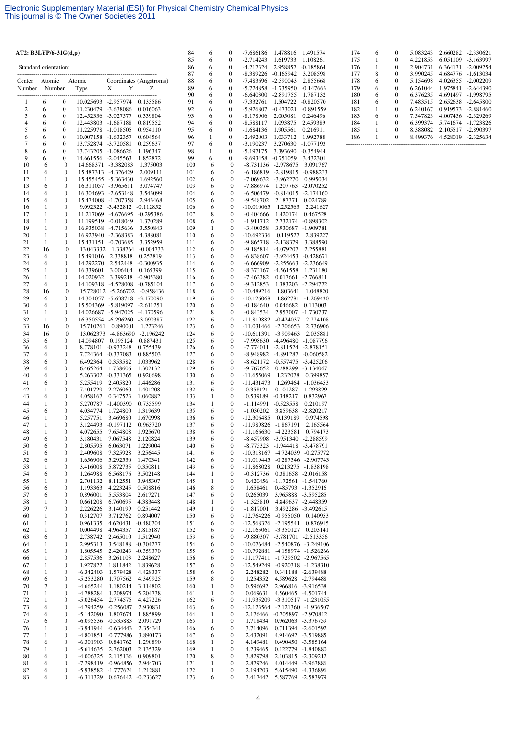| AT2: $B3LYP/6-31G(d,p)$ |                   |                                      |                                  |                                                                |                         | 84         | 6                            | 0                                    | -7.686186                                    | 1.478816                                                       | 1.491574                                                         |
|-------------------------|-------------------|--------------------------------------|----------------------------------|----------------------------------------------------------------|-------------------------|------------|------------------------------|--------------------------------------|----------------------------------------------|----------------------------------------------------------------|------------------------------------------------------------------|
| Standard orientation:   |                   |                                      |                                  |                                                                |                         | 85<br>86   | 6<br>6                       | 0<br>0                               | $-2.714243$<br>$-4.217324$                   | 1.619733<br>2.958857                                           | 1.108261<br>-0.185864                                            |
|                         |                   |                                      |                                  |                                                                |                         | 87         | 6                            | $\mathbf{0}$                         | $-8.389226$                                  | -0.165942                                                      | 3.208598                                                         |
| Center                  | Atomic            |                                      | Atomic                           |                                                                | Coordinates (Angstroms) | 88         | 6                            | $\boldsymbol{0}$                     | -7.483696                                    | -2.390043                                                      | 2.855668                                                         |
| Number                  | Number            |                                      | Type                             | X<br>Y                                                         | Z                       | 89<br>90   | 6<br>6                       | 0<br>$\mathbf{0}$                    | -5.724858 -1.735950<br>-6.640300 -2.891755   |                                                                | $-0.147663$<br>1.787132                                          |
| 1                       | 6                 | $\boldsymbol{0}$                     |                                  | 10.025693 -2.957974                                            | 0.133586                | 91         | 6                            | $\boldsymbol{0}$                     | $-7.332761$                                  | 1.504722                                                       | $-0.820570$                                                      |
| $\overline{c}$          | 6                 | $\boldsymbol{0}$                     | 11.230479 -3.638086              |                                                                | 0.016063                | 92         | 6                            | 0                                    | $-5.926807$                                  | $-0.473021$                                                    | $-0.891559$                                                      |
| 3<br>$\overline{4}$     | 6<br>6            | $\boldsymbol{0}$<br>$\boldsymbol{0}$ | 12.452336 -3.027577<br>12.443803 | $-1.687188$                                                    | 0.339804<br>0.819552    | 93<br>94   | 6<br>6                       | $\mathbf{0}$<br>$\boldsymbol{0}$     | $-8.178906$<br>$-8.588117$                   | 2.005081<br>1.093875                                           | 0.246496<br>2.459389                                             |
| 5                       | 6                 | $\boldsymbol{0}$                     | 11.225978 -1.018505              |                                                                | 0.954110                | 95         | 6                            | 0                                    | -1.684136                                    | 1.905561                                                       | 0.216911                                                         |
| 6                       | 6                 | $\boldsymbol{0}$                     | 10.007158                        | -1.632357                                                      | 0.604564                | 96         | 1                            | $\mathbf{0}$                         | $-2.492003$                                  | 1.033712                                                       | 1.992788                                                         |
| 7<br>8                  | 6<br>6            | $\boldsymbol{0}$<br>$\boldsymbol{0}$ | 13.752874<br>13.743205 -1.086626 | -3.720581                                                      | 0.259637<br>1.196347    | 97<br>98   | 6<br>1                       | $\boldsymbol{0}$<br>0                | $-3.190237$<br>$-5.197175$                   | 3.270630<br>3.393690                                           | $-1.077193$<br>$-0.354944$                                       |
| 9                       | 6                 | $\boldsymbol{0}$                     | 14.661556 -2.045563              |                                                                | 1.852872                | 99         | 6                            | 0                                    | $-9.693458$                                  | $-0.751059$                                                    | 3.432301                                                         |
| 10                      | 6                 | $\boldsymbol{0}$                     |                                  | 14.668371 -3.382083                                            | 1.375003                | 100        | 6                            | $\boldsymbol{0}$                     |                                              | -8.731136 -2.978675                                            | 3.091767                                                         |
| 11<br>12                | 6<br>1            | $\boldsymbol{0}$<br>$\boldsymbol{0}$ |                                  | 15.487313 -4.326429<br>15.455455 -5.363430                     | 2.009111<br>1.692560    | 101<br>102 | 6<br>6                       | 0<br>$\mathbf{0}$                    |                                              | -6.186819 -2.819815 -0.988233<br>-7.069632 -3.962270           | 0.995034                                                         |
| 13                      | 6                 | $\boldsymbol{0}$                     |                                  | 16.311057 -3.965611                                            | 3.074747                | 103        | 6                            | $\boldsymbol{0}$                     | -7.886974                                    |                                                                | 1.207763 -2.070252                                               |
| 14                      | 6                 | $\boldsymbol{0}$                     |                                  | 16.304693 -2.653148                                            | 3.543099                | 104        | 6                            | 0                                    |                                              | $-6.506479$ $-0.814015$ $-2.174160$                            |                                                                  |
| 15<br>16                | 6<br>1            | $\boldsymbol{0}$<br>$\boldsymbol{0}$ |                                  | 15.474008 -1.707358<br>9.092322 -3.452812 -0.112852            | 2.943468                | 105<br>106 | 6<br>6                       | 0<br>0                               | -9.548702<br>$-10.010065$                    | 2.187371<br>1.252563                                           | 0.024789<br>2.241627                                             |
| 17                      | 1                 | $\boldsymbol{0}$                     |                                  | 11.217069 -4.676695 -0.295386                                  |                         | 107        | 8                            | 0                                    | $-0.404666$                                  | 1.420174                                                       | 0.467528                                                         |
| 18                      | $\mathbf{1}$      | $\boldsymbol{0}$                     |                                  | 11.199519 -0.018049                                            | 1.370289                | 108        | 6                            | 0                                    | -1.911712                                    |                                                                | 2.732174 -0.898302                                               |
| 19<br>20                | 1<br>$\mathbf{1}$ | $\boldsymbol{0}$<br>$\boldsymbol{0}$ |                                  | 16.935038 -4.715636<br>16.923940 -2.368383                     | 3.550843<br>4.388081    | 109<br>110 | 1<br>6                       | 0<br>$\boldsymbol{0}$                | $-3.400358$<br>-10.692336                    | 0.119527                                                       | 3.930687 -1.909781<br>2.839227                                   |
| 21                      | 1                 | $\boldsymbol{0}$                     |                                  | 15.431151 -0.703685                                            | 3.352959                | 111        | 6                            | $\boldsymbol{0}$                     |                                              | -9.865718 -2.138379                                            | 3.388590                                                         |
| 22                      | 16                | $\mathbf{0}$                         | 13.043332                        | 1.338764                                                       | $-0.004733$             | 112        | 6                            | 0                                    |                                              | -9.185814 -4.079207                                            | 2.255881                                                         |
| 23<br>24                | 6<br>6            | $\boldsymbol{0}$<br>$\boldsymbol{0}$ | 15.491016                        | 2.338818                                                       | 0.252819                | 113        | 6<br>6                       | 0<br>$\boldsymbol{0}$                |                                              | -6.838607 -3.924453                                            | $-0.428671$                                                      |
| 25                      | 1                 | $\boldsymbol{0}$                     | 14.292270<br>16.339601           | 2.542448<br>3.006404                                           | -0.300935<br>0.165399   | 114<br>115 | 6                            | 0                                    | $-8.373167$                                  | -6.666909 -2.255663<br>$-4.561558$                             | -2.236649<br>1.231180                                            |
| 26                      | $\mathbf{1}$      | $\boldsymbol{0}$                     | 14.020932                        |                                                                | 3.399218 -0.905380      | 116        | 6                            | 0                                    | -7.462382                                    |                                                                | 0.017661 -2.766811                                               |
| 27                      | 6                 | $\boldsymbol{0}$                     | 14.109318                        | -4.528008 -0.785104                                            |                         | 117        | 6                            | $\boldsymbol{0}$                     | $-9.312853$                                  |                                                                | 1.383203 -2.294772                                               |
| 28<br>29                | 16<br>6           | $\bf{0}$<br>$\boldsymbol{0}$         |                                  | 15.728012 -5.266702 -0.958436<br>14.304057 -5.638718 -3.170090 |                         | 118<br>119 | 6<br>6                       | 0<br>$\boldsymbol{0}$                | $-10.489216$<br>$-10.126068$                 | 1.803641<br>1.862781                                           | 1.048820<br>-1.269430                                            |
| 30                      | 6                 | $\boldsymbol{0}$                     |                                  | 15.504369 -5.819097 -2.611251                                  |                         | 120        | 6                            | 0                                    | $-0.184640$                                  | 0.046682                                                       | 0.113003                                                         |
| 31                      | 1                 | $\boldsymbol{0}$                     | 14.026687                        | -5.947025                                                      | -4.170596               | 121        | 8                            | 0                                    | $-0.843534$                                  |                                                                | 2.957007 -1.730737                                               |
| 32<br>33                | 1<br>16           | $\boldsymbol{0}$<br>$\boldsymbol{0}$ | 15.710261                        | 16.350554 -6.296260 -3.090387<br>0.890001                      | 1.223246                | 122<br>123 | 6<br>6                       | $\boldsymbol{0}$<br>0                | -11.819882 -0.424037<br>-11.031466 -2.706653 |                                                                | 2.224108<br>2.736906                                             |
| 34                      | 16                | $\boldsymbol{0}$                     | 13.062373                        |                                                                | -4.863690 -2.196242     | 124        | 6                            | 0                                    | -10.611391 -3.909463                         |                                                                | 2.035881                                                         |
| 35                      | 6                 | 0                                    | 14.094807                        | 0.195124                                                       | 0.887431                | 125        | 6                            | 0                                    |                                              | -7.998630 -4.496480 -1.087796                                  |                                                                  |
| 36                      | 6                 | $\boldsymbol{0}$                     | 8.778101                         | $-0.933248$                                                    | 0.755439                | 126        | 6                            | 0                                    |                                              | -7.774011 -2.811524                                            | $-2.878151$                                                      |
| 37<br>38                | 6<br>6            | $\boldsymbol{0}$<br>$\boldsymbol{0}$ | 7.724364<br>6.492364             | $-0.337083$<br>0.353582                                        | 0.885503<br>1.033962    | 127<br>128 | 6<br>6                       | $\boldsymbol{0}$<br>$\boldsymbol{0}$ |                                              | -8.948982 -4.891287<br>-8.621172 -0.557475                     | $-0.060582$<br>$-3.425206$                                       |
| 39                      | 6                 | $\boldsymbol{0}$                     | 6.465264                         | 1.738606                                                       | 1.302132                | 129        | 6                            | 0                                    | -9.767652                                    |                                                                | 0.288299 -3.134067                                               |
| 40                      | 6                 | $\boldsymbol{0}$                     | 5.263302                         | $-0.331365$                                                    | 0.920698                | 130        | 6                            | 0                                    | $-11.655069$                                 | 1.232078                                                       | 0.399857                                                         |
| 41<br>42                | 6<br>$\mathbf{1}$ | $\boldsymbol{0}$<br>$\boldsymbol{0}$ | 5.255419<br>7.401729             | 2.405820<br>2.276060                                           | 1.446286<br>1.401208    | 131<br>132 | 6<br>6                       | 0<br>0                               | $-11.431473$                                 | 1.269464<br>0.358121 -0.101287                                 | -1.036453<br>$-1.293829$                                         |
| 43                      | 6                 | $\boldsymbol{0}$                     | 4.058167                         | 0.347523                                                       | 1.060882                | 133        | 1                            | $\boldsymbol{0}$                     |                                              | 0.539189 -0.348217                                             | 0.832967                                                         |
| 44                      | 1                 | $\boldsymbol{0}$                     | 5.270787                         | $-1.400390$                                                    | 0.735599                | 134        | 1                            | 0                                    | -1.114991                                    | $-0.523558$                                                    | 0.210197                                                         |
| 45<br>46                | 6<br>1            | $\boldsymbol{0}$<br>$\boldsymbol{0}$ | 4.034774<br>5.257751             | 1.724800<br>3.469680                                           | 1.319639<br>1.670998    | 135<br>136 | 6<br>6                       | 0<br>0                               | $-1.030202$<br>$-12.306485$                  | 3.859638<br>0.139189                                           | $-2.820217$<br>0.974598                                          |
| 47                      | 1                 | $\boldsymbol{0}$                     | 3.124493                         | $-0.197112$                                                    | 0.963720                | 137        | 6                            | 0                                    | -11.989826 -1.867191                         |                                                                | 2.165564                                                         |
| 48                      | 1                 | $\mathbf{0}$                         | 4.072655                         | 7.654808                                                       | 1.925670                | 138        | 6                            | $\boldsymbol{0}$                     | $-11.166630 -4.223581$                       |                                                                | 0.794173                                                         |
| 49<br>50                | 6<br>6            | $\boldsymbol{0}$<br>$\boldsymbol{0}$ | 3.180431<br>2.805595             | 7.067548<br>6.063071                                           | 2.120824<br>1.229004    | 139<br>140 | 6<br>6                       | 0<br>0                               |                                              | -8.457908 -3.951340 -2.288599<br>-8.775323 -1.944418 -3.478791 |                                                                  |
| 51                      | 6                 | 0                                    | 2.409608                         | 7.325928                                                       | 3.256445                | 141        | 6                            | 0                                    |                                              |                                                                | -10.318167 -4.724039 -0.275772                                   |
| 52                      | 6                 | 0                                    | 1.656906                         | 5.292530                                                       | 1.470341                | 142        | 6                            | 0                                    |                                              |                                                                | -11.019445 -0.287346 -2.907743                                   |
| 53<br>54                | 1<br>6            | 0<br>0                               | 3.416008<br>1.264988             | 5.872735<br>6.568176                                           | 0.350811<br>3.502148    | 143<br>144 | 6<br>1                       | 0<br>0                               | $-11.868028$<br>-0.312736                    |                                                                | 0.213275 -1.838198<br>0.381658 -2.016158                         |
| 55                      | 1                 | 0                                    | 2.701132                         | 8.112551                                                       | 3.945307                | 145        | 1                            | 0                                    |                                              | 0.420456 -1.172561 -1.541760                                   |                                                                  |
| 56                      | 6                 | 0                                    | 1.193363                         | 4.223245                                                       | 0.508816                | 146        | 8                            | 0                                    | 1.658461                                     |                                                                | 0.485793 -1.352916                                               |
| 57<br>58                | 6<br>1            | 0<br>0                               | 0.896001<br>0.661208             | 5.553804<br>6.760695                                           | 2.617271<br>4.383448    | 147<br>148 | 6<br>$\mathbf{1}$            | 0<br>0                               | 0.265039<br>-1.323810                        |                                                                | 3.965888 -3.595285<br>4.849637 -2.448359                         |
| 59                      | 7                 | $\boldsymbol{0}$                     | 2.226226                         | 3.140199                                                       | 0.251442                | 149        | $\mathbf{1}$                 | 0                                    | $-1.817001$                                  |                                                                | 3.492286 -3.492615                                               |
| 60                      | 1                 | 0                                    | 0.312707                         | 3.712762                                                       | 0.894007                | 150        | 6                            | 0                                    | $-12.764226$ $-0.955050$                     |                                                                | 0.140953                                                         |
| 61<br>62                | $\mathbf{1}$<br>1 | $\boldsymbol{0}$<br>$\boldsymbol{0}$ | 0.961335<br>0.004498             | 4.620431<br>4.964357                                           | $-0.480704$<br>2.815187 | 151<br>152 | 6<br>6                       | $\boldsymbol{0}$<br>0                | -12.568326 -2.195541<br>-12.165061 -3.350127 |                                                                | 0.876915<br>0.203141                                             |
| 63                      | 6                 | 0                                    | 2.738742                         | 2.465010                                                       | 1.512940                | 153        | 6                            | 0                                    |                                              | -9.880307 -3.781701 -2.513356                                  |                                                                  |
| 64                      | $\mathbf{1}$      | 0                                    | 2.995313                         | 3.548188 -0.304277                                             |                         | 154        | 6                            | 0                                    |                                              |                                                                | -10.076484 -2.540876 -3.249106                                   |
| 65<br>66                | $\mathbf{1}$<br>1 | 0<br>$\boldsymbol{0}$                | 1.805545<br>2.857536             | 2.420243 -0.359370<br>3.261103                                 | 2.248627                | 155<br>156 | 6<br>6                       | 0<br>0                               |                                              |                                                                | -10.792881 -4.158974 -1.526266<br>-11.177411 -1.729502 -2.967565 |
| 67                      | $\mathbf{1}$      | 0                                    | 1.927822                         | 1.811842                                                       | 1.839628                | 157        | 6                            | $\mathbf{0}$                         |                                              |                                                                | -12.549249 -0.920318 -1.238310                                   |
| 68                      | 1                 | 0                                    | $-6.342403$                      | 1.579428                                                       | 4.428337                | 158        | 6                            | 0                                    | 2.248282                                     |                                                                | 0.341188 -2.639488                                               |
| 69                      | 6                 | $\boldsymbol{0}$                     | $-5.253280$                      | 1.707562                                                       | 4.349925                | 159        | 8                            | 0                                    | 1.254352                                     |                                                                | 4.589628 -2.794488                                               |
| 70<br>71                | 7<br>1            | 0<br>0                               | $-4.665244$<br>-4.788284         | 1.180214<br>1.208974                                           | 3.114802<br>5.204738    | 160<br>161 | 1<br>$\mathbf{1}$            | 0<br>0                               | 0.596692<br>0.069631                         |                                                                | 2.966816 -3.916538<br>4.560465 -4.501744                         |
| 72                      | $\mathbf{1}$      | $\boldsymbol{0}$                     | $-5.026454$                      | 2.774575                                                       | 4.427226                | 162        | 6                            | 0                                    |                                              |                                                                | -11.935209 -3.310517 -1.231055                                   |
| 73                      | 6                 | 0                                    | -4.794259                        | $-0.256087$                                                    | 2.930831                | 163        | 6                            | 0                                    |                                              |                                                                | -12.123564 -2.121360 -1.936507                                   |
| 74<br>75                | 6<br>6            | 0<br>0                               | $-5.142090$<br>$-6.095536$       | 1.807674<br>$-0.535883$                                        | 1.885899<br>2.091729    | 164<br>165 | $\mathbf{1}$<br>$\mathbf{1}$ | 0<br>0                               | 1.718434                                     | 2.176466 -0.705897 -2.970812                                   | 0.962063 -3.376759                                               |
| 76                      | 1                 | 0                                    | $-3.941944$                      | $-0.634443$                                                    | 2.354341                | 166        | 6                            | 0                                    | 3.714096                                     |                                                                | 0.711394 -2.601592                                               |
| 77                      | 1                 | 0                                    | -4.801851                        | $-0.777986$                                                    | 3.890173                | 167        | 6                            | 0                                    | 2.432091                                     |                                                                | 4.914692 -3.519885                                               |
| 78                      | 6                 | 0                                    | $-6.301903$                      | 0.841762                                                       | 1.290890                | 168        | $\mathbf{1}$                 | 0                                    | 4.149481                                     |                                                                | 0.490450 -3.585164                                               |
| 79<br>80                | 1<br>6            | 0<br>$\boldsymbol{0}$                | $-5.614635$<br>$-4.006325$       | 2.762003<br>2.115136                                           | 2.135329<br>0.909801    | 169<br>170 | 1<br>8                       | 0<br>0                               | 4.239465<br>3.829798                         |                                                                | 0.122779 -1.840880<br>2.103815 -2.309212                         |
| 81                      | 6                 | 0                                    | -7.298419                        | $-0.964856$                                                    | 2.944703                | 171        | $\mathbf{1}$                 | 0                                    | 2.879246                                     |                                                                | 4.014449 -3.963886                                               |
| 82                      | 6                 | 0                                    | -5.938582                        | $-1.777624$                                                    | 1.212881                | 172        | $\mathbf{1}$                 | 0                                    | 2.194203                                     | 5.615490                                                       | -4.336896                                                        |
| 83                      | 6                 | 0                                    | $-6.311329$                      | 0.676442                                                       | $-0.233627$             | 173        | 6                            | 0                                    | 3.417442                                     | 5.587769                                                       | $-2.583979$                                                      |

| 174 | 6 | 0        | 5.083243 | 2.660282 | $-2.330621$ |
|-----|---|----------|----------|----------|-------------|
| 175 | 1 | 0        | 4.221853 | 6.051109 | $-3.163997$ |
| 176 | 1 | 0        | 2.904731 | 6.364131 | $-2.009254$ |
| 177 | 8 | 0        | 3.990245 | 4.684776 | $-1.613034$ |
| 178 | 6 | 0        | 5.154698 | 4.026355 | $-2.002209$ |
| 179 | 6 | 0        | 6.261044 | 1.975841 | $-2.644390$ |
| 180 | 6 | 0        | 6.376235 | 4.691497 | -1.998795   |
| 181 | 6 | 0        | 7.483515 | 2.652638 | $-2.645800$ |
| 182 | 1 | $\theta$ | 6.240167 | 0.919573 | $-2.881460$ |
| 183 | 6 | $\theta$ | 7.547823 | 4.007456 | $-2.329269$ |
| 184 |   | $\theta$ | 6.399374 | 5.741674 | $-1.723826$ |
| 185 |   | 0        | 8.388082 | 2.105517 | $-2.890397$ |
| 186 |   | 0        | 8.499376 | 4.528019 | $-2.325634$ |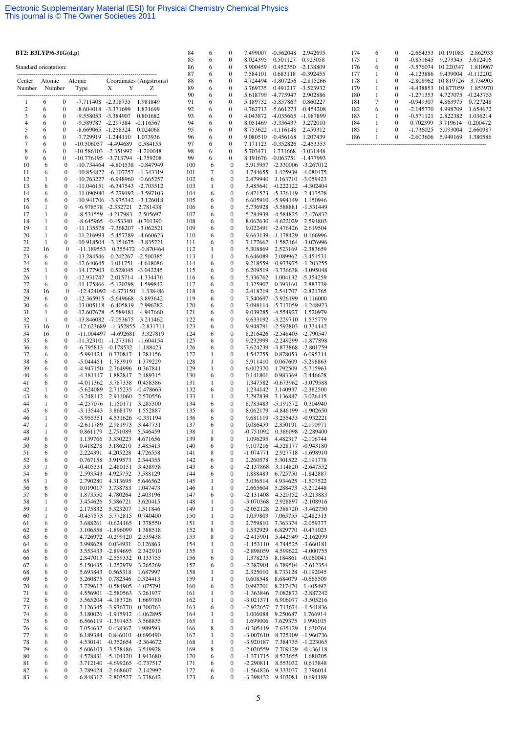| BT2: B3LYP/6-31G(d,p) |                   |                                      |                                            |                                                                  |                                | 84         | 6                 | $\boldsymbol{0}$                     |                                          | 7.499007 -0.562048                                 | 2.942695                                 |
|-----------------------|-------------------|--------------------------------------|--------------------------------------------|------------------------------------------------------------------|--------------------------------|------------|-------------------|--------------------------------------|------------------------------------------|----------------------------------------------------|------------------------------------------|
| Standard orientation: |                   |                                      |                                            |                                                                  |                                | 85<br>86   | 6<br>6            | $\boldsymbol{0}$<br>$\boldsymbol{0}$ | 8.024395<br>5.900459                     | 0.501127<br>0.452350 -2.138809                     | 0.923058                                 |
|                       |                   |                                      |                                            |                                                                  |                                | 87         | 6                 | $\boldsymbol{0}$                     | 7.584101                                 | 0.683118 -0.392455                                 |                                          |
| Center<br>Number      | Atomic<br>Number  |                                      | Atomic<br>Type                             | Х<br>Y                                                           | Coordinates (Angstroms)<br>Z   | 88<br>89   | 6<br>6            | $\boldsymbol{0}$<br>$\mathbf{0}$     | 4.724494<br>3.769735                     | $-1.807256$ $-2.815266$<br>0.491217 -3.523932      |                                          |
|                       |                   |                                      |                                            |                                                                  |                                | 90         | 6                 | $\boldsymbol{0}$                     | 5.618799                                 | -4.775947                                          | 2.902886                                 |
| 1<br>$\mathbf{2}$     | 6<br>6            | $\boldsymbol{0}$<br>$\boldsymbol{0}$ | -7.711408 -2.318735<br>-8.604018 -3.371699 |                                                                  | 1.981849<br>1.831699           | 91<br>92   | 6<br>6            | $\boldsymbol{0}$<br>$\mathbf{0}$     | 5.189732 -5.857867                       | 4.762713 -5.661273                                 | 0.860227<br>$-0.454208$                  |
| 3                     | 6                 | $\boldsymbol{0}$                     | -9.558053 -3.384907                        |                                                                  | 0.801682                       | 93         | 6                 | $\boldsymbol{0}$                     | 4.043872                                 | -4.035665                                          | -1.987899                                |
| $\overline{4}$        | 6                 | $\boldsymbol{0}$                     | -9.589787 -2.297384                        |                                                                  | $-0.116567$                    | 94         | 6                 | $\boldsymbol{0}$                     | 8.051469 -3.336437                       |                                                    | 3.272010                                 |
| 5<br>6                | 6<br>6            | $\boldsymbol{0}$<br>$\mathbf{0}$     | -8.669065 -1.258324<br>-7.729919 -1.244110 |                                                                  | 0.024068<br>1.073936           | 95<br>96   | 6<br>6            | $\boldsymbol{0}$<br>$\boldsymbol{0}$ | 8.753622 -1.116148<br>9.080510 -0.456168 |                                                    | 2.459312<br>1.207439                     |
| 7                     | 6                 | $\boldsymbol{0}$                     | -10.506057 -4.494689                       |                                                                  | 0.584155                       | 97         | 6                 | $\boldsymbol{0}$                     |                                          | 7.171123 -0.352826 -2.453353                       |                                          |
| 8<br>9                | 6<br>6            | $\boldsymbol{0}$<br>$\boldsymbol{0}$ |                                            | -10.586103 -2.351992 -1.210048<br>-10.776195 -3.713794 -1.759208 |                                | 98<br>99   | 6<br>6            | $\boldsymbol{0}$<br>0                | 5.703471                                 | 1.731668 -3.031848<br>8.191676 -0.063751           | -1.477993                                |
| 10                    | 6                 | $\boldsymbol{0}$                     |                                            | -10.734464 -4.801538 -0.847949                                   |                                | 100        | 6                 | $\mathbf{0}$                         |                                          | 5.915957 -2.330006 -3.267012                       |                                          |
| 11                    | 6                 | $\boldsymbol{0}$                     |                                            | -10.854822 -6.107257 -1.343319                                   |                                | 101        | 7                 | $\boldsymbol{0}$                     | 4.744655                                 |                                                    | 1.425939 -4.080475                       |
| 12<br>13              | 1<br>6            | $\boldsymbol{0}$<br>$\boldsymbol{0}$ | $-10.763227$                               | $-6.948960$<br>-11.046151 -6.347543 -2.703512                    | $-0.665257$                    | 102<br>103 | 6<br>1            | $\mathbf{0}$<br>$\boldsymbol{0}$     | 2.479940                                 | 3.485641 -0.222122 -4.302404                       | 1.163710 -3.059423                       |
| 14                    | 6                 | $\boldsymbol{0}$                     |                                            | -11.090980 -5.279192 -3.597103                                   |                                | 104        | 6                 | $\boldsymbol{0}$                     |                                          | 6.871523 -5.326149                                 | 2.413528                                 |
| 15<br>16              | 6<br>$\mathbf{1}$ | $\boldsymbol{0}$<br>$\boldsymbol{0}$ |                                            | -10.941706 -3.975342 -3.126018<br>-6.978578 -2.332721            | 2.781438                       | 105<br>106 | 6<br>6            | 0<br>$\boldsymbol{0}$                |                                          | 6.605910 -5.994149<br>5.736928 -5.588881           | 1.150946<br>-1.531449                    |
| 17                    | $\mathbf{1}$      | $\boldsymbol{0}$                     |                                            | -8.531559 -4.217983                                              | 2.505697                       | 107        | 6                 | $\boldsymbol{0}$                     |                                          | 5.284939 -4.584825 -2.476832                       |                                          |
| 18                    | 1                 | 0                                    |                                            | $-8.645965$ $-0.453340$ $-0.701390$                              |                                | 108        | 6                 | 0                                    |                                          | 8.062630 -4.622029                                 | 2.594803                                 |
| 19<br>20              | $\mathbf{1}$<br>1 | $\boldsymbol{0}$<br>$\mathbf{0}$     |                                            | -11.135578 -7.368207 -3.062521<br>-11.216993 -5.457289           | -4.660623                      | 109<br>110 | 6<br>6            | $\boldsymbol{0}$<br>$\boldsymbol{0}$ |                                          | 9.022491 -2.476426<br>9.663139 -1.178429           | 2.619504<br>0.166996                     |
| 21                    | 1                 | $\boldsymbol{0}$                     |                                            | -10.918504 -3.154675 -3.835221                                   |                                | 111        | 6                 | $\boldsymbol{0}$                     |                                          | 7.177662 -1.582164 -3.076996                       |                                          |
| 22<br>23              | 16<br>6           | $\boldsymbol{0}$<br>$\mathbf{0}$     | $-11.189553$<br>-13.284546                 | 0.242267 -2.500385                                               | 0.355472 -0.870464             | 112<br>113 | $\mathbf{1}$<br>1 | $\boldsymbol{0}$<br>$\mathbf{0}$     | 5.308869<br>6.646089                     |                                                    | 2.523169 -2.383659<br>2.089962 -3.451531 |
| 24                    | 6                 | $\boldsymbol{0}$                     | $-12.640645$                               |                                                                  | 1.011751 -1.618086             | 114        | 6                 | $\boldsymbol{0}$                     |                                          | 9.218559 -0.973975 -1.203255                       |                                          |
| 25                    | $\mathbf{1}$      | $\boldsymbol{0}$                     | $-14.177903$                               |                                                                  | 0.528045 -3.042245             | 115        | 6                 | $\boldsymbol{0}$                     |                                          | 6.209519 -3.736638 -3.095048                       |                                          |
| 26<br>27              | 1<br>6            | $\boldsymbol{0}$<br>0                | -12.931747                                 | -11.175866 -5.120298                                             | 2.015714 -1.334476<br>1.599842 | 116<br>117 | 6<br>6            | $\mathbf{0}$<br>$\boldsymbol{0}$     | 5.336762<br>1.325907                     | 0.393160                                           | 1.004132 -5.354259<br>-2.883739          |
| 28                    | 16                | $\boldsymbol{0}$                     |                                            | $-12.424092$ $-6.373150$                                         | 1.338486                       | 118        | 6                 | $\boldsymbol{0}$                     | 2.418219                                 |                                                    | 2.541707 -2.821765                       |
| 29<br>30              | 6<br>6            | 0<br>$\boldsymbol{0}$                |                                            | -12.365915 -5.649668<br>-13.005118 -6.405819                     | 3.893642<br>2.996282           | 119<br>120 | 6<br>6            | $\mathbf{0}$<br>$\boldsymbol{0}$     |                                          | 7.540697 -5.926199<br>7.098114 -5.717059 -1.248923 | 0.116000                                 |
| 31                    | 1                 | $\boldsymbol{0}$                     |                                            | -12.607678 -5.589481                                             | 4.947660                       | 121        | 6                 | $\mathbf{0}$                         |                                          | 9.039285 -4.554927                                 | 1.520979                                 |
| 32                    | 1                 | 0                                    |                                            | -13.846082 -7.053675                                             | 3.211462                       | 122        | 6                 | $\boldsymbol{0}$                     |                                          | 9.633192 -3.229710                                 | 1.535779                                 |
| 33<br>34              | 16<br>16          | $\boldsymbol{0}$<br>$\boldsymbol{0}$ |                                            | -12.623689 -1.352855<br>$-11.004497$ $-4.692681$                 | $-2.831711$<br>3.327819        | 123<br>124 | 6<br>6            | $\boldsymbol{0}$<br>$\mathbf{0}$     |                                          | 9.948791 -2.592803<br>8.216426 -2.548403 -2.790547 | 0.334142                                 |
| 35                    | 6                 | 0                                    |                                            | -11.323101 -1.273161 -1.604154                                   |                                | 125        | 6                 | $\boldsymbol{0}$                     |                                          | 9.232999 -2.249299 -1.877898                       |                                          |
| 36<br>37              | 6<br>6            | $\boldsymbol{0}$<br>$\boldsymbol{0}$ | $-5.991421$                                | $-6.795813 - 0.178532$<br>0.730847                               | 1.188423<br>1.281156           | 126<br>127 | 6<br>1            | $\boldsymbol{0}$<br>$\mathbf{0}$     | 4.542755                                 | 7.624239 -3.873868                                 | -2.801759<br>0.878053 -6.095314          |
| 38                    | 6                 | $\boldsymbol{0}$                     | $-5.044451$                                | 1.783919                                                         | 1.379229                       | 128        | 1                 | $\boldsymbol{0}$                     | 5.911410                                 | 0.067609                                           | $-5.298863$                              |
| 39<br>40              | 6<br>6            | $\boldsymbol{0}$<br>$\boldsymbol{0}$ | $-4.947150$<br>$-4.181147$                 | 2.764996<br>1.882847                                             | 0.367841<br>2.489315           | 129<br>130 | $\mathbf{1}$<br>6 | $\boldsymbol{0}$<br>$\mathbf{0}$     | 6.002370<br>0.141801                     |                                                    | 1.792509 -5.715963<br>0.983369 -2.446628 |
| 41                    | 6                 | $\boldsymbol{0}$                     | $-4.011362$                                | 3.787338                                                         | 0.458386                       | 131        | 1                 | $\boldsymbol{0}$                     |                                          | 1.347582 -0.673962 -3.079588                       |                                          |
| 42                    | 1                 | $\boldsymbol{0}$                     | $-5.624089$                                | 2.715235                                                         | $-0.478663$                    | 132        | 6                 | $\mathbf{0}$                         | 1.234142                                 |                                                    | 3.140937 -2.382500                       |
| 43<br>44              | 6<br>$\mathbf{1}$ | $\boldsymbol{0}$<br>$\boldsymbol{0}$ | $-3.248112$<br>-4.257076                   | 2.911060<br>1.150171                                             | 2.570556<br>3.285300           | 133<br>134 | 1<br>6            | $\mathbf{0}$<br>$\boldsymbol{0}$     | 3.297839                                 | 8.783483 -5.191572                                 | 3.136887 -3.026415<br>0.304940           |
| 45                    | 6                 | $\boldsymbol{0}$                     | -3.135443                                  | 3.868179                                                         | 1.552887                       | 135        | 6                 | $\boldsymbol{0}$                     |                                          | 8.062179 -4.846199 -1.902650                       |                                          |
| 46<br>47              | 1<br>1            | $\boldsymbol{0}$<br>$\boldsymbol{0}$ | $-3.955351$<br>$-2.611789$                 | 4.531626<br>2.981973                                             | $-0.331194$<br>3.447731        | 136<br>137 | 6<br>6            | $\boldsymbol{0}$<br>$\boldsymbol{0}$ | 0.086459                                 | 9.681119 -3.255433 -0.932221                       | 2.350191 -2.190971                       |
| 48                    | 1                 | $\mathbf{0}$                         | 0.861179                                   | 2.751089                                                         | 5.546459                       | 138        | 1                 | $\mathbf{0}$                         | $-0.751092$                              |                                                    | 0.386098 -2.289400                       |
| 49<br>50              | 6<br>6            | 0<br>0                               | 1.139766<br>0.418278                       | 3.330223<br>3.186210                                             | 4.671656<br>3.485413           | 139<br>140 | 8<br>6            | $\boldsymbol{0}$<br>0                | 1.096295                                 | 9.107216 -4.528177 -0.943180                       | 4.482317 -2.106744                       |
| 51                    | 6                 | 0                                    | 2.224391                                   | 4.205228                                                         | 4.726558                       | 141        | 8                 | $\boldsymbol{0}$                     | $-1.074771$                              |                                                    | 2.927718 -1.698910                       |
| 52                    | 6                 | 0                                    | 0.767158                                   | 3.919573                                                         | 2.344355                       | 142        | 6                 | $\boldsymbol{0}$                     | 2.260578                                 |                                                    | 5.301522 -2.191778                       |
| 53<br>54              | 1<br>6            | 0<br>0                               | $-0.405331$<br>2.593543                    | 2.480151<br>4.925752                                             | 3.438938<br>3.588129           | 143<br>144 | 6<br>6            | 0<br>$\boldsymbol{0}$                | $-2.137868$<br>1.888483                  |                                                    | 3.114820 -2.647552<br>6.725750 -1.842887 |
| 55                    | $\mathbf{1}$      | $\boldsymbol{0}$                     | 2.790280                                   | 4.313695                                                         | 5.646562                       | 145        | 1                 | $\boldsymbol{0}$                     | 3.036514                                 |                                                    | 4.934625 -1.507522                       |
| 56<br>57              | 6<br>6            | 0<br>0                               | 0.019017<br>1.873550                       | 3.738783<br>4.780264                                             | 1.047473<br>2.403196           | 146<br>147 | 1<br>6            | 0<br>$\boldsymbol{0}$                | 2.665604<br>$-2.131408$                  |                                                    | 5.288473 -3.212448<br>4.520152 -3.213883 |
| 58                    | 1                 | 0                                    | 3.454626                                   | 5.586721                                                         | 3.620415                       | 148        | 1                 | $\boldsymbol{0}$                     | -3.070368                                |                                                    | 2.928897 -2.108916                       |
| 59<br>60              | 1<br>$\mathbf{1}$ | 0<br>0                               | 2.175832<br>$-0.457573$                    | 5.323207<br>5.772815                                             | 1.511846<br>0.740400           | 149<br>150 | 1<br>$\mathbf{1}$ | 0<br>$\boldsymbol{0}$                | $-2.052128$<br>1.059803                  |                                                    | 2.388720 -3.462750<br>7.065755 -2.482313 |
| 61                    | 6                 | $\boldsymbol{0}$                     | 3.688261                                   | $-0.624165$                                                      | 1.378550                       | 151        | $\mathbf{1}$      | $\boldsymbol{0}$                     | 2.759810                                 |                                                    | 7.363374 -2.059377                       |
| 62                    | 6                 | 0                                    | 3.106558                                   | $-1.896099$                                                      | 1.388518                       | 152        | 8                 | 0                                    | 1.532929                                 | 6.829770                                           | -0.471023                                |
| 63<br>64              | 6<br>6            | 0<br>0                               | 3.998628                                   | 4.726972 -0.299120<br>0.034931                                   | 2.339438<br>0.126863           | 153<br>154 | 8<br>1            | $\boldsymbol{0}$<br>0                | $-2.415901$<br>$-1.153110$               |                                                    | 5.442949 -2.162099<br>4.744525 -3.660181 |
| 65                    | 6                 | 0                                    | 3.553433                                   | $-2.894695$                                                      | 2.342910                       | 155        | 1                 | $\boldsymbol{0}$                     | $-2.898059$                              |                                                    | 4.599622 -4.000755                       |
| 66<br>67              | 6<br>6            | 0<br>0                               | 5.150435                                   | 2.847013 -2.559332<br>-1.252979                                  | 0.133755<br>3.265269           | 156<br>157 | 6<br>6            | $\boldsymbol{0}$<br>$\boldsymbol{0}$ | 1.378275<br>$-2.387901$                  | 8.184861                                           | $-0.060041$<br>6.789504 -2.612354        |
| 68                    | 6                 | 0                                    | 5.693843                                   | 0.565318                                                         | 1.687997                       | 158        | 1                 | $\boldsymbol{0}$                     | 2.325010                                 | 8.733128                                           | $-0.192045$                              |
| 69                    | 6                 | 0<br>0                               | 5.260875                                   | 0.782346                                                         | 0.324413                       | 159        | $\mathbf{1}$      | $\boldsymbol{0}$<br>$\boldsymbol{0}$ | 0.608548                                 |                                                    | 8.684079 -0.665509                       |
| 70<br>71              | 6<br>6            | 0                                    | 3.729617<br>4.556901                       | $-0.584905$<br>$-2.580563$                                       | -1.075791<br>3.261937          | 160<br>161 | 6<br>1            | $\boldsymbol{0}$                     | 0.992701<br>$-1.363846$                  | 8.217470<br>7.082873                               | 1.405492<br>$-2.887242$                  |
| 72                    | 6                 | 0                                    |                                            | 3.565204 -4.183726                                               | 1.669780                       | 162        | $\mathbf{1}$      | 0                                    | $-3.021371$                              |                                                    | 6.906077 -3.505216                       |
| 73<br>74              | 6<br>6            | 0<br>0                               |                                            | 3.126345 -3.976770<br>3.180026 -1.915912                         | 0.300763<br>$-1.062895$        | 163<br>164 | 6<br>1            | $\boldsymbol{0}$<br>$\boldsymbol{0}$ | $-2.922657$<br>1.006088                  | 7.713674<br>9.250687                               | -1.541836<br>1.766914                    |
| 75                    | 6                 | 0                                    |                                            | 6.566119 -1.391453                                               | 3.568835                       | 165        | $\mathbf{1}$      | $\boldsymbol{0}$                     | 1.699006                                 | 7.629375                                           | 1.996105                                 |
| 76<br>77              | 6<br>6            | 0<br>0                               | 7.054632<br>6.189384                       | 0.438367<br>0.846010                                             | 1.989593<br>$-0.690490$        | 166<br>167 | 8<br>$\mathbf{1}$ | $\boldsymbol{0}$<br>0                | $-0.305419$<br>$-3.007610$               | 7.635129                                           | 1.630264<br>8.725109 -1.960736           |
| 78                    | 6                 | 0                                    | 4.530141                                   | $-0.352654$                                                      | $-2.364672$                    | 168        | 1                 | $\boldsymbol{0}$                     | -3.920187                                |                                                    | 7.384735 -1.223065                       |
| 79                    | 6                 | 0                                    | 5.606103                                   | -3.538486                                                        | 3.549928                       | 169        | 8                 | $\boldsymbol{0}$                     | $-2.020559$                              | 7.709129                                           | $-0.436118$                              |
| 80<br>81              | 6<br>6            | 0<br>0                               | 4.578831                                   | $-5.104120$<br>3.712140 -4.699265                                | 1.943680<br>$-0.737517$        | 170<br>171 | 6<br>6            | $\boldsymbol{0}$<br>$\boldsymbol{0}$ | $-1.371715$<br>$-2.290811$               | 8.523655<br>8.553032                               | 1.680205<br>0.613848                     |
| 82                    | 6                 | 0                                    |                                            | 3.789424 -2.668607                                               | $-2.142992$                    | 172        | 6                 | $\boldsymbol{0}$                     | $-1.564826$                              | 9.333037                                           | 2.796014                                 |
| 83                    | 6                 | 0                                    |                                            | 6.848312 -2.803527                                               | 3.738642                       | 173        | 6                 | 0                                    | $-3.398432$                              | 9.403081                                           | 0.691189                                 |

| 174 | 6 | $\theta$ | $-2.664353$ | 10.191085 | 2.862933    |
|-----|---|----------|-------------|-----------|-------------|
| 175 | 1 | $\theta$ | $-0.851645$ | 9.273345  | 3.612406    |
| 176 | 6 | 0        | $-3.576074$ | 10.220347 | 1.810967    |
| 177 | 1 | $\theta$ | $-4.123886$ | 9.439004  | $-0.112202$ |
| 178 |   | 0        | $-2.808962$ | 10.819726 | 3.734905    |
| 179 |   | $\theta$ | $-4.438853$ | 10.877059 | 1.853970    |
| 180 | 1 | 0        | $-1.271353$ | 4.727075  | $-0.243753$ |
| 181 | 7 | $\theta$ | $-0.949307$ | 4.863975  | 0.727248    |
| 182 | 6 | $\theta$ | $-2.145770$ | 4.998709  | 1.654672    |
| 183 |   | $\theta$ | $-0.571121$ | 2.822382  | 1.036214    |
| 184 |   | $\Omega$ | 0.702399    | 3.719614  | 0.200472    |
| 185 |   | $\Omega$ | $-1.736025$ | 5.093004  | 2.660987    |
| 186 |   | $\Omega$ | $-2.603606$ | 5.949169  | 1.380586    |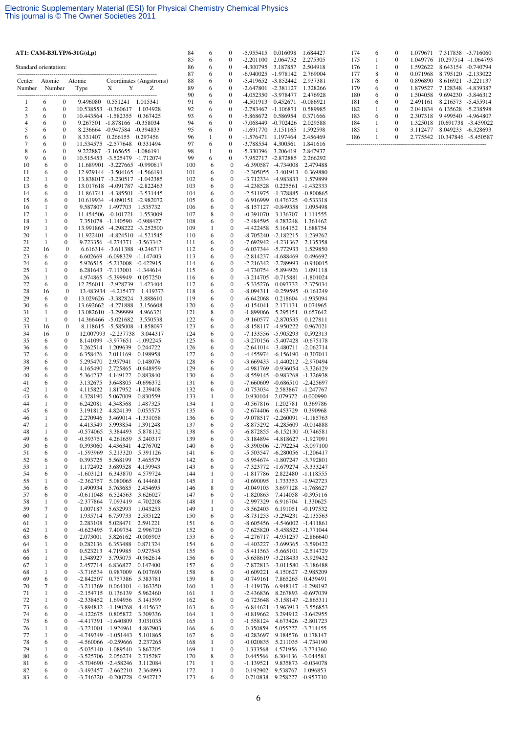|                       |                   |                                      | AT1: CAM-B3LYP/6-31G(d,p)  |                                                                |                              | 84         | 6                 | 0                                    | -5.955415 0.016098                         |                                                                      | 1.684427                                 |
|-----------------------|-------------------|--------------------------------------|----------------------------|----------------------------------------------------------------|------------------------------|------------|-------------------|--------------------------------------|--------------------------------------------|----------------------------------------------------------------------|------------------------------------------|
| Standard orientation: |                   |                                      |                            |                                                                |                              | 85<br>86   | 6<br>6            | 0<br>$\boldsymbol{0}$                | $-2.201100$<br>-4.300795                   | 2.064752<br>3.187857                                                 | 2.275305<br>2.504918                     |
|                       |                   |                                      |                            |                                                                |                              | 87         | 6                 | $\mathbf{0}$                         | -6.940025 -1.978142                        |                                                                      | 2.769004                                 |
| Center<br>Number      | Atomic<br>Number  |                                      | Atomic<br>Type             | Y<br>X                                                         | Coordinates (Angstroms)<br>Ζ | 88<br>89   | 6<br>6            | 0<br>$\mathbf{0}$                    | -5.419652 -3.852442<br>-2.647801 -2.381127 |                                                                      | 2.937381<br>1.328266                     |
| --------------        |                   | $\boldsymbol{0}$                     |                            | 9.496080  0.551241  1.015341                                   |                              | 90<br>91   | 6                 | $\boldsymbol{0}$<br>0                | -4.052350 -3.978477                        |                                                                      | 2.476928                                 |
| 1<br>$\boldsymbol{2}$ | 6<br>6            | $\boldsymbol{0}$                     |                            | 10.538553 -0.360617                                            | 1.034928                     | 92         | 6<br>6            | $\boldsymbol{0}$                     | -4.501913<br>$-2.783467 - 1.106871$        | 0.452671                                                             | -0.086921<br>0.589985                    |
| 3<br>$\overline{4}$   | 6                 | $\bf{0}$                             |                            | 10.443564 -1.582355                                            | 0.367425                     | 93         | 6                 | $\boldsymbol{0}$                     | $-5.868672$                                | 0.586954                                                             | 0.371666                                 |
| 5                     | 6<br>6            | $\mathbf{0}$<br>$\bf{0}$             | 9.267501                   | $-1.878166$ $-0.358034$<br>8.236664 -0.947584 -0.394833        |                              | 94<br>95   | 6<br>6            | $\boldsymbol{0}$<br>0                | $-7.068449 - 0.702426$<br>-1.691770        | 3.151165                                                             | 2.029588<br>1.592598                     |
| 6                     | 6                 | $\bf{0}$                             | 8.331407                   | 0.266155                                                       | 0.297456                     | 96         | 1                 | $\boldsymbol{0}$                     | $-1.576471$                                | 1.197464                                                             | 2.456469                                 |
| 7<br>8                | 6<br>6            | $\boldsymbol{0}$<br>$\boldsymbol{0}$ | 11.534575 -2.577648        | 9.222887 -3.165655 -1.086191                                   | 0.331494                     | 97<br>98   | 6<br>1            | 0<br>0                               | -3.788554<br>$-5.330396$                   | 4.300561<br>3.206419                                                 | 1.841616<br>2.847937                     |
| 9                     | 6                 | $\boldsymbol{0}$                     |                            | 10.515453 -3.525479 -1.712074                                  |                              | 99         | 6                 | 0                                    | -7.952717 -2.872885                        |                                                                      | 2.266292                                 |
| 10<br>11              | 6<br>6            | $\mathbf{0}$<br>$\boldsymbol{0}$     |                            | 11.689901 -3.227665 -0.990617<br>12.929144 -3.504165 -1.566191 |                              | 100<br>101 | 6<br>6            | $\mathbf{0}$<br>$\boldsymbol{0}$     |                                            | $-6.390587 - 4.734008$<br>$-2.305055 - 3.401913$                     | 2.479488<br>0.369880                     |
| 12                    | 1                 | $\boldsymbol{0}$                     |                            | 13.838017 -3.230517 -1.042385                                  |                              | 102        | 6                 | $\boldsymbol{0}$                     |                                            | -3.712334 -4.983833                                                  | 1.579899                                 |
| 13<br>14              | 6<br>6            | $\boldsymbol{0}$<br>0                |                            | 13.017618 -4.091787 -2.822463<br>11.861741 -4.385501 -3.531445 |                              | 103<br>104 | 6<br>6            | $\boldsymbol{0}$<br>$\boldsymbol{0}$ | $-4.238528$                                | 0.225561<br>-2.511975 -1.378885                                      | -1.432333<br>$-0.800865$                 |
| 15                    | 6                 | 0                                    |                            | 10.619934 -4.090151 -2.982072                                  |                              | 105        | 6                 | $\boldsymbol{0}$                     | $-6.916999$                                | 0.476725                                                             | $-0.533318$                              |
| 16<br>17              | 1<br>1            | $\boldsymbol{0}$<br>$\boldsymbol{0}$ | 9.587807                   | 1.497703<br>11.454506 -0.101721                                | 1.535732<br>1.553009         | 106<br>107 | 6<br>8            | $\boldsymbol{0}$<br>$\boldsymbol{0}$ | $-0.391070$                                | -8.157127 -0.849358<br>3.136707                                      | 1.095498<br>1.111555                     |
| 18                    | 1                 | $\boldsymbol{0}$                     |                            | 7.351078 -1.140590 -0.988427                                   |                              | 108        | 6                 | $\boldsymbol{0}$                     | $-2.484595$                                | 4.283248                                                             | 1.361462                                 |
| 19<br>20              | 1<br>$\mathbf{1}$ | $\boldsymbol{0}$<br>$\boldsymbol{0}$ |                            | 13.991865 -4.298222 -3.252500<br>11.922401 -4.824510 -4.521545 |                              | 109<br>110 | 1<br>6            | $\boldsymbol{0}$<br>$\boldsymbol{0}$ | $-4.422458$                                | 5.164152<br>$-8.705240 -2.182215$                                    | 1.688754<br>1.239262                     |
| 21                    | 1                 | 0                                    |                            | 9.723356 -4.274371 -3.563342                                   |                              | 111        | 6                 | $\mathbf{0}$                         |                                            | -7.692942 -4.231367                                                  | 2.135358                                 |
| 22                    | 16                | $\bf{0}$                             |                            | 6.616314 -3.611388 -0.246717                                   |                              | 112        | 6                 | $\boldsymbol{0}$                     |                                            | -6.037344 -5.772933                                                  | 1.529850                                 |
| 23<br>24              | 6<br>6            | 0<br>0                               |                            | 6.602669 -6.098329 -1.147403<br>5.926515 -5.213008 -0.422915   |                              | 113<br>114 | 6<br>6            | $\boldsymbol{0}$<br>$\boldsymbol{0}$ |                                            | -2.814237 -4.688469<br>-2.216342 -2.789993                           | 0.496692<br>$-0.940015$                  |
| 25                    | 1                 | $\boldsymbol{0}$                     |                            | 6.281643 -7.113001 -1.344614                                   |                              | 115        | 6                 | $\boldsymbol{0}$                     |                                            | -4.730754 -5.894926                                                  | 1.091118                                 |
| 26<br>27              | 1<br>6            | $\boldsymbol{0}$<br>0                |                            | 4.974865 -5.399949<br>12.256011 -2.928739                      | 0.057250<br>1.423404         | 116<br>117 | 6<br>6            | $\boldsymbol{0}$<br>$\mathbf{0}$     | $-5.335276$                                | $-3.214705$ $-0.715881$                                              | -1.801024<br>0.097732 -2.375034          |
| 28                    | 16                | $\boldsymbol{0}$                     |                            | 13.483934 -4.215477                                            | 1.419373                     | 118        | 6                 | $\boldsymbol{0}$                     |                                            | -8.094311 -0.259595 -0.161249                                        |                                          |
| 29<br>30              | 6<br>6            | $\mathbf{0}$<br>0                    |                            | 13.029626 -3.382824<br>13.692662 -4.271888                     | 3.888610<br>3.156608         | 119<br>120 | 6<br>6            | $\mathbf{0}$<br>$\boldsymbol{0}$     | $-6.642068$<br>$-0.154041$                 | 2.171131                                                             | 0.218604 -1.935094<br>0.074965           |
| 31                    | 1                 | $\boldsymbol{0}$                     |                            | 13.082610 -3.299999                                            | 4.966321                     | 121        | 8                 | $\boldsymbol{0}$                     | $-1.899066$                                | 5.295151                                                             | 0.657642                                 |
| 32<br>33              | 1<br>16           | $\mathbf{0}$<br>$\boldsymbol{0}$     |                            | 14.366466 -5.021682<br>8.118615 -5.585008                      | 3.550538<br>-1.858097        | 122<br>123 | 6<br>6            | $\mathbf{0}$<br>$\boldsymbol{0}$     |                                            | -9.160577 -2.870535<br>-8.158117 -4.950222                           | 0.127811<br>0.967021                     |
| 34                    | 16                | $\boldsymbol{0}$                     |                            | 12.007993 -2.237738                                            | 3.044317                     | 124        | 6                 | $\boldsymbol{0}$                     |                                            | -7.133556 -5.905293                                                  | 0.592313                                 |
| 35<br>36              | 6<br>6            | 0<br>0                               | 7.262514                   | 8.141099 -3.977651 -1.092245<br>1.209639                       | 0.244722                     | 125<br>126 | 6<br>6            | $\mathbf{0}$<br>$\boldsymbol{0}$     |                                            | -3.270156 -5.407428 -0.675178<br>$-2.641014$ $-3.480711$ $-2.062714$ |                                          |
| 37                    | 6                 | 0                                    | 6.358426                   | 2.011169                                                       | 0.198958                     | 127        | 6                 | $\mathbf{0}$                         |                                            | -4.455974 -6.156190 -0.307011                                        |                                          |
| 38<br>39              | 6<br>6            | $\boldsymbol{0}$<br>$\boldsymbol{0}$ | 5.295470<br>4.165490       | 2.957941<br>2.725865                                           | 0.148076<br>$-0.648959$      | 128<br>129 | 6<br>6            | $\boldsymbol{0}$<br>$\boldsymbol{0}$ |                                            | -3.669433 -1.440212 -2.970494<br>-4.981769 -0.936054 -3.326129       |                                          |
| 40                    | 6                 | $\boldsymbol{0}$                     | 5.364237                   | 4.149122                                                       | 0.883840                     | 130        | 6                 | $\mathbf{0}$                         |                                            | -8.559145 -0.983268 -1.326938                                        |                                          |
| 41<br>42              | 6<br>1            | $\boldsymbol{0}$<br>$\boldsymbol{0}$ | 3.132675<br>4.115822       | 3.648805 -0.696372<br>1.817952 -1.239408                       |                              | 131<br>132 | 6<br>6            | $\boldsymbol{0}$<br>$\boldsymbol{0}$ | $-0.753034$                                | -7.660609 -0.686510 -2.425697                                        | 2.583867 -1.247767                       |
| 43                    | 6                 | $\boldsymbol{0}$                     | 4.328190                   | 5.067009                                                       | 0.830559                     | 133        | 1                 | $\mathbf{0}$                         | 0.930104                                   |                                                                      | 2.079372 -0.000990                       |
| 44<br>45              | 1                 | $\boldsymbol{0}$                     | 6.242081                   | 4.348568                                                       | 1.487325                     | 134        | 1                 | $\boldsymbol{0}$                     | $-0.567816$                                | 1.202781                                                             | 0.369786                                 |
| 46                    | 6<br>1            | $\boldsymbol{0}$<br>$\boldsymbol{0}$ | 3.191812<br>2.270946       | 4.824139<br>3.469014 -1.331058                                 | 0.055575                     | 135<br>136 | 6<br>6            | $\boldsymbol{0}$<br>$\mathbf{0}$     | $-2.674406$                                | 6.453729<br>-9.078517 -2.260091                                      | 0.390968<br>$-1.185763$                  |
| 47                    | 1                 | $\boldsymbol{0}$                     | 4.413549                   | 5.993854                                                       | 1.391248                     | 137        | 6                 | $\boldsymbol{0}$                     |                                            | -8.875292 -4.285609                                                  | $-0.014888$                              |
| 48<br>49              | 1<br>6            | $\mathbf{0}$<br>0                    | $-0.574065$<br>$-0.593751$ | 3.384493<br>4.261659                                           | 5.878132<br>5.240317         | 138<br>139 | 6<br>6            | $\overline{0}$<br>0                  |                                            | $-6.872855 - 6.152130 -0.746581$<br>-3.184894 -4.818627 -1.927091    |                                          |
| 50                    | 6                 | $\boldsymbol{0}$                     | 0.393060                   | 4.436341                                                       | 4.276702                     | 140        | 6                 | $\boldsymbol{0}$                     |                                            | -3.390506 -2.792254 -3.097100                                        |                                          |
| 51<br>52              | 6<br>6            | 0<br>0                               | -1.593969<br>0.393725      | 5.213320<br>5.568199                                           | 5.391126<br>3.465579         | 141<br>142 | 6<br>6            | $\boldsymbol{0}$<br>$\boldsymbol{0}$ |                                            | -5.503547 -6.280056 -1.206417<br>-5.954674 -1.807247 -3.792801       |                                          |
| 53                    | 1                 | 0                                    | 1.172492                   | 3.689528                                                       | 4.159943                     | 143        | 6                 | $\boldsymbol{0}$                     |                                            | -7.323772 -1.679274 -3.333247                                        |                                          |
| 54<br>55              | 6<br>1            | 0<br>0                               | $-1.603121$<br>$-2.362757$ | 6.343870<br>5.080065                                           | 4.579724<br>6.144681         | 144<br>145 | 1<br>$\mathbf{1}$ | $\boldsymbol{0}$<br>$\boldsymbol{0}$ | $-1.817786$<br>$-0.690095$                 |                                                                      | 2.822480 -1.118555<br>1.733353 -1.942723 |
| 56                    | 6                 | 0                                    | 1.490934                   | 5.763685                                                       | 2.454695                     | 146        | 8                 | $\boldsymbol{0}$                     | $-0.049103$                                |                                                                      | 3.697128 -1.768627                       |
| 57<br>58              | 6<br>1            | 0<br>0                               | $-0.611048$<br>$-2.377864$ | 6.524563<br>7.093419                                           | 3.626027<br>4.702208         | 147<br>148 | 6<br>1            | $\boldsymbol{0}$<br>$\boldsymbol{0}$ | $-1.820863$<br>-2.997329                   | 6.916704                                                             | 7.414058 -0.395116<br>1.330625           |
| 59                    | $\boldsymbol{7}$  | 0                                    | 1.007187                   | 5.632993                                                       | 1.043253                     | 149        | $\mathbf{1}$      | $\boldsymbol{0}$                     | $-3.562403$                                | 6.191051                                                             | $-0.197532$                              |
| 60<br>61              | 1<br>$\mathbf{1}$ | 0<br>$\boldsymbol{0}$                | 1.935714<br>2.283108       | 6.759733<br>5.028471                                           | 2.535122<br>2.591221         | 150<br>151 | 6<br>6            | $\boldsymbol{0}$<br>$\boldsymbol{0}$ |                                            | -8.731253 -3.294231 -2.135563<br>-8.605456 -4.546002 -1.411861       |                                          |
| 62                    | 1                 | 0                                    | $-0.623495$                | 7.409754                                                       | 2.996720                     | 152        | 6                 | $\boldsymbol{0}$                     |                                            | -7.625820 -5.458522 -1.771044                                        |                                          |
| 63<br>64              | 6<br>1            | 0<br>0                               | 2.073001<br>0.282136       | 5.826162<br>6.353488                                           | $-0.005903$<br>0.871324      | 153<br>154 | 6<br>6            | $\boldsymbol{0}$<br>$\boldsymbol{0}$ |                                            | -4.276717 -4.951257 -2.866640<br>-4.403227 -3.699365 -3.590422       |                                          |
| 65                    | 1                 | 0                                    | 0.523213                   | 4.719985                                                       | 0.927545                     | 155        | 6                 | $\boldsymbol{0}$                     |                                            | -5.411563 -5.665101 -2.514729                                        |                                          |
| 66<br>67              | 1<br>1            | 0<br>0                               | 1.548927<br>2.457714       | 5.795075<br>6.836827                                           | $-0.962614$<br>0.147400      | 156<br>157 | 6<br>6            | $\boldsymbol{0}$<br>$\boldsymbol{0}$ |                                            | -5.658619 -3.218433 -3.929432<br>-7.872813 -3.011580 -3.186488       |                                          |
| 68                    | 1                 | 0                                    | $-3.716534$                | 0.987009                                                       | 6.017690                     | 158        | 6                 | $\boldsymbol{0}$                     | $-0.609221$                                |                                                                      | 4.150627 -2.985209                       |
| 69<br>70              | 6<br>$\tau$       | 0<br>0                               | $-2.842507$<br>$-3.211369$ | 0.757386<br>0.064101                                           | 5.383781<br>4.163350         | 159<br>160 | 8<br>1            | $\boldsymbol{0}$<br>$\boldsymbol{0}$ | $-0.749161$<br>$-1.419176$                 | 7.865265                                                             | 0.439491<br>6.948147 -1.298192           |
| 71                    | 1                 | 0                                    | $-2.154715$                | 0.136139                                                       | 5.962460                     | 161        | 1                 | $\boldsymbol{0}$                     | $-2.436836$                                |                                                                      | 8.267893 -0.697039                       |
| 72<br>73              | 1<br>6            | 0<br>0                               | $-2.338452$<br>$-3.894812$ | 1.694956<br>$-1.190268$                                        | 5.141599<br>4.415632         | 162<br>163 | 6<br>6            | $\boldsymbol{0}$<br>$\boldsymbol{0}$ | -6.844621                                  | -6.723648 -5.158147 -2.865311<br>-3.963913 -3.556853                 |                                          |
| 74                    | 6                 | 0                                    | $-4.122675$                | 0.805872                                                       | 3.309336                     | 164        | 1                 | $\boldsymbol{0}$                     | $-0.819662$                                |                                                                      | 3.294912 -3.642955                       |
| 75                    | 6                 | 0                                    | $-3.221001$                | -4.417391 -1.640809<br>$-1.924961$                             | 3.031035                     | 165        | $\mathbf{1}$<br>6 | $\boldsymbol{0}$<br>$\boldsymbol{0}$ | $-1.558124$                                |                                                                      | 4.673426 -2.801723                       |
| 76<br>77              | 1<br>1            | 0<br>0                               | -4.749349                  | $-1.051443$                                                    | 4.862903<br>5.101865         | 166<br>167 | 6                 | $\boldsymbol{0}$                     | 0.350859<br>$-0.283697$                    | 9.184576                                                             | 5.055227 -3.714455<br>0.178147           |
| 78                    | 6                 | 0                                    | $-4.560066$                | $-0.259666$                                                    | 2.237265                     | 168        | 1                 | $\boldsymbol{0}$                     | $-0.020835$                                |                                                                      | 5.211035 -4.734190                       |
| 79<br>80              | 1<br>6            | 0<br>0                               | $-5.035140$<br>$-3.525706$ | 1.089540<br>2.056274                                           | 3.867205<br>2.715287         | 169<br>170 | $\mathbf{1}$<br>8 | $\boldsymbol{0}$<br>$\boldsymbol{0}$ | 1.333568<br>0.445566                       |                                                                      | 4.571956 -3.774360<br>6.304136 -3.044581 |
| 81                    | 6                 | 0                                    |                            | -5.704690 -2.458246                                            | 3.112084                     | 171        | 1                 | $\boldsymbol{0}$                     | $-1.139521$                                |                                                                      | 9.835873 -0.034078                       |
| 82<br>83              | 6<br>6            | $\boldsymbol{0}$<br>$\boldsymbol{0}$ |                            | -3.493457 -2.662210<br>-3.746320 -0.200728                     | 2.364993<br>0.942712         | 172<br>173 | $\mathbf{1}$<br>6 | $\boldsymbol{0}$<br>$\boldsymbol{0}$ | 0.192902<br>0.710838                       | 9.538767<br>9.258227                                                 | 1.096853<br>$-0.957710$                  |

| 174 | 6 | $\theta$ | 1.079671 | 7.317838  | $-3.716060$ |
|-----|---|----------|----------|-----------|-------------|
| 175 | 1 | $\theta$ | 1.049776 | 10.297514 | $-1.064793$ |
| 176 | 1 | $\theta$ | 1.592622 | 8.643154  | $-0.740794$ |
| 177 | 8 | $\theta$ | 0.071968 | 8.795120  | $-2.133022$ |
| 178 | 6 | $\theta$ | 0.896890 | 8.616921  | $-3.221137$ |
| 179 | 6 | $\theta$ | 1.879527 | 7.128348  | -4.839387   |
| 180 | 6 | $\theta$ | 1.504058 | 9.694230  | $-3.846312$ |
| 181 | 6 | $\theta$ | 2.491161 | 8.216573  | $-5.455914$ |
| 182 | 1 | $\theta$ | 2.041834 | 6.135628  | $-5.238598$ |
| 183 | 6 | $\theta$ | 2.307318 | 9.499540  | $-4.964807$ |
| 184 | 1 | $\theta$ | 1.325018 | 10.691738 | $-3.459022$ |
| 185 |   | $\Omega$ | 3.112477 | 8.049233  | $-6.328693$ |
| 186 |   | $\theta$ | 2.775542 | 10.347846 | $-5.450587$ |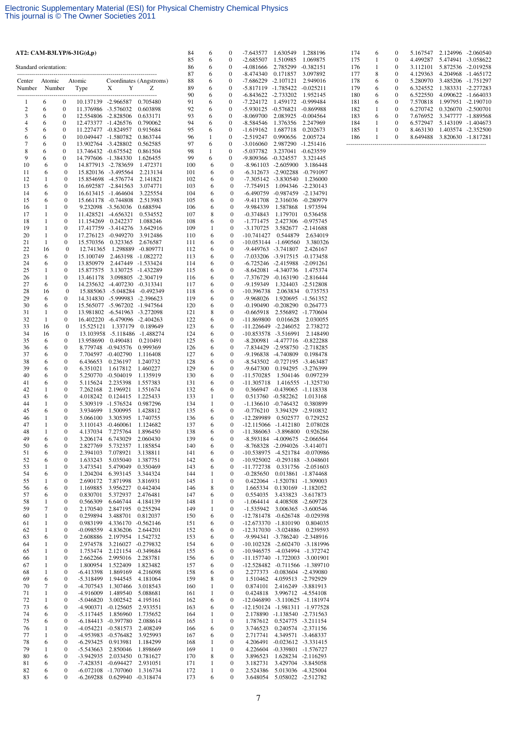| AT2: CAM-B3LYP/6-31G(d,p) |                              |                                      |                                            |                                                                |                         | 84         | 6            | 0                     | $-7.643577$                          | 1.630549                                                       | 1.288196                                                         |
|---------------------------|------------------------------|--------------------------------------|--------------------------------------------|----------------------------------------------------------------|-------------------------|------------|--------------|-----------------------|--------------------------------------|----------------------------------------------------------------|------------------------------------------------------------------|
| Standard orientation:     |                              |                                      |                                            |                                                                |                         | 85<br>86   | 6<br>6       | 0<br>0                | $-2.685507$<br>-4.081666             | 1.510985<br>2.785299                                           | 1.069875<br>$-0.382151$                                          |
| Center                    | Atomic                       |                                      | Atomic                                     |                                                                | Coordinates (Angstroms) | 87<br>88   | 6<br>6       | $\bf{0}$<br>0         | -8.474340<br>$-7.686229$             | 0.171857<br>$-2.107121$                                        | 3.097892<br>2.949016                                             |
| Number                    |                              | Number                               | Type                                       | Y<br>X                                                         | Z                       | 89         | 6            | $\bf{0}$              | -5.817119 -1.785422                  |                                                                | $-0.025211$                                                      |
| 1                         | 6                            | 0                                    | 10.137139 -2.966587                        |                                                                | 0.705480                | 90<br>91   | 6<br>6       | 0<br>0                | -6.843622 -2.733202<br>$-7.224172$   | 1.459172                                                       | 1.952145<br>$-0.999484$                                          |
| $\boldsymbol{2}$<br>3     | 6<br>6                       | $\boldsymbol{0}$<br>$\boldsymbol{0}$ | 12.554806 -2.828506                        | 11.376986 -3.576032                                            | 0.603898<br>0.633171    | 92<br>93   | 6<br>6       | $\bf{0}$<br>0         | $-5.930125 -0.576821$<br>$-8.069700$ | 2.083925                                                       | $-0.869988$<br>$-0.004564$                                       |
| $\overline{4}$            | 6                            | $\boldsymbol{0}$                     | 12.473377                                  | -1.426576                                                      | 0.790062                | 94         | 6            | $\bf{0}$              | $-8.584546$                          | 1.376356                                                       | 2.247969                                                         |
| 5<br>6                    | 6<br>6                       | $\boldsymbol{0}$<br>$\boldsymbol{0}$ | 11.227477 -0.824957<br>10.049447 -1.580782 |                                                                | 0.915684<br>0.863744    | 95<br>96   | 6<br>1       | 0<br>$\bf{0}$         | $-1.619162$<br>$-2.519247$           | 1.687718<br>0.990656                                           | 0.202673<br>2.005724                                             |
| 7                         | 6                            | $\boldsymbol{0}$                     | 13.902764 -3.428802                        |                                                                | 0.562585                | 97         | 6            | 0                     | $-3.016060$                          | 2.987290                                                       | $-1.251416$                                                      |
| 8<br>9                    | 6<br>6                       | $\boldsymbol{0}$<br>$\boldsymbol{0}$ | 13.746432 -0.675542<br>14.797606 -1.384330 |                                                                | 0.861504<br>1.626455    | 98<br>99   | 1<br>6       | 0<br>0                | -5.037782<br>-9.809366 -0.324557     | 3.237041                                                       | $-0.623559$<br>3.321445                                          |
| 10                        | 6                            | $\mathbf{0}$                         |                                            | 14.877913 -2.783659                                            | 1.472371                | 100        | 6            | $\boldsymbol{0}$      |                                      | $-8.961103 - 2.605900$                                         | 3.186448                                                         |
| 11<br>12                  | 6<br>$\mathbf{1}$            | $\boldsymbol{0}$<br>$\boldsymbol{0}$ | 15.854698                                  | 15.820136 -3.495564<br>$-4.576774$                             | 2.213134<br>2.141821    | 101<br>102 | 6<br>6       | 0<br>$\boldsymbol{0}$ |                                      | $-6.312673$ $-2.902288$<br>$-7.305142 - 3.830540$              | $-0.791097$<br>1.236000                                          |
| 13                        | 6                            | $\boldsymbol{0}$                     |                                            | 16.692587 -2.841563                                            | 3.074771                | 103        | 6            | 0                     | -7.754915                            |                                                                | 1.094346 -2.230143                                               |
| 14<br>15                  | 6<br>6                       | $\boldsymbol{0}$<br>$\boldsymbol{0}$ | 15.661178                                  | 16.613415 -1.464604<br>-0.744808                               | 3.225554<br>2.513983    | 104<br>105 | 6<br>6       | 0<br>0                | $-6.490759$<br>$-9.411708$           | $-0.987459$                                                    | $-2.134791$<br>2.316036 -0.280979                                |
| 16<br>17                  | 1<br>1                       | $\boldsymbol{0}$<br>$\boldsymbol{0}$ | 11.428521                                  | 9.232098 -3.563036                                             | 0.688594<br>0.534552    | 106<br>107 | 6<br>8       | 0<br>0                | -9.984339<br>$-0.374843$             | 1.587868<br>1.179701                                           | 1.973594                                                         |
| 18                        | $\mathbf{1}$                 | $\boldsymbol{0}$                     | 11.154269                                  | $-4.656321$<br>0.242237                                        | 1.088246                | 108        | 6            | 0                     | $-1.771475$                          |                                                                | 0.536458<br>2.427306 -0.975745                                   |
| 19<br>20                  | 1<br>$\mathbf{1}$            | $\boldsymbol{0}$<br>$\boldsymbol{0}$ | 17.276123                                  | 17.417759 -3.414276<br>$-0.949270$                             | 3.642916<br>3.912486    | 109<br>110 | 1<br>6       | 0<br>$\boldsymbol{0}$ | $-3.170725$<br>-10.741427            | 0.544879                                                       | 3.582677 -2.141688<br>2.634019                                   |
| 21                        | 1                            | $\bf{0}$                             | 15.570356                                  | 0.323365                                                       | 2.676587                | 111        | 6            | 0                     |                                      | -10.053144 -1.690560                                           | 3.380326                                                         |
| 22<br>23                  | 16<br>6                      | $\boldsymbol{0}$<br>$\boldsymbol{0}$ | 12.741365<br>15.100749                     | 2.463198 -1.082272                                             | 1.298889 -0.809771      | 112<br>113 | 6<br>6       | 0<br>0                |                                      | -9.449763 -3.741807<br>-7.033206 -3.917515                     | 2.426167<br>$-0.173458$                                          |
| 24                        | 6                            | $\bf{0}$                             | 13.850979                                  | 2.447449 -1.533424                                             |                         | 114        | 6            | 0                     |                                      | -6.725246 -2.415988                                            | $-2.091261$                                                      |
| 25<br>26                  | 1<br>$\mathbf{1}$            | $\boldsymbol{0}$<br>$\boldsymbol{0}$ | 15.877575<br>13.461178                     | 3.130725 -1.432289<br>3.098805 -2.304719                       |                         | 115<br>116 | 6<br>6       | 0<br>0                | -7.376729                            | $-8.642081$ $-4.340736$<br>$-0.163190$                         | 1.475374<br>-2.816444                                            |
| 27                        | 6                            | $\boldsymbol{0}$                     |                                            | 14.235632 -4.407230 -0.313341                                  |                         | 117        | 6            | 0                     | -9.159349                            |                                                                | 1.324403 -2.512808                                               |
| 28<br>29                  | 16<br>6                      | $\boldsymbol{0}$<br>$\mathbf{0}$     |                                            | 15.885063 -5.048284 -0.492349<br>14.314830 -5.999983 -2.396623 |                         | 118<br>119 | 6<br>6       | 0<br>$\mathbf{0}$     | -10.396738<br>-9.968026              | 2.063834                                                       | 0.735753<br>1.920695 -1.561352                                   |
| 30                        | 6                            | $\boldsymbol{0}$                     |                                            | 15.565077 -5.967202 -1.947564                                  |                         | 120        | 6            | 0                     | $-0.190490$                          | $-0.208290$                                                    | 0.264773                                                         |
| 31<br>32                  | $\mathbf{1}$<br>1            | $\boldsymbol{0}$<br>$\mathbf{0}$     |                                            | 13.981802 -6.541963 -3.272098<br>16.402220 -6.479096 -2.404263 |                         | 121<br>122 | 8<br>6       | $\boldsymbol{0}$<br>0 | $-0.665918$<br>-11.869800            | 0.016628                                                       | 2.556892 -1.770604<br>2.030055                                   |
| 33                        | 16                           | $\boldsymbol{0}$                     | 15.525121                                  | 1.337179                                                       | 0.189649                | 123        | 6            | 0                     | -11.226649                           | $-2.246052$                                                    | 2.738272                                                         |
| 34<br>35                  | 16<br>6                      | $\boldsymbol{0}$<br>$\boldsymbol{0}$ | 13.958690                                  | 13.103958 -5.118486 -1.488274<br>0.490481                      | 0.210491                | 124<br>125 | 6<br>6       | 0<br>0                |                                      | -10.853578 -3.516991<br>-8.200981 -4.477716 -0.822288          | 2.148490                                                         |
| 36                        | 6                            | $\boldsymbol{0}$                     | 8.779748                                   | -0.943576                                                      | 0.999369                | 126        | 6            | 0                     | -7.834429                            | $-2.958750$                                                    | $-2.718285$                                                      |
| 37<br>38                  | 6<br>6                       | $\boldsymbol{0}$<br>$\boldsymbol{0}$ | 7.704597<br>6.436653                       | $-0.402790$<br>0.236197                                        | 1.116408<br>1.240732    | 127<br>128 | 6<br>6       | $\boldsymbol{0}$<br>0 |                                      | -9.196838 -4.740809<br>-8.543502 -0.727195 -3.463487           | 0.198478                                                         |
| 39                        | 6                            | $\boldsymbol{0}$                     | 6.351021                                   | 1.617812                                                       | 1.460227                | 129        | 6            | 0                     | $-9.647300$                          | 0.194295                                                       | -3.276399                                                        |
| 40<br>41                  | 6<br>6                       | $\boldsymbol{0}$<br>$\boldsymbol{0}$ | 5.250770<br>5.115624                       | $-0.504019$<br>2.235398                                        | 1.135919<br>1.557383    | 130<br>131 | 6<br>6       | 0<br>0                | -11.570285<br>-11.305718             | 1.504146                                                       | 0.097239<br>1.416555 -1.325730                                   |
| 42                        | $\mathbf{1}$                 | $\boldsymbol{0}$                     | 7.262168                                   | 2.196921                                                       | 1.551674                | 132        | 6            | 0                     |                                      | 0.366947 -0.439065                                             | $-1.118338$                                                      |
| 43<br>44                  | 6<br>1                       | $\boldsymbol{0}$<br>$\boldsymbol{0}$ | 4.018242<br>5.309319                       | 0.124415<br>$-1.576524$                                        | 1.225433<br>0.987296    | 133<br>134 | 1<br>1       | $\boldsymbol{0}$<br>0 |                                      | 0.513760 -0.582262<br>$-1.136610 - 0.746432$                   | 1.013168<br>0.380899                                             |
| 45                        | 6                            | $\mathbf{0}$                         | 3.934699                                   | 1.500995                                                       | 1.428812                | 135        | 6            | 0                     | $-0.776210$                          | 3.394329                                                       | $-2.910832$                                                      |
| 46<br>47                  | 1<br>1                       | $\boldsymbol{0}$<br>$\boldsymbol{0}$ | 5.066100<br>3.110143                       | 3.305395<br>$-0.460061$                                        | 1.740755<br>1.124682    | 136<br>137 | 6<br>6       | $\boldsymbol{0}$<br>0 | -12.289989                           | 0.502577<br>$-12.115066 - 1.412180$                            | 0.729252<br>2.078028                                             |
| 48                        | 1                            | $\mathbf{0}$                         | 4.137034                                   | 7.275764                                                       | 1.896450                | 138        | 6            | $\boldsymbol{0}$      |                                      | -11.386063 -3.896800                                           | 0.926286                                                         |
| 49<br>50                  | 6<br>6                       | $\boldsymbol{0}$<br>$\boldsymbol{0}$ | 3.206174<br>2.827769                       | 6.743029<br>5.732357                                           | 2.060430<br>1.185854    | 139<br>140 | 6<br>6       | 0<br>$\boldsymbol{0}$ |                                      | -8.593184 -4.009675 -2.066564<br>-8.768328 -2.094026 -3.414071 |                                                                  |
| 51                        | 6                            | $\boldsymbol{0}$                     | 2.394103                                   | 7.078921                                                       | 3.138811                | 141        | 6            | 0                     |                                      |                                                                | -10.538975 -4.521784 -0.070986                                   |
| 52<br>53                  | 6<br>1                       | $\boldsymbol{0}$<br>$\boldsymbol{0}$ | 1.633243<br>3.473541                       | 5.035040<br>5.479049                                           | 1.387751<br>0.350469    | 142<br>143 | 6<br>6       | 0<br>0                | $-11.772738$                         | -10.925002 -0.293188 -3.048601                                 | 0.331756 -2.051603                                               |
| 54<br>55                  | 6<br>1                       | $\boldsymbol{0}$<br>$\boldsymbol{0}$ | 1.204204<br>2.690172                       | 6.393145<br>7.871998                                           | 3.344324<br>3.816931    | 144<br>145 | 1<br>1       | 0<br>0                | $-0.285650$                          | 0.422064 -1.520781 -1.309003                                   | 0.013861 -1.874468                                               |
| 56                        | 6                            | $\boldsymbol{0}$                     | 1.169885                                   | 3.956227                                                       | 0.442404                | 146        | 8            | 0                     | 1.665334                             |                                                                | 0.130169 -1.182052                                               |
| 57<br>58                  | 6<br>1                       | $\boldsymbol{0}$<br>$\boldsymbol{0}$ | 0.830701<br>0.566309                       | 5.372937<br>6.646744                                           | 2.476481<br>4.184139    | 147<br>148 | 6<br>1       | 0<br>0                | 0.554035<br>$-1.064414$              |                                                                | 3.433823 -3.617873<br>4.408508 -2.609728                         |
| 59                        | $\boldsymbol{7}$             | $\boldsymbol{0}$                     | 2.170540                                   | 2.847195                                                       | 0.255294                | 149        | $\mathbf{1}$ | 0                     | $-1.535942$                          |                                                                | 3.006365 -3.600546                                               |
| 60<br>61                  | $\mathbf{1}$<br>$\mathbf{1}$ | $\boldsymbol{0}$<br>$\boldsymbol{0}$ | 0.259894<br>0.983199                       | 3.488701<br>4.336170                                           | 0.812037<br>$-0.562146$ | 150<br>151 | 6<br>6       | 0<br>$\boldsymbol{0}$ |                                      | -12.673370 -1.810190                                           | -12.781478 -0.626748 -0.029398<br>0.804035                       |
| 62                        | 1                            | $\boldsymbol{0}$                     | -0.098559                                  | 4.836206                                                       | 2.644201                | 152        | 6            | 0                     |                                      | -12.317030 -3.024886                                           | 0.239593                                                         |
| 63<br>64                  | 6<br>1                       | $\boldsymbol{0}$<br>$\boldsymbol{0}$ | 2.608886<br>2.974578                       | 2.197954<br>3.216027                                           | 1.542732<br>$-0.279832$ | 153<br>154 | 6<br>6       | 0<br>0                |                                      | -9.994341 -3.786240 -2.348916                                  | -10.102328 -2.602470 -3.181996                                   |
| 65                        | $\mathbf{1}$                 | $\boldsymbol{0}$                     | 1.753474                                   | 2.121154                                                       | $-0.349684$             | 155        | 6            | 0                     |                                      |                                                                | -10.946575 -4.034994 -1.372742                                   |
| 66<br>67                  | $\mathbf{1}$<br>$\mathbf{1}$ | $\boldsymbol{0}$<br>$\boldsymbol{0}$ | 2.662266<br>1.800954                       | 2.995016<br>1.522409                                           | 2.283781<br>1.823482    | 156<br>157 | 6<br>6       | 0<br>0                |                                      |                                                                | -11.157740 -1.722003 -3.001901<br>-12.528482 -0.711566 -1.389710 |
| 68                        | 1                            | $\boldsymbol{0}$                     | $-6.413398$                                | 1.869169                                                       | 4.216098                | 158        | 6            | 0                     |                                      | 2.277373 -0.083604 -2.439080                                   |                                                                  |
| 69<br>70                  | 6<br>7                       | $\boldsymbol{0}$<br>$\boldsymbol{0}$ | $-5.318499$<br>-4.707543                   | 1.944545<br>1.307466                                           | 4.181064<br>3.018543    | 159<br>160 | 8<br>1       | 0<br>0                | 1.510462<br>0.874101                 |                                                                | 4.059513 -2.792929<br>2.416249 -3.881913                         |
| 71                        | 1                            | $\boldsymbol{0}$                     | -4.916009                                  | 1.489540                                                       | 5.088681                | 161        | 1            | 0                     | 0.424818                             |                                                                | 3.996712 -4.554108                                               |
| 72<br>73                  | $\mathbf{1}$<br>6            | $\boldsymbol{0}$<br>$\boldsymbol{0}$ | $-5.046820$<br>-4.900371                   | 3.002542<br>$-0.125605$                                        | 4.195161<br>2.933551    | 162<br>163 | 6<br>6       | 0<br>0                |                                      |                                                                | -12.046890 -3.110625 -1.181974<br>-12.150124 -1.981311 -1.977528 |
| 74<br>75                  | 6                            | $\boldsymbol{0}$<br>$\boldsymbol{0}$ | $-5.117445$                                | 1.856960<br>$-0.397780$                                        | 1.735652<br>2.088614    | 164        | 1<br>1       | 0<br>0                |                                      | 2.178890 -1.138540 -2.731563                                   |                                                                  |
| 76                        | 6<br>1                       | $\boldsymbol{0}$                     | $-6.184413$<br>$-4.054221$                 | $-0.581573$                                                    | 2.408249                | 165<br>166 | 6            | 0                     | 1.787612<br>3.746523                 | 0.524775 -3.211154                                             | 0.240574 -2.371156                                               |
| 77<br>78                  | $\mathbf{1}$<br>6            | $\boldsymbol{0}$<br>$\boldsymbol{0}$ | -4.953983<br>$-6.293425$                   | $-0.576482$<br>0.913981                                        | 3.925993<br>1.184299    | 167<br>168 | 6<br>1       | 0<br>0                | 2.717741<br>4.206491                 | $-0.023612$ $-3.331415$                                        | 4.349571 -3.468337                                               |
| 79                        | 1                            | $\boldsymbol{0}$                     | $-5.543663$                                | 2.850046                                                       | 1.898669                | 169        | $\mathbf{1}$ | 0                     |                                      | 4.226604 -0.339801 -1.576727                                   |                                                                  |
| 80<br>81                  | 6<br>6                       | $\boldsymbol{0}$<br>$\boldsymbol{0}$ | $-3.942935$<br>$-7.428351$                 | 2.033450<br>$-0.694427$                                        | 0.781627<br>2.931051    | 170<br>171 | 8<br>1       | 0<br>0                | 3.896523<br>3.182731                 |                                                                | 1.628234 -2.116293<br>3.429704 -3.845058                         |
| 82                        | 6                            | $\boldsymbol{0}$                     | $-6.072108$                                | $-1.707060$                                                    | 1.316734                | 172        | $\mathbf{1}$ | 0                     | 2.524386                             |                                                                | 5.013036 -4.325004                                               |
| 83                        | 6                            | $\boldsymbol{0}$                     | $-6.269288$                                | 0.629940                                                       | $-0.318474$             | 173        | 6            | 0                     | 3.648054                             |                                                                | 5.058022 -2.512782                                               |

| 174 | 6 | 0        | 5.167547 | 2.124996 | $-2.060540$ |
|-----|---|----------|----------|----------|-------------|
| 175 | 1 | 0        | 4.499287 | 5.474941 | $-3.058622$ |
| 176 | 1 | 0        | 3.112101 | 5.872536 | $-2.019258$ |
| 177 | 8 | 0        | 4.129363 | 4.204968 | $-1.465172$ |
| 178 | 6 | 0        | 5.280970 | 3.485206 | $-1.751297$ |
| 179 | 6 | 0        | 6.324552 | 1.383331 | $-2.277283$ |
| 180 | 6 | 0        | 6.522550 | 4.090622 | $-1.664033$ |
| 181 | 6 | 0        | 7.570818 | 1.997951 | $-2.190710$ |
| 182 | 1 | 0        | 6.270742 | 0.326070 | $-2.500701$ |
| 183 | 6 | 0        | 7.676952 | 3.347777 | $-1.889568$ |
| 184 | 1 | 0        | 6.572947 | 5.143109 | $-1.404673$ |
| 185 |   | $\theta$ | 8.463130 | 1.403574 | $-2.352500$ |
| 186 |   | 0        | 8.649488 | 3.820630 | $-1817281$  |
|     |   |          |          |          |             |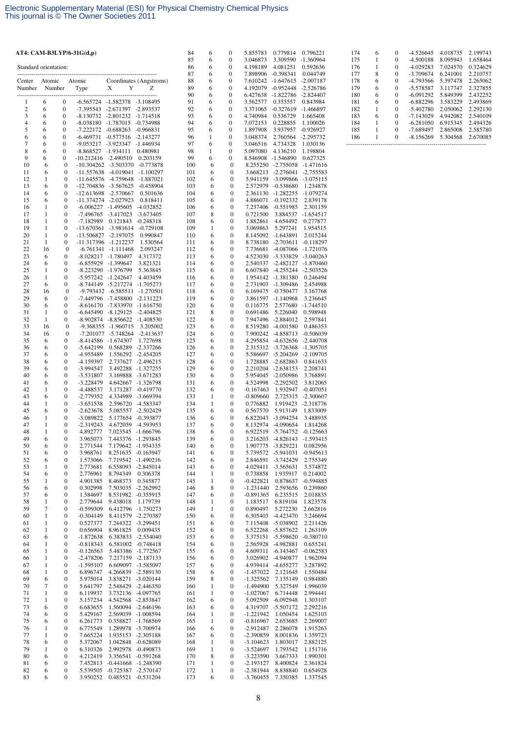|                       |                   |                                      | AT4: CAM-B3LYP/6-31G(d,p)                         |                                                                  |                                          | 84         | 6            | 0                                    | 5.855783                       | 0.779814                                                     | 0.796221                       |
|-----------------------|-------------------|--------------------------------------|---------------------------------------------------|------------------------------------------------------------------|------------------------------------------|------------|--------------|--------------------------------------|--------------------------------|--------------------------------------------------------------|--------------------------------|
| Standard orientation: |                   |                                      |                                                   |                                                                  |                                          | 85<br>86   | 6<br>6       | 0<br>0                               | 3.046873<br>4.198189           | 3.309590<br>4.081251                                         | $-1.360964$<br>0.592636        |
|                       |                   |                                      |                                                   |                                                                  |                                          | 87         | 6            | $\mathbf{0}$                         | 7.898906 -0.398341             |                                                              | 0.044749                       |
| Center<br>Number      | Atomic            | Number                               | Atomic<br>Type                                    | X<br>Y                                                           | Coordinates (Angstroms)<br>Z             | 88<br>89   | 6<br>6       | 0<br>0                               | 7.610242 -1.647615             | 4.192079 -0.952448 -2.526786                                 | $-2.007187$                    |
|                       |                   |                                      |                                                   |                                                                  |                                          | 90         | 6            | 0                                    |                                | 6.427638 -1.822786                                           | -2.824407                      |
| 1<br>$\boldsymbol{2}$ | 6<br>6            | 0<br>$\boldsymbol{0}$                |                                                   | -6.565724 -1.582378 -3.108495<br>-7.395543 -2.671397 -2.893537   |                                          | 91<br>92   | 6<br>6       | 0<br>0                               | 3.562577<br>3.371065           | 0.355557<br>$-0.327619$                                      | 0.843984<br>-1.466897          |
| 3                     | 6                 | $\boldsymbol{0}$                     |                                                   | -8.130732 -2.801232 -1.714518                                    |                                          | 93         | 6            | 0                                    | 4.740984                       | 0.536729                                                     | 1.665408                       |
| $\overline{4}$<br>5   | 6<br>6            | $\boldsymbol{0}$<br>$\boldsymbol{0}$ |                                                   | -8.038180 -1.787015 -0.734988<br>-7.222172 -0.688263 -0.966831   |                                          | 94<br>95   | 6<br>6       | $\boldsymbol{0}$<br>0                | 7.072153<br>1.897908           | 0.228855<br>3.937957                                         | 1.100026<br>-0.926927          |
| 6                     | 6                 | $\boldsymbol{0}$                     |                                                   | -6.469731 -0.577516 -2.143277                                    |                                          | 96         | 1            | $\boldsymbol{0}$                     | 3.048374                       | 2.760564                                                     | $-2.295732$                    |
| 7                     | 6                 | $\boldsymbol{0}$                     |                                                   | -9.053217 -3.923347 -1.446934                                    |                                          | 97         | 6            | 0<br>0                               | 3.046516                       | 4.734328                                                     | 1.030136                       |
| 8<br>9                | 6<br>6            | $\boldsymbol{0}$<br>$\boldsymbol{0}$ | $-8.868527 -1.934111$<br>$-10.212416$ $-2.490510$ |                                                                  | 0.480981<br>0.203159                     | 98<br>99   | 1<br>6       | 0                                    | 5.097080<br>8.546908 -1.546890 | 4.136210                                                     | 1.198804<br>0.627325           |
| 10                    | 6                 | $\mathbf{0}$                         |                                                   | $-10.304262$ $-3.503370$ $-0.773878$                             |                                          | 100        | 6            | $\mathbf{0}$                         |                                | 8.255250 -2.755058 -1.471616                                 |                                |
| 11<br>12              | 6<br>1            | $\boldsymbol{0}$<br>$\boldsymbol{0}$ |                                                   | $-11.557638$ $-4.019041$ $-1.100297$<br>-11.645576 -4.759648     | -1.887021                                | 101<br>102 | 6<br>6       | $\mathbf{0}$<br>$\boldsymbol{0}$     |                                | 3.668213 -2.276041 -2.755583<br>5.941159 -3.099866 -3.075115 |                                |
| 13                    | 6                 | $\boldsymbol{0}$                     |                                                   | -12.704836 -3.567625 -0.458904                                   |                                          | 103        | 6            | $\mathbf{0}$                         |                                | 2.572979 -0.538680                                           | 1.234878                       |
| 14<br>15              | 6<br>6            | $\boldsymbol{0}$<br>$\boldsymbol{0}$ |                                                   | -12.613698 -2.570667<br>-11.374274 -2.027923                     | 0.501636<br>0.818411                     | 104<br>105 | 6<br>6       | 0<br>0                               |                                | 2.361130 -1.282255 -1.079274<br>4.886071 -0.192332           | 2.839178                       |
| 16                    | 1                 | $\boldsymbol{0}$                     |                                                   | $-6.006227$ $-1.495605$ $-4.032852$                              |                                          | 106        | 6            | $\mathbf{0}$                         |                                | 7.237406 -0.551985                                           | 2.301159                       |
| 17<br>18              | 1<br>$\mathbf{1}$ | $\boldsymbol{0}$<br>$\boldsymbol{0}$ | -7.182989                                         | -7.496765 -3.417023 -3.673405<br>0.121843 -0.248318              |                                          | 107<br>108 | 8<br>6       | 0<br>0                               | 0.721500<br>1.882861           | 4.654492                                                     | 3.884537 -1.654517<br>0.277877 |
| 19                    | 1                 | $\boldsymbol{0}$                     |                                                   | -13.670361 -3.981614 -0.729108                                   |                                          | 109        | 1            | $\mathbf{0}$                         | 3.069863                       | 5.297241                                                     | 1.954515                       |
| 20                    | 1                 | $\mathbf{0}$                         |                                                   | -13.506827 -2.197075                                             | 0.990847                                 | 110        | 6            | $\mathbf{0}$                         |                                | 8.145092 -1.643891                                           | 2.015244                       |
| 21<br>22              | 1<br>16           | 0<br>$\boldsymbol{0}$                |                                                   | -11.317396 -1.212237<br>$-6.761341 - 1.111468$                   | 1.530564<br>2.093247                     | 111<br>112 | 6<br>6       | $\boldsymbol{0}$<br>$\boldsymbol{0}$ |                                | 8.738180 -2.703611 -0.118297<br>7.736681 -4.087066 -1.721076 |                                |
| 23                    | 6                 | 0                                    |                                                   | $-8.028217 - 1.780497$                                           | 4.317372                                 | 113        | 6            | $\boldsymbol{0}$                     |                                | 4.523030 -3.333829                                           | $-3.040263$                    |
| 24<br>25              | 6<br>1            | $\bf{0}$<br>$\boldsymbol{0}$         |                                                   | -6.855929 -1.399647<br>-8.223290 -1.976799                       | 3.821321<br>5.363845                     | 114<br>115 | 6<br>6       | $\boldsymbol{0}$<br>$\boldsymbol{0}$ |                                | 2.540337 -2.482127 -1.870460<br>6.607840 -4.255244 -2.503526 |                                |
| 26                    | $\mathbf{1}$      | 0                                    |                                                   | -5.957242 -1.242647                                              | 4.403459                                 | 116        | 6            | $\boldsymbol{0}$                     |                                | 1.954142 -1.381380                                           | 0.246494                       |
| 27<br>28              | 6<br>16           | $\mathbf{0}$<br>$\boldsymbol{0}$     |                                                   | -8.744149 -5.217274 -1.705273<br>-9.793432 -6.585511 -1.270501   |                                          | 117<br>118 | 6<br>6       | $\boldsymbol{0}$<br>$\boldsymbol{0}$ |                                | 2.731903 -1.309486<br>6.169475 -0.750477                     | 2.454988<br>3.167768           |
| 29                    | 6                 | $\mathbf{0}$                         |                                                   | -7.449796 -7.458800 -2.131223                                    |                                          | 119        | 6            | $\boldsymbol{0}$                     |                                | 3.861597 -1.140968                                           | 3.236645                       |
| 30                    | 6                 | $\boldsymbol{0}$                     |                                                   | $-8.616170$ $-7.833970$ $-1.616750$                              |                                          | 120        | 6            | $\mathbf{0}$                         | 0.116775                       |                                                              | 2.577680 -1.744510             |
| 31<br>32              | 1<br>1            | $\boldsymbol{0}$<br>$\mathbf{0}$     |                                                   | $-6.645490 -8.129125 -2.404825$<br>-8.902874 -8.856622 -1.408530 |                                          | 121<br>122 | 8<br>6       | $\boldsymbol{0}$<br>$\mathbf{0}$     | 0.691486                       | 5.226040<br>7.947496 -2.884012                               | 0.598948<br>2.597841           |
| 33                    | 16                | $\boldsymbol{0}$                     |                                                   | -9.368355 -1.960715                                              | 3.205002                                 | 123        | 6            | 0                                    | 8.519280                       | -4.001580                                                    | 0.486353                       |
| 34<br>35              | 16<br>6           | $\boldsymbol{0}$<br>0                |                                                   | -7.201077 -5.748264 -2.413637<br>$-8.414586 - 1.674307$          | 1.727698                                 | 124<br>125 | 6<br>6       | $\boldsymbol{0}$<br>$\mathbf{0}$     |                                | 7.900242 -4.858713 -0.506039<br>4.295854 -4.632656 -2.440708 |                                |
| 36                    | 6                 | $\boldsymbol{0}$                     | $-5.642199$                                       |                                                                  | 0.568289 -2.337266                       | 126        | 6            | 0                                    |                                | 2.315312 -3.726368                                           | -1.305705                      |
| 37<br>38              | 6<br>6            | $\mathbf{0}$<br>$\boldsymbol{0}$     | -4.955489<br>-4.159397                            |                                                                  | 1.556292 -2.454205<br>2.737627 -2.496215 | 127<br>128 | 6<br>6       | $\mathbf{0}$<br>$\mathbf{0}$         |                                | 5.586697 -5.204269 -2.109705<br>1.728885 -2.682863           | 0.841633                       |
| 39                    | 6                 | $\boldsymbol{0}$                     | $-3.994547$                                       |                                                                  | 3.492288 -1.327255                       | 129        | 6            | 0                                    |                                | 2.210204 -2.638153                                           | 2.208741                       |
| 40                    | 6                 | $\mathbf{0}$                         | $-3.531807$                                       |                                                                  | 3.169888 -3.671283                       | 130        | 6            | $\mathbf{0}$<br>$\mathbf{0}$         |                                | 5.954045 -2.050986<br>4.524998 -2.292502                     | 3.768891                       |
| 41<br>42              | 6<br>$\mathbf{1}$ | $\boldsymbol{0}$<br>$\boldsymbol{0}$ | $-3.228479$<br>-4.488537                          | 3.171287                                                         | 4.642667 -1.326798<br>$-0.419770$        | 131<br>132 | 6<br>6       | $\boldsymbol{0}$                     | $-0.167463$                    | 1.932947                                                     | 3.812065<br>$-0.407051$        |
| 43                    | 6                 | $\mathbf{0}$                         | $-2.779352$                                       |                                                                  | 4.334989 -3.669394                       | 133        | 1            | $\mathbf{0}$                         | $-0.809660$                    |                                                              | 2.725315 -2.300607             |
| 44<br>45              | 1<br>6            | $\boldsymbol{0}$<br>$\boldsymbol{0}$ | $-3.651538$<br>$-2.623678$                        | 5.085557                                                         | 2.596720 -4.583347<br>-2.502429          | 134<br>135 | 1<br>6       | $\boldsymbol{0}$<br>$\boldsymbol{0}$ | 0.776882<br>0.567570           | 5.913149                                                     | 1.919423 -2.318776<br>1.833009 |
| 46                    | 1                 | $\mathbf{0}$                         | $-3.089822$                                       |                                                                  | 5.177654 -0.393877                       | 136        | 6            | $\mathbf{0}$                         |                                | 6.822043 -3.094254                                           | 3.488935                       |
| 47<br>48              | 1<br>1            | $\boldsymbol{0}$<br>$\mathbf{0}$     | $-2.319243$<br>4.892777                           | 4.672059                                                         | -4.593953<br>7.023545 -1.666796          | 137<br>138 | 6<br>6       | $\boldsymbol{0}$<br>$\mathbf{0}$     |                                | 8.132974 -4.090654<br>6.922519 -5.764752 -0.125663           | 1.814268                       |
| 49                    | 6                 | $\boldsymbol{0}$                     | 3.965073                                          |                                                                  | 7.443376 -1.293845                       | 139        | 6            | $\boldsymbol{0}$                     |                                | 3.216203 -4.826143                                           | $-1.593415$                    |
| 50<br>51              | 6<br>6            | $\boldsymbol{0}$<br>$\boldsymbol{0}$ | 2.771544<br>3.968761                              |                                                                  | 7.179642 -1.954335<br>8.251635 -0.163947 | 140<br>141 | 6<br>6       | $\boldsymbol{0}$<br>$\boldsymbol{0}$ |                                | 1.907775 -3.829221<br>5.739572 -5.941031                     | 0.082956<br>$-0.945613$        |
| 52                    | 6                 | $\boldsymbol{0}$                     | 1.573066                                          |                                                                  | 7.719542 -1.490216                       | 142        | 6            | $\boldsymbol{0}$                     | 2.846591                       | $-3.742429$                                                  | 2.755349                       |
| 53                    | $\mathbf{1}$      | $\boldsymbol{0}$                     | 2.773681                                          | 6.558093                                                         | $-2.845014$                              | 143        | 6            | 0                                    | 4.029411                       | $-3.565631$                                                  | 3.574872                       |
| 54<br>55              | 6<br>1            | $\boldsymbol{0}$<br>$\boldsymbol{0}$ | 2.776961<br>4.901385                              | 8.794349<br>8.468373                                             | 0.306378<br>0.345877                     | 144<br>145 | 1<br>1       | 0<br>$\boldsymbol{0}$                | 0.738858<br>$-0.422821$        | 1.935917<br>0.878637                                         | 0.214002<br>$-0.594885$        |
| 56                    | 6                 | $\boldsymbol{0}$                     | 0.302998                                          |                                                                  | 7.503035 -2.262992                       | 146        | 8            | 0                                    | $-1.231440$                    | 2.593656                                                     | 0.239860                       |
| 57<br>58              | 6<br>1            | $\boldsymbol{0}$<br>$\boldsymbol{0}$ | 1.584697<br>2.779644                              | 9.438018                                                         | 8.531982 -0.355915<br>1.179739           | 147<br>148 | 6<br>1       | $\boldsymbol{0}$<br>$\boldsymbol{0}$ | $-0.891365$<br>1.183517        | 6.235515<br>6.819104                                         | 2.018835<br>1.823578           |
| 59                    | $\boldsymbol{7}$  | $\boldsymbol{0}$                     | $-0.599309$                                       |                                                                  | 6.412796 -1.750273                       | 149        | 1            | 0                                    | 0.890497                       | 5.272230                                                     | 2.662816                       |
| 60<br>61              | 1<br>$\mathbf{1}$ | $\boldsymbol{0}$<br>$\boldsymbol{0}$ | $-0.304149$<br>0.527377                           |                                                                  | 8.411579 -2.270387<br>7.244322 -3.299451 | 150<br>151 | 6<br>6       | $\boldsymbol{0}$<br>$\boldsymbol{0}$ |                                | 6.305403 -4.423470<br>7.115408 -5.038902                     | 3.246694<br>2.211426           |
| 62                    | 1                 | 0                                    | 0.656904                                          | 8.961825                                                         | 0.009435                                 | 152        | 6            | 0                                    |                                | 6.522268 -5.857622                                           | 1.263109                       |
| 63<br>64              | 6<br>1            | $\boldsymbol{0}$<br>$\boldsymbol{0}$ | $-1.872638$<br>$-0.818343$                        |                                                                  | 6.383833 -2.554040<br>6.581002 -0.748418 | 153<br>154 | 6<br>6       | $\boldsymbol{0}$<br>$\boldsymbol{0}$ | 2.565928                       | 3.375151 -5.598620 -0.380710<br>-4.982881                    | 0.655241                       |
| 65                    | $\mathbf 1$       | $\boldsymbol{0}$                     | $-0.126563$                                       |                                                                  | 5.483386 -1.772567                       | 155        | 6            | 0                                    |                                | 4.609311 -6.143467                                           | $-0.062583$                    |
| 66                    | $\mathbf{1}$      | $\boldsymbol{0}$                     | $-2.478206$                                       |                                                                  | 7.217159 -2.187133                       | 156        | 6            | $\boldsymbol{0}$                     |                                | 3.026902 -4.940877                                           | 1.962094                       |
| 67<br>68              | $\mathbf{1}$<br>1 | $\boldsymbol{0}$<br>$\boldsymbol{0}$ | $-1.595107$<br>6.896747                           |                                                                  | 6.609097 -3.585097<br>4.266839 -2.589130 | 157<br>158 | 6<br>6       | $\boldsymbol{0}$<br>0                | $-1.457022$                    | 4.939414 -4.655277<br>2.121645                               | 3.287892<br>1.550484           |
| 69                    | 6                 | $\boldsymbol{0}$                     | 5.975014                                          |                                                                  | 3.838271 -3.020144                       | 159        | 8            | $\boldsymbol{0}$                     | $-1.325562$                    | 7.135149                                                     | 0.984880                       |
| 70<br>71              | 7<br>1            | $\boldsymbol{0}$<br>$\boldsymbol{0}$ | 5.641797<br>6.119937                              |                                                                  | 2.548429 -2.446350<br>3.732136 -4.097765 | 160<br>161 | 1<br>1       | $\boldsymbol{0}$<br>0                | $-1.494900$<br>$-1.027067$     | 5.327549<br>6.714448                                         | 1.996039<br>2.994441           |
| 72                    | $\mathbf{1}$      | $\boldsymbol{0}$                     | 5.157234                                          |                                                                  | 4.542568 -2.853847                       | 162        | 6            | $\boldsymbol{0}$                     | 5.092509                       | $-6.092948$                                                  | 1.303107                       |
| 73<br>74              | 6<br>6            | $\boldsymbol{0}$<br>$\boldsymbol{0}$ | 6.683655<br>5.429167                              | 2.569039                                                         | 1.560094 -2.646196<br>-1.008594          | 163<br>164 | 6<br>1       | $\boldsymbol{0}$<br>0                | 4.319707<br>$-1.221942$        | $-5.507172$<br>1.050454                                      | 2.292216<br>1.625103           |
| 75                    | 6                 | $\boldsymbol{0}$                     | 6.261773                                          |                                                                  | 0.358827 -1.768569                       | 165        | 1            | $\boldsymbol{0}$                     | $-0.816967$                    | 2.653685                                                     | 2.269007                       |
| 76<br>77              | 1                 | $\boldsymbol{0}$                     | 6.775549<br>7.665224                              |                                                                  | 1.289978 -3.700974                       | 166        | 6            | $\boldsymbol{0}$<br>0                | $-2.912487$                    | 2.286078                                                     | 1.915263                       |
| 78                    | 1<br>6            | $\boldsymbol{0}$<br>$\boldsymbol{0}$ | 5.372067                                          |                                                                  | 1.935153 -2.305188<br>1.042848 -0.628089 | 167<br>168 | 6<br>1       | $\boldsymbol{0}$                     | $-2.390859$<br>$-3.104623$     | 8.001836<br>1.803017                                         | 1.359723<br>2.882125           |
| 79                    | 1                 | $\boldsymbol{0}$                     | 6.310326                                          | 2.992978                                                         | $-0.490873$                              | 169        | $\mathbf{1}$ | $\boldsymbol{0}$                     | $-3.524697$                    | 1.793542                                                     | 1.151716                       |
| 80<br>81              | 6<br>6            | $\boldsymbol{0}$<br>0                | 4.212419<br>7.452813                              | 3.356541<br>$-0.441668 - 1.248390$                               | $-0.591268$                              | 170<br>171 | 8<br>1       | $\boldsymbol{0}$<br>$\boldsymbol{0}$ | $-3.223590$<br>$-2.193127$     | 3.667333<br>8.400824                                         | 1.990301<br>2.361824           |
| 82                    | 6                 | $\boldsymbol{0}$                     | 5.539505                                          | -0.725387 -2.570147                                              |                                          | 172        | $\mathbf{1}$ | $\boldsymbol{0}$                     | $-2.381944$                    | 8.838840                                                     | 0.654928                       |
| 83                    | 6                 | $\boldsymbol{0}$                     | 3.950252                                          | 0.485521 -0.531204                                               |                                          | 173        | 6            | $\boldsymbol{0}$                     | $-3.760455$                    | 7.350385                                                     | 1.337545                       |

| 174 | 6 | 0        | $-4.526645$ | 4.018735      | 2.199743 |
|-----|---|----------|-------------|---------------|----------|
| 175 | 1 | $\Omega$ | $-4.500188$ | 8.095943      | 1.658464 |
| 176 |   | 0        | $-4.029283$ | 7 024570      | 0.324629 |
| 177 | 8 | 0        | $-3.709674$ | 6.241001      | 2.210757 |
| 178 | 6 | 0        | $-4.793566$ | 5.397478      | 2.265062 |
| 179 | 6 | 0        | $-5.578587$ | 3 1 1 7 7 4 7 | 2.327855 |
| 180 | 6 | 0        | $-6.091292$ | 5.849399      | 2.432252 |
| 181 | 6 | 0        | $-6.882296$ | 3.583229      | 2.493869 |
| 182 | 1 | 0        | $-5.402780$ | 2.050062      | 2.292130 |
| 183 | 6 | 0        | $-7.143029$ | 4.942082      | 2.540109 |
| 184 |   | $\Omega$ | $-6.281050$ | 6.915345      | 2.494326 |
| 185 |   | 0        | $-7.689497$ | 2.865008      | 2.585780 |
| 186 |   | 0        | $-8.156269$ | 5.304568      | 2.670085 |
|     |   |          |             |               |          |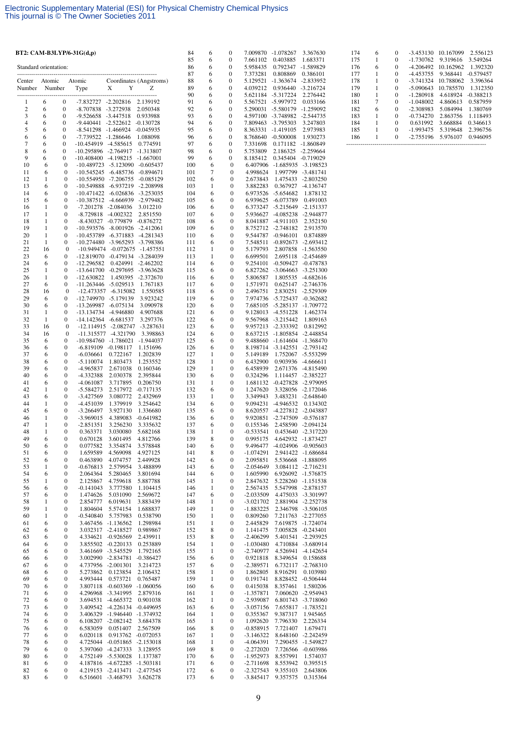|                       |                              |                                      | BT2: CAM-B3LYP/6-31 $G(d,p)$ |                                                                  |                         | 84         | 6                 | $\boldsymbol{0}$                     |                            | 7.009870 -1.078267                       | 3.367630                                                     |
|-----------------------|------------------------------|--------------------------------------|------------------------------|------------------------------------------------------------------|-------------------------|------------|-------------------|--------------------------------------|----------------------------|------------------------------------------|--------------------------------------------------------------|
|                       |                              |                                      |                              |                                                                  |                         | 85<br>86   | 6<br>6            | $\boldsymbol{0}$<br>0                | 7.661102<br>5.958435       | 0.403885<br>0.792347                     | 1.683371                                                     |
| Standard orientation: |                              |                                      |                              |                                                                  |                         | 87         | 6                 | $\boldsymbol{0}$                     | 7.373281                   | 0.808869                                 | -1.589829<br>0.386101                                        |
| Center                | Atomic                       |                                      | Atomic                       |                                                                  | Coordinates (Angstroms) | 88         | 6                 | 0                                    | 5.129521                   | $-1.363674$                              | -2.833952                                                    |
| Number                | Number                       |                                      | Type                         | X<br>Y                                                           | Z                       | 89<br>90   | 6<br>6            | 0<br>0                               | 4.039212                   | 0.936440 -3.216724<br>5.621184 -5.317224 | 2.276442                                                     |
| 1                     | 6                            | $\boldsymbol{0}$                     |                              | -7.832727 -2.202816 2.139192                                     |                         | 91         | 6                 | 0                                    | 5.567521                   | -5.997972                                | 0.033166                                                     |
| $\boldsymbol{2}$      | 6                            | $\boldsymbol{0}$                     |                              | -8.707838 -3.272938                                              | 2.050348                | 92         | 6                 | 0                                    |                            | 5.290031 -5.580179 -1.259092             |                                                              |
| 3<br>$\overline{4}$   | 6<br>6                       | $\boldsymbol{0}$                     |                              | -9.526658 -3.447518                                              | 0.933988                | 93<br>94   | 6                 | 0                                    |                            | 4.597100 -3.748982 -2.544735             |                                                              |
| 5                     | 6                            | $\bf{0}$<br>$\bf{0}$                 | -9.440441                    | $-2.522612$ $-0.130728$<br>-8.541298 -1.466924 -0.045935         |                         | 95         | 6<br>6            | 0<br>0                               | 7.809463<br>8.363331       | -3.795303<br>$-1.419105$                 | 3.247803<br>2.973983                                         |
| 6                     | 6                            | $\bf{0}$                             |                              | -7.739522 -1.286646                                              | 1.088098                | 96         | 6                 | $\boldsymbol{0}$                     | 8.768640                   | $-0.500008$                              | 1.930273                                                     |
| $\overline{7}$<br>8   | 6<br>6                       | $\boldsymbol{0}$<br>$\boldsymbol{0}$ | -10.454919 -4.585615         | -10.295896 -2.764917 -1.313807                                   | 0.774591                | 97<br>98   | 6<br>6            | 0<br>$\boldsymbol{0}$                | 7.331698<br>5.753809       | 0.171182 -1.860849<br>2.186325 -2.259664 |                                                              |
| 9                     | 6                            | $\boldsymbol{0}$                     |                              | $-10.408400$ $-4.198215$ $-1.667001$                             |                         | 99         | 6                 | 0                                    |                            | 8.185412  0.345404  -0.719029            |                                                              |
| 10                    | 6                            | $\boldsymbol{0}$                     |                              | -10.489723 -5.123090 -0.605437                                   |                         | 100        | 6                 | $\mathbf{0}$                         |                            |                                          | 6.407906 -1.685935 -3.198523                                 |
| 11<br>12              | 6<br>$\mathbf{1}$            | $\boldsymbol{0}$<br>$\boldsymbol{0}$ |                              | -10.545245 -6.485736 -0.894671<br>-10.554950 -7.206755           | -0.085129               | 101<br>102 | 7<br>6            | $\boldsymbol{0}$<br>$\boldsymbol{0}$ | 4.998624<br>2.673843       |                                          | 1.997799 -3.481741<br>1.475433 -2.803250                     |
| 13                    | 6                            | $\boldsymbol{0}$                     |                              | -10.549888 -6.937219 -2.208998                                   |                         | 103        | 1                 | 0                                    | 3.882283                   |                                          | 0.367927 -4.136747                                           |
| 14                    | 6                            | $\boldsymbol{0}$                     |                              | -10.471422 -6.026836 -3.253035                                   |                         | 104        | 6                 | $\boldsymbol{0}$                     |                            | 6.973526 -5.654682                       | 1.878132                                                     |
| 15<br>16              | 6<br>1                       | $\boldsymbol{0}$<br>$\boldsymbol{0}$ |                              | -10.387512 -4.666939 -2.979482<br>-7.201278 -2.084036            | 3.012210                | 105<br>106 | 6<br>6            | 0<br>0                               |                            | 6.939625 -6.073789                       | 0.491003<br>6.373247 -5.215649 -2.151337                     |
| 17                    | $\mathbf{1}$                 | $\boldsymbol{0}$                     |                              | -8.729818 -4.002322                                              | 2.851550                | 107        | 6                 | $\boldsymbol{0}$                     |                            |                                          | 5.936627 -4.085238 -2.944877                                 |
| 18                    | 1                            | 0                                    |                              | -8.430327 -0.779879 -0.876272                                    |                         | 108        | 6                 | 0                                    |                            | 8.041887 -4.911103                       | 2.352150                                                     |
| 19<br>20              | $\mathbf{1}$<br>$\mathbf{1}$ | $\boldsymbol{0}$<br>$\mathbf{0}$     |                              | -10.593576 -8.001926 -2.412061<br>-10.453789 -6.371883 -4.281343 |                         | 109<br>110 | 6<br>6            | 0<br>$\boldsymbol{0}$                |                            | 8.752712 -2.748182<br>9.544787 -0.946101 | 2.913570<br>0.874889                                         |
| 21                    | 1                            | $\boldsymbol{0}$                     |                              | -10.274480 -3.965293 -3.798386                                   |                         | 111        | 6                 | 0                                    |                            | 7.548511 -0.892673                       | -2.693412                                                    |
| 22                    | 16                           | $\mathbf{0}$                         |                              | -10.949474 -0.072675 -1.457551                                   |                         | 112        | $\mathbf{1}$      | $\boldsymbol{0}$                     | 5.179793                   |                                          | 2.807858 -1.563550                                           |
| 23<br>24              | 6<br>6                       | $\mathbf{0}$<br>$\boldsymbol{0}$     | -12.819070<br>$-12.296582$   | -0.479134 -3.284039                                              | 0.424991 -2.462202      | 113<br>114 | 1<br>6            | $\boldsymbol{0}$<br>0                | 6.699501                   |                                          | 2.695118 -2.454689<br>9.254101 -0.509427 -0.478783           |
| 25                    | $\mathbf{1}$                 | $\boldsymbol{0}$                     |                              | -13.641700 -0.297695 -3.963628                                   |                         | 115        | 6                 | 0                                    |                            |                                          | 6.827262 -3.064663 -3.251300                                 |
| 26                    | 1                            | $\boldsymbol{0}$                     | -12.630822                   |                                                                  | 1.450395 -2.372670      | 116        | 6                 | $\boldsymbol{0}$                     | 5.806587                   |                                          | 1.805535 -4.682616                                           |
| 27<br>28              | 6<br>16                      | $\boldsymbol{0}$<br>$\mathbf{0}$     |                              | -11.263446 -5.029513<br>-12.473357 -6.315082                     | 1.767183<br>1.550585    | 117<br>118 | 6<br>6            | 0<br>0                               | 1.571971<br>2.496751       |                                          | 0.625147 -2.746376<br>2.830251 -2.529309                     |
| 29                    | 6                            | 0                                    |                              | -12.749970 -5.179139                                             | 3.923242                | 119        | 6                 | $\boldsymbol{0}$                     |                            |                                          | 7.974736 -5.725437 -0.362682                                 |
| 30                    | 6<br>$\mathbf{1}$            | $\boldsymbol{0}$                     |                              | -13.269987 -6.075134                                             | 3.090978                | 120        | 6                 | 0                                    |                            |                                          | 7.685105 -5.285137 -1.709772                                 |
| 31<br>32              | 1                            | 0<br>0                               |                              | -13.134734 -4.946880<br>-14.142364 -6.681537                     | 4.907688<br>3.297376    | 121<br>122 | 6<br>6            | $\boldsymbol{0}$<br>0                |                            | 9.128013 -4.551228<br>9.567968 -3.215442 | 1.462374<br>1.809163                                         |
| 33                    | 16                           | $\bf{0}$                             |                              | $-12.114915 - 2.082747$                                          | $-3.287631$             | 123        | 6                 | $\boldsymbol{0}$                     |                            | 9.957213 -2.333392                       | 0.812992                                                     |
| 34<br>35              | 16<br>6                      | $\boldsymbol{0}$<br>0                |                              | -11.315577 -4.321790<br>-10.984760 -1.786021 -1.944037           | 3.398863                | 124<br>125 | 6<br>6            | $\boldsymbol{0}$<br>0                |                            |                                          | 8.637215 -1.805854 -2.448854<br>9.488660 -1.614604 -1.368470 |
| 36                    | 6                            | 0                                    |                              | $-6.819109$ $-0.198117$                                          | 1.151696                | 126        | 6                 | 0                                    |                            |                                          | 8.198714 -3.142551 -2.793142                                 |
| 37                    | 6                            | 0                                    | $-6.036661$                  | 0.722167                                                         | 1.202839                | 127        | 1                 | $\boldsymbol{0}$                     | 5.149189                   |                                          | 1.752067 -5.553299                                           |
| 38<br>39              | 6<br>6                       | $\boldsymbol{0}$<br>0                | $-5.110074$<br>-4.965837     | 1.803473<br>2.671038                                             | 1.253552<br>0.160346    | 128<br>129 | 1<br>1            | 0<br>$\boldsymbol{0}$                | 6.432900<br>6.458939       |                                          | 0.903936 -4.666611<br>2.671376 -4.815490                     |
| 40                    | 6                            | $\boldsymbol{0}$                     | -4.332388                    | 2.030378                                                         | 2.395844                | 130        | 6                 | $\boldsymbol{0}$                     | 0.324296                   |                                          | 1.114457 -2.385227                                           |
| 41                    | 6                            | $\boldsymbol{0}$                     | -4.061087                    | 3.717895                                                         | 0.206750                | 131        | 1                 | 0                                    |                            |                                          | 1.681132 -0.427828 -2.979095                                 |
| 42<br>43              | 1<br>6                       | $\boldsymbol{0}$<br>$\boldsymbol{0}$ | $-5.584273$<br>$-3.427569$   | 2.517972<br>3.080772                                             | -0.717135<br>2.432969   | 132<br>133 | 6<br>1            | $\boldsymbol{0}$<br>$\mathbf{0}$     | 1.247620<br>3.349943       |                                          | 3.328056 -2.172046<br>3.483231 -2.648640                     |
| 44                    | $\mathbf{1}$                 | $\boldsymbol{0}$                     | $-4.451039$                  | 1.379919                                                         | 3.254642                | 134        | 6                 | 0                                    |                            | 9.094231 -4.946532                       | 0.134302                                                     |
| 45<br>46              | 6<br>1                       | 0<br>$\boldsymbol{0}$                | -3.266497<br>$-3.969015$     | 3.927130<br>4.389083                                             | 1.336680<br>$-0.641982$ | 135<br>136 | 6<br>6            | 0<br>0                               | 8.620557                   |                                          | -4.227812 -2.043887<br>9.920851 -2.747509 -0.576187          |
| 47                    | 1                            | $\boldsymbol{0}$                     | $-2.851351$                  | 3.256230                                                         | 3.335632                | 137        | 6                 | 0                                    | 0.155346                   |                                          | 2.458590 -2.094124                                           |
| 48                    | 1                            | $\mathbf{0}$                         | 0.363371                     | 3.030080                                                         | 5.682168                | 138        | 1                 | $\boldsymbol{0}$                     | $-0.533541$                |                                          | 0.453640 -2.317220                                           |
| 49<br>50              | 6<br>6                       | 0<br>0                               | 0.670128<br>0.077582         | 3.601495<br>3.354874                                             | 4.812766<br>3.578848    | 139<br>140 | 8<br>6            | 0<br>0                               | 0.995175<br>9.496477       |                                          | 4.642932 -1.873427<br>-4.024906 -0.905603                    |
| 51                    | 6                            | 0                                    | 1.659589                     | 4.569098                                                         | 4.927125                | 141        | 8                 | 0                                    | $-1.074291$                |                                          | 2.941422 -1.686684                                           |
| 52                    | 6                            | 0                                    | 0.463890                     | 4.074757                                                         | 2.449928                | 142        | 6                 | 0                                    | 2.095851                   |                                          | 5.536668 -1.888095                                           |
| 53<br>54              | 1<br>6                       | $\boldsymbol{0}$<br>0                | -0.676813<br>2.064364        | 2.579954<br>5.280465                                             | 3.488899<br>3.801694    | 143<br>144 | 6<br>6            | 0<br>0                               | $-2.054649$<br>1.605990    |                                          | 3.084112 -2.716231<br>6.926092 -1.576875                     |
| 55                    | 1                            | 0                                    | 2.125867                     | 4.759618                                                         | 5.887788                | 145        | 1                 | 0                                    | 2.847632                   |                                          | 5.228260 -1.151538                                           |
| 56                    | 6                            | 0                                    | $-0.141043$                  | 3.777580<br>5.031090                                             | 1.104415                | 146        | 1<br>6            | 0                                    | 2.567435                   |                                          | 5.547998 -2.878157                                           |
| 57<br>58              | 6<br>1                       | 0<br>0                               | 1.474626<br>2.854777         | 6.019631                                                         | 2.569672<br>3.883439    | 147<br>148 | 1                 | 0<br>0                               | $-2.033509$<br>$-3.021702$ |                                          | 4.475033 -3.301997<br>2.881904 -2.252738                     |
| 59                    | 1                            | 0                                    | 1.804604                     | 5.574154                                                         | 1.688837                | 149        | 1                 | 0                                    | $-1.883225$                |                                          | 2.346798 -3.506105                                           |
| 60<br>61              | $\mathbf{1}$<br>6            | 0<br>$\boldsymbol{0}$                | $-0.540840$                  | 5.757983<br>3.467456 -1.136562                                   | 0.538790<br>1.298984    | 150<br>151 | 1<br>$\mathbf{1}$ | 0<br>0                               | 0.809260<br>2.445829       |                                          | 7.211763 -2.277055<br>7.619875 -1.724074                     |
| 62                    | 6                            | 0                                    | 3.032317                     | -2.418527                                                        | 0.989867                | 152        | 8                 | 0                                    | 1.141475                   | 7.005828                                 | -0.243401                                                    |
| 63                    | 6                            | $\boldsymbol{0}$                     |                              | 4.334621 -0.926569                                               | 2.439911                | 153        | 8                 | 0                                    | $-2.406299$                | 5.401541                                 | -2.293925                                                    |
| 64<br>65              | 6<br>6                       | 0<br>0                               | 3.461669                     | 3.855502 -0.220133<br>$-3.545529$                                | 0.253889<br>1.792165    | 154<br>155 | 1<br>1            | 0<br>0                               | $-1.030480$<br>$-2.740977$ | 4.710884<br>4.526941                     | -3.680914<br>$-4.142654$                                     |
| 66                    | 6                            | $\boldsymbol{0}$                     |                              | 3.002990 -2.834781                                               | $-0.386427$             | 156        | 6                 | 0                                    | 0.921818                   | 8.349654                                 | 0.158688                                                     |
| 67                    | 6                            | 0                                    |                              | 4.737956 -2.001301                                               | 3.214723                | 157        | 6                 | 0                                    | $-2.389571$                |                                          | 6.732117 -2.768310                                           |
| 68<br>69              | 6<br>6                       | 0<br>$\boldsymbol{0}$                | 5.273862<br>4.993444         | 0.123854<br>0.573721                                             | 2.106432<br>0.765487    | 158<br>159 | 1<br>$\mathbf{1}$ | 0<br>0                               | 1.862805<br>0.191741       | 8.916291<br>8.828452                     | 0.103980<br>$-0.506444$                                      |
| 70                    | 6                            | 0                                    | 3.807118                     | -0.603369                                                        | $-1.060056$             | 160        | 6                 | 0                                    | 0.415038                   | 8.357461                                 | 1.580206                                                     |
| 71                    | 6                            | 0                                    | 4.296968                     | $-3.341995$                                                      | 2.879316                | 161        | 1                 | 0                                    | $-1.357871$                | 7.060620                                 | -2.954943                                                    |
| 72<br>73              | 6<br>6                       | $\boldsymbol{0}$<br>0                | 3.694531                     | -4.665372<br>3.409542 -4.226134                                  | 0.901038<br>$-0.449695$ | 162<br>163 | $\mathbf{1}$<br>6 | 0<br>0                               | -2.939087<br>$-3.057156$   |                                          | 6.801743 -3.718060<br>7.655817 -1.783521                     |
| 74                    | 6                            | 0                                    |                              | 3.406329 -1.946440                                               | -1.374932               | 164        | 1                 | 0                                    | 0.355367                   | 9.387317                                 | 1.945465                                                     |
| 75                    | 6                            | 0                                    |                              | 6.108207 -2.082142                                               | 3.684378                | 165        | 1                 | 0                                    | 1.092620                   | 7.796330                                 | 2.226334                                                     |
| 76<br>77              | 6<br>6                       | 0<br>0                               | 6.583059<br>6.020118         | 0.051407<br>0.913762                                             | 2.567509<br>$-0.072053$ | 166<br>167 | 8<br>$\mathbf{1}$ | 0<br>0                               | $-0.858915$<br>$-3.146322$ | 7.721407<br>8.648160                     | 1.679471<br>-2.242459                                        |
| 78                    | 6                            | 0                                    | 4.725044                     | $-0.051865 - 2.153018$                                           |                         | 168        | 1                 | 0                                    | -4.064391                  |                                          | 7.290455 -1.549827                                           |
| 79<br>80              | 6                            | 0                                    | 5.397060                     | -4.247333<br>4.752149 -5.530028                                  | 3.128955                | 169        | 8                 | 0<br>0                               | $-2.272020$                | 7.726566<br>8.557991                     | -0.603986                                                    |
| 81                    | 6<br>6                       | 0<br>0                               |                              | 4.187816 -4.672285                                               | 1.137387<br>-1.503181   | 170<br>171 | 6<br>6            | 0                                    | $-1.952973$<br>$-2.711698$ | 8.553942                                 | 1.574037<br>0.395515                                         |
| 82                    | 6                            | 0                                    |                              | 4.219153 -2.413471                                               | $-2.477545$             | 172        | 6                 | 0                                    | $-2.327543$                | 9.355103                                 | 2.643806                                                     |
| 83                    | 6                            | 0                                    | 6.516601                     | -3.468793                                                        | 3.626278                | 173        | 6                 | 0                                    | $-3.845417$                | 9.357575                                 | 0.315364                                                     |

| 174 | 6 | 0        | $-3.453130$ | 10.167099 | 2.556123    |
|-----|---|----------|-------------|-----------|-------------|
| 175 | 1 | $\theta$ | $-1.730762$ | 9.319616  | 3.549264    |
| 176 | 6 | $\theta$ | $-4.206492$ | 10.162962 | 1.392320    |
| 177 |   | $\theta$ | $-4.453755$ | 9.368441  | $-0.579457$ |
| 178 |   | 0        | $-3.741324$ | 10.788062 | 3.396364    |
| 179 |   | $\Omega$ | $-5.090643$ | 10.785570 | 1.312350    |
| 180 | 1 | $\theta$ | $-1.280918$ | 4.618924  | $-0.388213$ |
| 181 | 7 | $\theta$ | $-1.048002$ | 4.860613  | 0.587959    |
| 182 | 6 | $\theta$ | $-2.308983$ | 5.084994  | 1.380769    |
| 183 | 1 | $\Omega$ | $-0.734270$ | 2.863756  | 1.118493    |
| 184 | 1 | $\Omega$ | 0.631992    | 3.668884  | 0.346613    |
| 185 |   | $\Omega$ | $-1.993475$ | 5.319648  | 2.396756    |
| 186 |   | 0        | $-2.755196$ | 5.976107  | 0.946095    |
|     |   |          |             |           |             |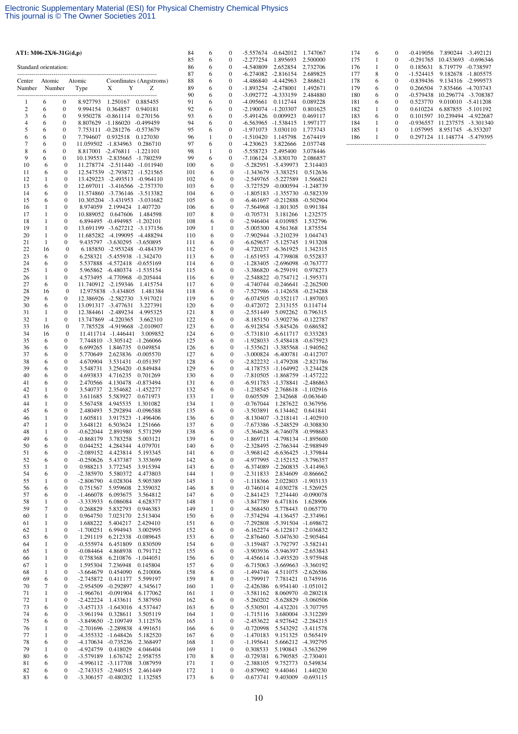| AT1: M06-2X/6-31 $G(d,p)$ |                   |                                      |                                 |                                                                |                              | 84         | 6                            | 0                                    | -5.557674 -0.642012                        |                                                      | 1.747067                                  |
|---------------------------|-------------------|--------------------------------------|---------------------------------|----------------------------------------------------------------|------------------------------|------------|------------------------------|--------------------------------------|--------------------------------------------|------------------------------------------------------|-------------------------------------------|
| Standard orientation:     |                   |                                      |                                 |                                                                |                              | 85<br>86   | 6<br>6                       | 0<br>0                               | $-2.277254$<br>-4.540809                   | 1.895693<br>2.652854                                 | 2.500000<br>2.732706                      |
|                           |                   |                                      |                                 |                                                                |                              | 87         | 6                            | $\overline{0}$                       | $-6.274082$ $-2.816154$                    |                                                      | 2.689825                                  |
| Center<br>Number          | Atomic            | Number                               | Atomic                          | Y<br>X                                                         | Coordinates (Angstroms)<br>Z | 88<br>89   | 6<br>6                       | 0<br>$\boldsymbol{0}$                | -4.486840 -4.442963<br>-1.893254 -2.478001 |                                                      | 2.868621<br>1.492671                      |
|                           |                   |                                      | Type                            |                                                                |                              | 90         | 6                            | $\overline{0}$                       | -3.092772 -4.333159                        |                                                      | 2.484880                                  |
| 1                         | 6                 | $\boldsymbol{0}$                     | 8.927793                        | 1.250167                                                       | 0.885455                     | 91         | 6                            | 0                                    | $-4.095661$                                | 0.112744                                             | 0.089228                                  |
| $\overline{2}$<br>3       | 6<br>6            | $\boldsymbol{0}$<br>$\boldsymbol{0}$ | 9.994154<br>9.950278 -0.861114  | 0.364857                                                       | 0.940181<br>0.270156         | 92<br>93   | 6<br>6                       | $\boldsymbol{0}$<br>$\overline{0}$   | -2.190074 -1.203307<br>-5.491426           | 0.009923                                             | 0.801625<br>0.469117                      |
| $\overline{4}$            | 6                 | $\boldsymbol{0}$                     | 8.807629 -1.186020              |                                                                | $-0.499459$                  | 94         | 6                            | 0                                    | $-6.563965$                                | $-1.538415$                                          | 1.997177                                  |
| 5                         | 6<br>6            | $\boldsymbol{0}$<br>$\boldsymbol{0}$ | 7.753111 -0.281276              |                                                                | -0.573679                    | 95<br>96   | 6<br>1                       | $\boldsymbol{0}$<br>0                | -1.971073<br>$-1.510420$                   | 3.030110                                             | 1.773743                                  |
| 6<br>7                    | 6                 | $\boldsymbol{0}$                     | 7.794607<br>11.059502 -1.834963 | 0.932518                                                       | 0.127030<br>0.286710         | 97         | 6                            | 0                                    | -4.230623                                  | 1.145798<br>3.822666                                 | 2.674419<br>2.037748                      |
| 8                         | 6                 | $\mathbf{0}$                         |                                 | 8.817001 -2.476811 -1.221101                                   |                              | 98         | $\mathbf{1}$                 | $\boldsymbol{0}$                     | -5.558723                                  | 2.495400                                             | 3.078446                                  |
| 9<br>10                   | 6<br>6            | $\boldsymbol{0}$<br>$\boldsymbol{0}$ |                                 | 10.139553 -2.835665 -1.780259<br>11.278774 -2.511440 -1.011940 |                              | 99<br>100  | 6<br>6                       | 0<br>$\boldsymbol{0}$                | -7.106124 -3.830170                        | -5.282951 -5.439973                                  | 2.086857<br>2.314403                      |
| 11                        | 6                 | $\boldsymbol{0}$                     |                                 | 12.547539 -2.793872 -1.521565                                  |                              | 101        | 6                            | $\mathbf{0}$                         |                                            | -1.343679 -3.383251                                  | 0.512636                                  |
| 12<br>13                  | 1<br>6            | $\boldsymbol{0}$<br>0                |                                 | 13.429223 -2.493513 -0.964110<br>12.697011 -3.416566 -2.757370 |                              | 102<br>103 | 6<br>6                       | $\boldsymbol{0}$<br>$\boldsymbol{0}$ |                                            | -2.549765 -5.227589<br>-3.727529 -0.000594           | 1.566821                                  |
| 14                        | 6                 | 0                                    |                                 | 11.574860 -3.736146 -3.513382                                  |                              | 104        | 6                            | $\mathbf{0}$                         |                                            | $-1.805183 - 1.355730$                               | -1.248739<br>-0.582339                    |
| 15                        | 6                 | 0                                    |                                 | 10.305204 -3.431953 -3.031682                                  |                              | 105        | 6                            | $\boldsymbol{0}$                     |                                            | $-6.461697 -0.212888$                                | $-0.502904$                               |
| 16<br>17                  | 1<br>1            | $\boldsymbol{0}$<br>0                | 8.974059<br>10.889052           | 2.199424<br>0.647606                                           | 1.407720<br>1.484598         | 106<br>107 | 6<br>8                       | $\mathbf{0}$<br>$\mathbf{0}$         | $-7.564968$<br>$-0.705731$                 | $-1.801305$<br>3.181266                              | 0.991384<br>1.232575                      |
| 18                        | 1                 | $\boldsymbol{0}$                     |                                 | 6.894495 -0.494985 -1.202101                                   |                              | 108        | 6                            | $\boldsymbol{0}$                     | $-2.946404$                                | 4.010985                                             | 1.532796                                  |
| 19                        | $\mathbf{1}$      | 0                                    |                                 | 13.691199 -3.627212 -3.137156                                  |                              | 109        | 1                            | $\mathbf{0}$                         | $-5.005300$                                | 4.561368                                             | 1.875554                                  |
| 20<br>21                  | $\mathbf{1}$<br>1 | 0<br>0                               |                                 | 11.685282 -4.199095<br>9.435797 -3.630295 -3.650895            | -4.488294                    | 110<br>111 | 6<br>6                       | $\boldsymbol{0}$<br>$\boldsymbol{0}$ |                                            | -7.902944 -3.210239<br>$-6.629657 - 5.125745$        | 1.044743<br>1.913208                      |
| 22                        | 16                | $\boldsymbol{0}$                     |                                 | 6.185850 -2.953248 -0.484339                                   |                              | 112        | 6                            | $\boldsymbol{0}$                     |                                            | -4.720237 -6.361925                                  | 1.342315                                  |
| 23<br>24                  | 6<br>6            | 0<br>0                               | 5.537888                        | 6.258321 -5.455938<br>-4.572418                                | -1.342470<br>$-0.655169$     | 113<br>114 | 6<br>6                       | $\boldsymbol{0}$<br>$\boldsymbol{0}$ |                                            | -1.651953 -4.739808<br>-1.283405 -2.696098           | 0.552837<br>$-0.763777$                   |
| 25                        | 1                 | 0                                    |                                 | 5.965862 -6.480374 -1.535154                                   |                              | 115        | 6                            | $\boldsymbol{0}$                     |                                            | -3.386820 -6.259191                                  | 0.978273                                  |
| 26                        | 1                 | 0                                    |                                 | 4.573495 -4.770968                                             | $-0.205444$                  | 116        | 6                            | $\boldsymbol{0}$                     |                                            | -2.548822 -0.754712                                  | $-1.595371$                               |
| 27<br>28                  | 6<br>16           | 0<br>$\bf{0}$                        |                                 | 11.740912 -2.159346<br>12.975838 -3.434805                     | 1.415754<br>1.481384         | 117<br>118 | 6<br>6                       | $\mathbf{0}$<br>$\boldsymbol{0}$     |                                            | $-4.740744$ $-0.246641$<br>-7.527986 -1.142658       | $-2.262500$<br>$-0.234288$                |
| 29                        | 6                 | 0                                    |                                 | 12.386926 -2.582730                                            | 3.917021                     | 119        | 6                            | $\boldsymbol{0}$                     |                                            | $-6.074505$ $-0.352117$                              | $-1.897003$                               |
| 30<br>31                  | 6<br>1            | 0<br>0                               |                                 | 13.091317 -3.477631<br>12.384461 -2.489234                     | 3.227391<br>4.995325         | 120<br>121 | 6<br>8                       | $\mathbf{0}$<br>$\boldsymbol{0}$     | $-0.472072$<br>$-2.551449$                 | 2.313155<br>5.092262                                 | 0.114714<br>0.796315                      |
| 32                        | 1                 | 0                                    | 13.747869                       | $-4.220365$                                                    | 3.662310                     | 122        | 6                            | $\boldsymbol{0}$                     |                                            | -8.185150 -3.902736                                  | $-0.122787$                               |
| 33                        | 16                | $\boldsymbol{0}$                     |                                 | 7.785528 -4.919668                                             | -2.010907                    | 123        | 6                            | $\mathbf{0}$                         |                                            | -6.912854 -5.845426                                  | 0.686582                                  |
| 34<br>35                  | 16<br>6           | $\boldsymbol{0}$<br>0                | 7.744810                        | 11.411714 -1.446441<br>-3.305142 -1.266066                     | 3.009852                     | 124<br>125 | 6<br>6                       | $\boldsymbol{0}$<br>$\mathbf{0}$     |                                            | -5.731810 -6.611717<br>-1.928033 -5.458418           | 0.333283<br>$-0.675923$                   |
| 36                        | 6                 | 0                                    | 6.699265                        | 1.846735                                                       | 0.049854                     | 126        | 6                            | $\boldsymbol{0}$                     |                                            | -1.535621 -3.385568                                  | $-1.940562$                               |
| 37<br>38                  | 6<br>6            | 0<br>0                               | 5.770649<br>4.670904            | 2.623836 -0.005570<br>3.531431                                 | $-0.051397$                  | 127<br>128 | 6<br>6                       | $\boldsymbol{0}$<br>$\mathbf{0}$     |                                            | $-3.000824$ $-6.400781$<br>-2.822232 -1.479208       | $-0.412707$<br>-2.821786                  |
| 39                        | 6                 | 0                                    | 3.548731                        | 3.256420                                                       | -0.849484                    | 129        | 6                            | $\boldsymbol{0}$                     |                                            | -4.178753 -1.164992                                  | -3.234428                                 |
| 40<br>41                  | 6<br>6            | 0<br>0                               | 4.693833                        | 4.716235<br>4.130478                                           | 0.701269                     | 130        | 6<br>6                       | $\boldsymbol{0}$<br>$\mathbf{0}$     |                                            | -7.810505 -1.868759                                  | -1.457222                                 |
| 42                        | 1                 | 0                                    | 2.470566<br>3.540737            | 2.354682                                                       | $-0.873494$<br>$-1.452277$   | 131<br>132 | 6                            | $\boldsymbol{0}$                     | $-1.238545$                                | -6.911783 -1.378841<br>2.768618                      | -2.486863<br>$-1.102916$                  |
| 43                        | 6                 | 0                                    | 3.611685                        | 5.583927                                                       | 0.671973                     | 133        | 1                            | $\boldsymbol{0}$                     | 0.605509                                   |                                                      | 2.342668 -0.063640                        |
| 44<br>45                  | 1<br>6            | $\boldsymbol{0}$<br>0                | 5.567458<br>2.480493            | 4.945535<br>5.292894                                           | 1.301082<br>$-0.096588$      | 134<br>135 | 1<br>6                       | $\boldsymbol{0}$<br>$\boldsymbol{0}$ | $-0.767044$<br>-3.503891                   | 1.287622<br>6.134462                                 | 0.367956<br>0.641841                      |
| 46                        | 1                 | 0                                    | 1.605811                        | 3.917523                                                       | $-1.496406$                  | 136        | 6                            | $\mathbf{0}$                         |                                            | $-8.130407 - 3.218141$                               | $-1.402910$                               |
| 47<br>48                  | 1<br>1            | $\boldsymbol{0}$<br>$\mathbf{0}$     | 3.648121<br>$-0.622044$         | 6.503624<br>2.891980                                           | 1.251666<br>5.571299         | 137<br>138 | 6<br>6                       | $\boldsymbol{0}$<br>$\mathbf{0}$     |                                            | -7.673386 -5.248529<br>-5.364628 -6.746078           | $-0.308830$<br>$-0.998683$                |
| 49                        | 6                 | 0                                    | $-0.868179$                     | 3.783258                                                       | 5.003121                     | 139        | 6                            | $\boldsymbol{0}$                     |                                            | $-1.869711 - 4.798134$                               | $-1.895600$                               |
| 50                        | 6                 | 0                                    | 0.044252                        | 4.284344                                                       | 4.079701                     | 140        | 6                            | $\boldsymbol{0}$                     |                                            | -2.328495 -2.766344                                  | -2.988949                                 |
| 51<br>52                  | 6<br>6            | 0<br>0                               | $-2.089152$<br>$-0.250626$      | 4.423814<br>5.437387                                           | 5.193345<br>3.353699         | 141<br>142 | 6<br>6                       | $\boldsymbol{0}$<br>$\boldsymbol{0}$ |                                            | -3.968142 -6.636425<br>-4.977995 -2.152152           | -1.379844<br>$-3.796357$                  |
| 53                        | 1                 | 0                                    | 0.988213                        | 3.772345                                                       | 3.915394                     | 143        | 6                            | $\boldsymbol{0}$                     | $-6.374089$                                | $-2.260835$                                          | $-3.414963$                               |
| 54<br>55                  | 6<br>1            | 0<br>0                               | $-2.385970$<br>$-2.806790$      | 5.580372<br>4.028304                                           | 4.473803<br>5.905389         | 144<br>145 | $\mathbf{1}$<br>1            | $\boldsymbol{0}$<br>$\boldsymbol{0}$ | $-2.311833$<br>$-1.118366$                 | 2.834609<br>2.022803                                 | $-0.866662$<br>$-1.903133$                |
| 56                        | 6                 | 0                                    | 0.751567                        | 5.959608                                                       | 2.359032                     | 146        | 8                            | $\boldsymbol{0}$                     | $-0.746014$                                | 4.030278                                             | $-1.526925$                               |
| 57<br>58                  | 6<br>1            | 0<br>0                               | $-1.466078$<br>-3.333933        | 6.093675<br>6.086084                                           | 3.564812<br>4.628377         | 147<br>148 | 6<br>1                       | $\boldsymbol{0}$<br>$\boldsymbol{0}$ | $-2.841423$<br>$-3.847789$                 | 7.274440<br>6.471816                                 | $-0.090078$<br>1.628906                   |
| 59                        | 7                 | 0                                    | 0.268829                        | 5.832793                                                       | 0.946383                     | 149        | $\mathbf{1}$                 | $\boldsymbol{0}$                     | $-4.368450$                                | 5.778443                                             | 0.065770                                  |
| 60                        | 1                 | 0                                    | 0.964750                        | 7.023170                                                       | 2.513404                     | 150        | 6                            | $\boldsymbol{0}$                     | -7.574294                                  | $-4.136457$                                          | $-2.374961$                               |
| 61<br>62                  | 1<br>1            | 0<br>0                               | 1.688222<br>$-1.700251$         | 5.404217<br>6.994943                                           | 2.429410<br>3.002995         | 151<br>152 | 6<br>6                       | $\boldsymbol{0}$<br>$\boldsymbol{0}$ | $-7.292808$                                | -5.391504<br>$-6.162274$ $-6.122817$                 | $-1.698672$<br>$-2.036832$                |
| 63                        | 6                 | 0                                    | 1.291119                        | 6.212338                                                       | $-0.089645$                  | 153        | 6                            | $\boldsymbol{0}$                     |                                            | -2.876460 -5.047630 -2.905464                        |                                           |
| 64<br>65                  | 1<br>$\mathbf{1}$ | 0<br>0                               | $-0.555974$<br>$-0.084464$      | 6.451809<br>4.868938                                           | 0.830509<br>0.791712         | 154<br>155 | 6<br>6                       | $\boldsymbol{0}$<br>$\boldsymbol{0}$ |                                            | -3.159487 -3.792797 -3.582141<br>-3.903936 -5.946397 | $-2.653843$                               |
| 66                        | $\mathbf{1}$      | 0                                    | 0.758368                        | 6.210876                                                       | $-1.044051$                  | 156        | 6                            | $\boldsymbol{0}$                     |                                            | -4.456614 -3.493520 -3.975948                        |                                           |
| 67                        | $\mathbf{1}$      | 0                                    | 1.595304                        | 7.236948<br>0.454090                                           | 0.145804<br>6.210006         | 157<br>158 | 6                            | $\boldsymbol{0}$<br>$\boldsymbol{0}$ | $-6.715063$<br>$-1.494746$                 | $-3.669663$<br>4.511075                              | $-3.360192$                               |
| 68<br>69                  | 1<br>6            | 0<br>0                               | $-3.664679$<br>$-2.745872$      | 0.411177                                                       | 5.599197                     | 159        | 6<br>8                       | $\boldsymbol{0}$                     | $-1.799917$                                | 7.781421                                             | $-2.626586$<br>0.745916                   |
| 70                        | 7                 | 0                                    | $-2.954509$                     | $-0.292897$                                                    | 4.345617                     | 160        | $\mathbf{1}$                 | $\boldsymbol{0}$                     | $-2.426386$                                | 6.954140                                             | $-1.051012$                               |
| 71<br>72                  | 1<br>$\mathbf{1}$ | 0<br>0                               | $-1.966761$<br>$-2.422224$      | $-0.091904$<br>1.433611                                        | 6.177062<br>5.387950         | 161<br>162 | 1<br>6                       | $\boldsymbol{0}$<br>$\boldsymbol{0}$ | $-3.581162$<br>$-5.260202$                 |                                                      | 8.060970 -0.280218<br>-5.628829 -3.060506 |
| 73                        | 6                 | $\boldsymbol{0}$                     | $-3.457133$                     | $-1.643016$                                                    | 4.537447                     | 163        | 6                            | $\boldsymbol{0}$                     | $-5.530501$                                | $-4.432201$                                          | -3.707795                                 |
| 74<br>75                  | 6<br>6            | 0<br>0                               | $-3.961194$<br>$-3.849650$      | 0.328611<br>$-2.109749$                                        | 3.505119<br>3.112576         | 164<br>165 | 1<br>$\mathbf{1}$            | $\boldsymbol{0}$<br>$\boldsymbol{0}$ | $-1.715116$<br>$-2.453622$                 |                                                      | 3.680004 -3.312289<br>4.927642 -2.284215  |
| 76                        | 1                 | $\boldsymbol{0}$                     | $-2.701696$                     | -2.289838                                                      | 4.991651                     | 166        | 6                            | $\boldsymbol{0}$                     | $-0.720998$                                | 5.543292                                             | $-3.411578$                               |
| 77                        | 1                 | 0                                    | -4.355332                       | $-1.648426$                                                    | 5.182520                     | 167        | 6                            | $\boldsymbol{0}$                     | $-1.470183$                                | 9.151325                                             | 0.565419                                  |
| 78<br>79                  | 6<br>1            | 0<br>0                               | $-4.170634$<br>-4.924759        | $-0.735236$<br>0.418029                                        | 2.368497<br>4.046404         | 168<br>169 | $\mathbf{1}$<br>$\mathbf{1}$ | $\boldsymbol{0}$<br>$\boldsymbol{0}$ | $-1.195641$<br>0.308533                    | 5.666212                                             | -4.392795<br>5.190843 -3.563299           |
| 80                        | 6                 | 0                                    | $-3.579189$                     | 1.676742                                                       | 2.958755                     | 170        | 8                            | $\boldsymbol{0}$                     | $-0.729381$                                | 6.790585                                             | $-2.730401$                               |
| 81<br>82                  | 6<br>6            | 0<br>0                               | -2.743315                       | -4.996112 -3.117708<br>$-2.940515$                             | 3.087959<br>2.461449         | 171<br>172 | $\mathbf{1}$<br>$\mathbf{1}$ | $\boldsymbol{0}$<br>$\boldsymbol{0}$ | $-2.388105$<br>$-0.879902$                 | 9.752773<br>9.440461                                 | 0.549834<br>1.440230                      |
| 83                        | 6                 | 0                                    | $-3.306157$                     | $-0.480202$                                                    | 1.132585                     | 173        | 6                            | $\boldsymbol{0}$                     | $-0.673741$                                | 9.403009                                             | $-0.693115$                               |

| 174 | 6 | 0        | $-0.419056$ | 7.890244  | $-3.492121$ |
|-----|---|----------|-------------|-----------|-------------|
| 175 |   | 0        | $-0.291765$ | 10.433693 | $-0.696346$ |
| 176 |   | $\Omega$ | 0.185631    | 8.719779  | $-0.738597$ |
| 177 | 8 | 0        | $-1.524415$ | 9.182678  | $-1.805575$ |
| 178 | 6 | 0        | $-0.839436$ | 9.134316  | $-2.999573$ |
| 179 | 6 | $\Omega$ | 0.266504    | 7.835466  | $-4.703743$ |
| 180 | 6 | 0        | $-0.579438$ | 10.296774 | $-3.708387$ |
| 181 | 6 | $\Omega$ | 0.523770    | 9.010010  | $-5.411208$ |
| 182 | 1 | $\Omega$ | 0.610224    | 6.887855  | $-5.101192$ |
| 183 | 6 | 0        | 0.101597    | 10.239494 | $-4.922687$ |
| 184 | 1 | $\Omega$ | $-0.936557$ | 11.237575 | $-3.301340$ |
| 185 |   | $\theta$ | 1.057995    | 8.951745  | $-6.353207$ |
| 186 |   | $\Omega$ | 0.297124    | 11.148774 | $-5.479395$ |
|     |   |          |             |           |             |
|     |   |          |             |           |             |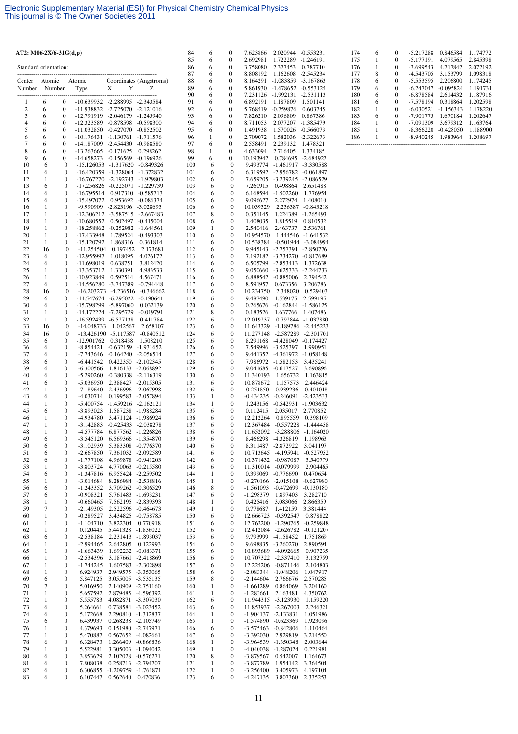| 86<br>6<br>0<br>3.758080<br>2.377453<br>0.787710<br>Standard orientation:<br>87<br>6<br>0<br>8.808192<br>1.162608 -2.545234<br>Atomic<br>Coordinates (Angstroms)<br>88<br>0<br>8.164291<br>$-1.083859$<br>$-3.167863$<br>Atomic<br>6<br>Center<br>Y<br>Z<br>89<br>5.861930 -1.678652 -0.553125<br>Type<br>X<br>6<br>0<br>Number<br>Number<br>90<br>6<br>0<br>7.231126 -1.992131<br>$-2.531113$<br>-----------------------------------<br>-10.639932 -2.288995 -2.343584<br>91<br>6<br>$\bf{0}$<br>6<br>0<br>6.892191<br>1.187809<br>1.501141<br>1<br>$\boldsymbol{2}$<br>$\boldsymbol{0}$<br>-11.938832 -2.725070 -2.121016<br>92<br>5.768519 -0.759876<br>6<br>6<br>0<br>0.603745<br>3<br>6<br>$\boldsymbol{0}$<br>-12.791919 -2.046179 -1.245940<br>93<br>6<br>0<br>7.826210<br>2.096809<br>0.867386<br>$\overline{4}$<br>6<br>94<br>$\boldsymbol{0}$<br>-12.323589<br>-0.878598 -0.598300<br>6<br>0<br>8.711053<br>2.077207<br>-1.385479<br>5<br>6<br>$\boldsymbol{0}$<br>-11.032850 -0.427070 -0.852502<br>95<br>6<br>0<br>1.491938<br>1.570026 -0.566073<br>1.582036 -2.322673<br>6<br>6<br>$\boldsymbol{0}$<br>$-10.176431$<br>-1.130761<br>-1.711576<br>96<br>1<br>0<br>2.709072<br>7<br>97<br>6<br>$\boldsymbol{0}$<br>-14.187009<br>-2.454430<br>6<br>0<br>2.558491<br>2.239132<br>-0.988580<br>1.478321<br>8<br>6<br>$\boldsymbol{0}$<br>-13.263665 -0.171625<br>0.298262<br>98<br>1<br>0<br>4.633094<br>2.716405<br>1.334185<br>9<br>99<br>6<br>$\boldsymbol{0}$<br>$-14.658273$<br>$-0.156569 - 0.196926$<br>6<br>0<br>10.193942<br>0.784695<br>-2.684927<br>10<br>6<br>$\boldsymbol{0}$<br>$-15.126053 - 1.317620 - 0.849326$<br>100<br>6<br>$\mathbf{0}$<br>9.493774 -1.461917<br>-3.330588<br>11<br>$\boldsymbol{0}$<br>-16.420359 -1.328064 -1.372832<br>6<br>$\boldsymbol{0}$<br>6.319592 -2.956782 -0.061897<br>6<br>101<br>12<br>6<br>7.659205 -3.239245<br>1<br>$\boldsymbol{0}$<br>$-16.767270$ $-2.192743$ $-1.929803$<br>102<br>0<br>$-2.086529$<br>13<br>6<br>$\boldsymbol{0}$<br>-17.256826 -0.225071 -1.229739<br>6<br>$\boldsymbol{0}$<br>7.260915<br>0.498864<br>103<br>2.651488<br>14<br>6<br>$\boldsymbol{0}$<br>$-16.795514$<br>0.917310 -0.585713<br>104<br>6<br>0<br>6.168594 -1.502260<br>1.776954<br>15<br>6<br>$\boldsymbol{0}$<br>-15.497072<br>0.953692 -0.086374<br>105<br>6<br>0<br>9.096627<br>2.272974<br>1.408010<br>16<br>1<br>$\boldsymbol{0}$<br>-9.990909 -2.823196 -3.028695<br>106<br>6<br>0<br>10.039329<br>2.236387<br>-0.843218<br>8<br>17<br>1<br>$\boldsymbol{0}$<br>-12.306212 -3.587515 -2.667483<br>107<br>0<br>0.351145<br>1.224389 -1.265493<br>18<br>1<br>$\boldsymbol{0}$<br>$-10.680552$<br>0.502497 -0.415004<br>108<br>6<br>0<br>1.408035<br>1.815519<br>0.810532<br>19<br>1<br>$\boldsymbol{0}$<br>-18.258862 -0.252982 -1.644561<br>109<br>1<br>0<br>2.540416<br>2.463737<br>2.536761<br>20<br>$\mathbf{1}$<br>1.789524 -0.493303<br>$\boldsymbol{0}$<br>-17.433948<br>6<br>$\boldsymbol{0}$<br>10.954570<br>1.444546 -1.641532<br>110<br>21<br>1<br>$\boldsymbol{0}$<br>$-15.120792$<br>1.868316<br>0.361814<br>6<br>$\boldsymbol{0}$<br>10.538384 -0.501944 -3.084994<br>111<br>22<br>16<br>$\boldsymbol{0}$<br>$-11.254504$<br>0.197452<br>2.173681<br>112<br>6<br>0<br>9.945143 -2.757391 -2.850776<br>23<br>6<br>$\boldsymbol{0}$<br>-12.955997<br>1.018095<br>6<br>0<br>7.192182 -3.734270 -0.817689<br>4.026172<br>113<br>24<br>6<br>0.638751<br>3.812420<br>6<br>0<br>6.505799 -2.853413<br>0<br>-11.698019<br>114<br>1.372638<br>25<br>1<br>$\boldsymbol{0}$<br>$-13.353712$<br>1.330391<br>4.983533<br>115<br>6<br>0<br>9.050660 -3.625333 -2.244733<br>26<br>1<br>$\boldsymbol{0}$<br>$-10.923849$<br>6<br>0<br>6.888542 -0.885006<br>2.794542<br>0.592514<br>4.567471<br>116<br>27<br>6<br>$\boldsymbol{0}$<br>-14.556280<br>-3.747389<br>$-0.794448$<br>117<br>6<br>0<br>8.591957<br>0.673356<br>3.206786<br>28<br>16<br>$\boldsymbol{0}$<br>$-16.203273$ $-4.236516$ $-0.346662$<br>118<br>6<br>0<br>10.234750<br>2.348020<br>0.529403<br>29<br>6<br>$\boldsymbol{0}$<br>$-14.547674$ $-6.295022$ $-0.190641$<br>6<br>$\boldsymbol{0}$<br>9.487490<br>1.539175<br>119<br>2.599195<br>30<br>6<br>$\boldsymbol{0}$<br>-15.798299<br>$-5.897060$<br>0.032139<br>120<br>6<br>0<br>0.265676 -0.162844 -1.586125<br>31<br>$\mathbf{1}$<br>8<br>$\boldsymbol{0}$<br>-14.172224 -7.295729<br>-0.019791<br>121<br>0<br>0.183526<br>1.637766<br>1.407486<br>32<br>1<br>$\boldsymbol{0}$<br>-16.592439 -6.527138<br>6<br>$\boldsymbol{0}$<br>0.411784<br>122<br>12.019237<br>0.792844 -1.037880<br>33<br>16<br>$\bf{0}$<br>$-14.048733$<br>1.042567<br>2.658107<br>123<br>6<br>0<br>11.643329 -1.189786 -2.445223<br>34<br>16<br>$\boldsymbol{0}$<br>-13.426190 -5.117587 -0.840512<br>124<br>6<br>0<br>11.277148 -2.587289 -2.301701<br>35<br>6<br>0<br>$-12.901762$<br>0.318438<br>1.508210<br>125<br>6<br>0<br>8.291168 -4.428049 -0.174427<br>36<br>6<br>$\boldsymbol{0}$<br>$-8.854421$<br>$-0.632159 -1.931652$<br>126<br>6<br>0<br>7.549996 -3.525397<br>1.990951<br>37<br>6<br>$\boldsymbol{0}$<br>-7.743646<br>$-0.164240 -2.056514$<br>127<br>6<br>$\boldsymbol{0}$<br>9.441352 -4.361972 -1.058148<br>38<br>6<br>$\boldsymbol{0}$<br>$-6.441542$<br>0.422350 -2.102345<br>128<br>6<br>0<br>7.986972 -1.582153<br>3.435241<br>39<br>6<br>$\boldsymbol{0}$<br>$-6.300566$<br>1.816133 -2.068892<br>129<br>6<br>0<br>9.041685 -0.617527<br>3.690896<br>40<br>6<br>$\boldsymbol{0}$<br>$-5.290260$<br>$-0.380338 - 2.116319$<br>130<br>6<br>$\mathbf{0}$<br>11.340193<br>1.656732<br>1.163815<br>41<br>6<br>$\boldsymbol{0}$<br>$-5.036950$<br>2.388427 -2.015305<br>131<br>6<br>0<br>10.878672<br>1.157573<br>2.446424<br>42<br>1<br>$\boldsymbol{0}$<br>$-7.189640$<br>2.436996<br>$-2.067998$<br>132<br>6<br>0<br>$-0.251850 -0.939236$<br>$-0.401018$<br>43<br>6<br>$\boldsymbol{0}$<br>$-4.030714$<br>0.199583 -2.057894<br>133<br>1<br>$\mathbf{0}$<br>$-0.434235 -0.246091$<br>-2.423533<br>44<br>1<br>$\boldsymbol{0}$<br>$-5.400754$<br>$-1.459216 -2.162121$<br>134<br>1<br>0<br>1.243156 -0.542931 -1.903632<br>45<br>$\boldsymbol{0}$<br>-3.893023<br>1.587238 -1.988284<br>135<br>6<br>0<br>2.035017<br>6<br>0.112415<br>2.770852<br>46<br>1<br>$\boldsymbol{0}$<br>-4.934780<br>3.471124 -1.986924<br>136<br>6<br>$\mathbf{0}$<br>12.212264<br>0.895559<br>0.398109<br>47<br>1<br>$\boldsymbol{0}$<br>$-3.142883$<br>$-0.425433 - 2.038278$<br>137<br>6<br>0<br>12.367484 -0.557228 -1.444458<br>48<br>1<br>$\mathbf{0}$<br>$-4.577784$<br>6.877562 -1.226826<br>138<br>6<br>$\boldsymbol{0}$<br>11.652092 -3.288806 -1.164020<br>49<br>0<br>$-3.545120$<br>6.569366 -1.354870<br>139<br>6<br>8.466298 -4.326819<br>1.198963<br>6<br>0<br>50<br>$-3.102939$<br>5.383308 -0.776370<br>140<br>8.311487 -2.872922<br>3.041197<br>6<br>0<br>6<br>0<br>51<br>0<br>$-2.667850$<br>7.361032 -2.092589<br>141<br>6<br>0<br>10.713645 -4.195941<br>$-0.527952$<br>6<br>52<br>$-1.777108$<br>4.969878 -0.941203<br>142<br>10.371432 -0.987087<br>3.540779<br>6<br>0<br>6<br>0<br>53<br>$-3.803724$<br>4.770063<br>11.310014 -0.079999<br>2.904465<br>1<br>0<br>$-0.215580$<br>143<br>6<br>0<br>54<br>6<br>0<br>$-1.347816$<br>6.955424 -2.259502<br>144<br>0<br>0.399069 -0.776690<br>0.470654<br>1<br>55<br>$-3.014684$<br>8.286984 -2.538816<br>145<br>$-0.270166$ $-2.015108$<br>1<br>0<br>1<br>0<br>$-0.627980$<br>$-1.243352$<br>8<br>-1.561093 -0.472699<br>56<br>6<br>0<br>3.709262 -0.306529<br>146<br>0<br>$-0.130180$<br>57<br>6<br>0<br>$-0.908321$<br>5.761483 -1.693231<br>147<br>6<br>0<br>$-1.298379$<br>1.897403<br>3.282710<br>$-0.660465$<br>7.562195 -2.839393<br>0.425416<br>3.083066<br>58<br>1<br>0<br>148<br>1<br>0<br>2.866359<br>59<br>7<br>$-2.149305$<br>2.522596<br>$-0.464673$<br>149<br>$\mathbf{1}$<br>0.778687<br>1.412159<br>3.381444<br>0<br>0<br>60<br>1<br>0<br>$-0.289527$<br>3.434825 -0.758785<br>150<br>6<br>0<br>12.666723 -0.392547<br>0.878822<br>$\mathbf{1}$<br>$\boldsymbol{0}$<br>$-1.104710$<br>3.822304<br>0.770918<br>12.762200 -1.290765 -0.259848<br>61<br>151<br>6<br>0<br>5.441328 -1.836022<br>62<br>1<br>0<br>0.120445<br>152<br>6<br>0<br>12.412084 -2.626782 -0.121207<br>6<br>$-2.538184$<br>2.231413 -1.893037<br>9.793999 -4.158452<br>63<br>0<br>153<br>6<br>0<br>1.751869<br>9.698835 -3.260270<br>64<br>1<br>0<br>$-2.994465$<br>2.642805<br>0.122993<br>154<br>6<br>0<br>2.890594<br>1.692232 -0.083371<br>10.893689 -4.092665<br>65<br>1<br>0<br>$-1.663439$<br>155<br>6<br>0<br>0.907235<br>10.707322 -2.337410<br>66<br>1<br>0<br>$-2.534396$<br>3.187661 -2.418869<br>156<br>6<br>0<br>3.132759<br>$\mathbf{1}$<br>$\boldsymbol{0}$<br>12.225206 -0.871146<br>67<br>$-1.744245$<br>1.607583 -2.302898<br>157<br>6<br>0<br>2.104803<br>2.949575 -3.353065<br>68<br>1<br>0<br>6.924937<br>158<br>6<br>0<br>-2.083344 -1.048206<br>1.047917<br>8<br>69<br>6<br>0<br>5.847125<br>3.055005 -3.535135<br>159<br>0<br>$-2.144604$<br>2.766676<br>2.570285<br>7<br>5.016950<br>70<br>0<br>2.140909 -2.751160<br>160<br>1<br>0<br>$-1.661289$<br>0.864069<br>3.204160<br>2.879485 -4.596392<br>71<br>1<br>0<br>5.657592<br>161<br>1<br>0<br>$-1.283661$<br>2.163481<br>4.350762<br>72<br>$\mathbf{1}$<br>5.555783<br>4.082871 -3.307030<br>6<br>11.944315 -3.123930<br>0<br>162<br>0<br>1.159220<br>0.738584 -3.023452<br>11.853937 -2.267003<br>2.246321<br>73<br>6<br>0<br>5.264661<br>163<br>6<br>0<br>74<br>2.290810 -1.312837<br>164<br>$-1.904137 -2.133831$<br>1.051986<br>6<br>0<br>5.172668<br>1<br>0<br>75<br>$\mathbf{1}$<br>1.923096<br>6<br>0<br>6.439937<br>0.268238 -2.105749<br>165<br>0<br>-1.574890 -0.623369<br>76<br>1<br>0<br>4.379693<br>0.151980 -2.747971<br>166<br>6<br>0<br>-3.575463 -0.842806<br>1.110464<br>0.567652 -4.082661<br>77<br>1<br>0<br>5.470887<br>167<br>6<br>0<br>$-3.392030$<br>2.929819<br>3.214550<br>78<br>6<br>6.328473<br>1.266409 -0.866836<br>-3.964539 -1.350348<br>0<br>168<br>1<br>0<br>2.003644<br>79<br>1<br>0<br>5.522981<br>3.305003 -1.094042<br>169<br>$\mathbf{1}$<br>0<br>-4.040038 -1.287024<br>0.221981<br>80<br>3.853629<br>2.102028 -0.576271<br>8<br>-3.879567<br>0.542007<br>6<br>0<br>170<br>0<br>1.164673<br>0.258713 -2.794707<br>1.954142<br>81<br>6<br>0<br>7.808038<br>171<br>1<br>0<br>-3.877789<br>3.364504<br>82<br>6.306855<br>$-1.209759$<br>3.405973<br>6<br>0<br>$-1.761871$<br>172<br>$\mathbf{1}$<br>0<br>$-3.256400$<br>4.197104<br>83<br>6<br>0<br>6.107447<br>0.562640<br>0.470836<br>173<br>6<br>0<br>-4.247135<br>3.807360<br>2.335253 | AT2: M06-2X/6-31 $G(d,p)$ |  |  | 84 | 6 | 0 | 7.623866 | 2.020944 -0.553231 |             |
|---------------------------------------------------------------------------------------------------------------------------------------------------------------------------------------------------------------------------------------------------------------------------------------------------------------------------------------------------------------------------------------------------------------------------------------------------------------------------------------------------------------------------------------------------------------------------------------------------------------------------------------------------------------------------------------------------------------------------------------------------------------------------------------------------------------------------------------------------------------------------------------------------------------------------------------------------------------------------------------------------------------------------------------------------------------------------------------------------------------------------------------------------------------------------------------------------------------------------------------------------------------------------------------------------------------------------------------------------------------------------------------------------------------------------------------------------------------------------------------------------------------------------------------------------------------------------------------------------------------------------------------------------------------------------------------------------------------------------------------------------------------------------------------------------------------------------------------------------------------------------------------------------------------------------------------------------------------------------------------------------------------------------------------------------------------------------------------------------------------------------------------------------------------------------------------------------------------------------------------------------------------------------------------------------------------------------------------------------------------------------------------------------------------------------------------------------------------------------------------------------------------------------------------------------------------------------------------------------------------------------------------------------------------------------------------------------------------------------------------------------------------------------------------------------------------------------------------------------------------------------------------------------------------------------------------------------------------------------------------------------------------------------------------------------------------------------------------------------------------------------------------------------------------------------------------------------------------------------------------------------------------------------------------------------------------------------------------------------------------------------------------------------------------------------------------------------------------------------------------------------------------------------------------------------------------------------------------------------------------------------------------------------------------------------------------------------------------------------------------------------------------------------------------------------------------------------------------------------------------------------------------------------------------------------------------------------------------------------------------------------------------------------------------------------------------------------------------------------------------------------------------------------------------------------------------------------------------------------------------------------------------------------------------------------------------------------------------------------------------------------------------------------------------------------------------------------------------------------------------------------------------------------------------------------------------------------------------------------------------------------------------------------------------------------------------------------------------------------------------------------------------------------------------------------------------------------------------------------------------------------------------------------------------------------------------------------------------------------------------------------------------------------------------------------------------------------------------------------------------------------------------------------------------------------------------------------------------------------------------------------------------------------------------------------------------------------------------------------------------------------------------------------------------------------------------------------------------------------------------------------------------------------------------------------------------------------------------------------------------------------------------------------------------------------------------------------------------------------------------------------------------------------------------------------------------------------------------------------------------------------------------------------------------------------------------------------------------------------------------------------------------------------------------------------------------------------------------------------------------------------------------------------------------------------------------------------------------------------------------------------------------------------------------------------------------------------------------------------------------------------------------------------------------------------------------------------------------------------------------------------------------------------------------------------------------------------------------------------------------------------------------------------------------------------------------------------------------------------------------------------------------------------------------------------------------------------------------------------------------------------------------------------------------------------------------------------------------------------------------------------------------------------------------------------------------------------------------------------------------------------------------------------------------------------------------------------------------------------------------------------------------------------------------------------------------------------------------------------------------------------------------------------------------------------------------------------------------------------------------------------------------------------------------------------------------------------------------------------------------------------------------------------------------------------------------------------------------------------------------------------------------------------------------------------------------------------------------------------------------------------------------------------------------------------------------------------------------------------------------------------------------------------------------------------------------------------------------------------------------------------------------------------------------------------------------------------------------------------------------------------------------------------------------------------------------------------------------------------------------------------------------------------------------------------------------------------------------------------------------------------------------------------------------------------------------------------------------------------------------------------------------------------------------------------------------------------------------------------------------------------------------------------------------------------------------------------------------------------------------------------------------------------------------------------------------------------------------------------------------------------------------------------------------------------------------------------------------------------------------------------------------------------------------------------------------------------------------------------------------------------------------------------------------------------------------------------------------------------------------------------------------------------------------------------------------------------------------------------------------------------------------------------------------------------------------------------------------------------------------------------------------------------------------------------------------------------------------------------------------------------------------------------------------------------------------------------------------------------------------------------------------------------------------------------------------------------------------------------------------------------------------------------------------------------------------------------------------------------------------------------------------------------------------------------------------------------------------------------------------------------------------------------------------------------------------------------------------------------------------------------------------------------------------------------------------------------------------------------------------------------------------------------------------------------------------------------|---------------------------|--|--|----|---|---|----------|--------------------|-------------|
|                                                                                                                                                                                                                                                                                                                                                                                                                                                                                                                                                                                                                                                                                                                                                                                                                                                                                                                                                                                                                                                                                                                                                                                                                                                                                                                                                                                                                                                                                                                                                                                                                                                                                                                                                                                                                                                                                                                                                                                                                                                                                                                                                                                                                                                                                                                                                                                                                                                                                                                                                                                                                                                                                                                                                                                                                                                                                                                                                                                                                                                                                                                                                                                                                                                                                                                                                                                                                                                                                                                                                                                                                                                                                                                                                                                                                                                                                                                                                                                                                                                                                                                                                                                                                                                                                                                                                                                                                                                                                                                                                                                                                                                                                                                                                                                                                                                                                                                                                                                                                                                                                                                                                                                                                                                                                                                                                                                                                                                                                                                                                                                                                                                                                                                                                                                                                                                                                                                                                                                                                                                                                                                                                                                                                                                                                                                                                                                                                                                                                                                                                                                                                                                                                                                                                                                                                                                                                                                                                                                                                                                                                                                                                                                                                                                                                                                                                                                                                                                                                                                                                                                                                                                                                                                                                                                                                                                                                                                                                                                                                                                                                                                                                                                                                                                                                                                                                                                                                                                                                                                                                                                                                                                                                                                                                                                                                                                                                                                                                                                                                                                                                                                                                                                                                                                                                                                                                                                                                                                                                                                                                                                                                                                                                                                                                                                                                                                                                                                                                                                                                                                                                                                                                                                                                                                                                                                                                                                                                                                                                                                                                                           |                           |  |  | 85 | 6 | 0 | 2.692981 | 1.722289           | $-1.246191$ |
|                                                                                                                                                                                                                                                                                                                                                                                                                                                                                                                                                                                                                                                                                                                                                                                                                                                                                                                                                                                                                                                                                                                                                                                                                                                                                                                                                                                                                                                                                                                                                                                                                                                                                                                                                                                                                                                                                                                                                                                                                                                                                                                                                                                                                                                                                                                                                                                                                                                                                                                                                                                                                                                                                                                                                                                                                                                                                                                                                                                                                                                                                                                                                                                                                                                                                                                                                                                                                                                                                                                                                                                                                                                                                                                                                                                                                                                                                                                                                                                                                                                                                                                                                                                                                                                                                                                                                                                                                                                                                                                                                                                                                                                                                                                                                                                                                                                                                                                                                                                                                                                                                                                                                                                                                                                                                                                                                                                                                                                                                                                                                                                                                                                                                                                                                                                                                                                                                                                                                                                                                                                                                                                                                                                                                                                                                                                                                                                                                                                                                                                                                                                                                                                                                                                                                                                                                                                                                                                                                                                                                                                                                                                                                                                                                                                                                                                                                                                                                                                                                                                                                                                                                                                                                                                                                                                                                                                                                                                                                                                                                                                                                                                                                                                                                                                                                                                                                                                                                                                                                                                                                                                                                                                                                                                                                                                                                                                                                                                                                                                                                                                                                                                                                                                                                                                                                                                                                                                                                                                                                                                                                                                                                                                                                                                                                                                                                                                                                                                                                                                                                                                                                                                                                                                                                                                                                                                                                                                                                                                                                                                                                                           |                           |  |  |    |   |   |          |                    |             |
|                                                                                                                                                                                                                                                                                                                                                                                                                                                                                                                                                                                                                                                                                                                                                                                                                                                                                                                                                                                                                                                                                                                                                                                                                                                                                                                                                                                                                                                                                                                                                                                                                                                                                                                                                                                                                                                                                                                                                                                                                                                                                                                                                                                                                                                                                                                                                                                                                                                                                                                                                                                                                                                                                                                                                                                                                                                                                                                                                                                                                                                                                                                                                                                                                                                                                                                                                                                                                                                                                                                                                                                                                                                                                                                                                                                                                                                                                                                                                                                                                                                                                                                                                                                                                                                                                                                                                                                                                                                                                                                                                                                                                                                                                                                                                                                                                                                                                                                                                                                                                                                                                                                                                                                                                                                                                                                                                                                                                                                                                                                                                                                                                                                                                                                                                                                                                                                                                                                                                                                                                                                                                                                                                                                                                                                                                                                                                                                                                                                                                                                                                                                                                                                                                                                                                                                                                                                                                                                                                                                                                                                                                                                                                                                                                                                                                                                                                                                                                                                                                                                                                                                                                                                                                                                                                                                                                                                                                                                                                                                                                                                                                                                                                                                                                                                                                                                                                                                                                                                                                                                                                                                                                                                                                                                                                                                                                                                                                                                                                                                                                                                                                                                                                                                                                                                                                                                                                                                                                                                                                                                                                                                                                                                                                                                                                                                                                                                                                                                                                                                                                                                                                                                                                                                                                                                                                                                                                                                                                                                                                                                                                                           |                           |  |  |    |   |   |          |                    |             |
|                                                                                                                                                                                                                                                                                                                                                                                                                                                                                                                                                                                                                                                                                                                                                                                                                                                                                                                                                                                                                                                                                                                                                                                                                                                                                                                                                                                                                                                                                                                                                                                                                                                                                                                                                                                                                                                                                                                                                                                                                                                                                                                                                                                                                                                                                                                                                                                                                                                                                                                                                                                                                                                                                                                                                                                                                                                                                                                                                                                                                                                                                                                                                                                                                                                                                                                                                                                                                                                                                                                                                                                                                                                                                                                                                                                                                                                                                                                                                                                                                                                                                                                                                                                                                                                                                                                                                                                                                                                                                                                                                                                                                                                                                                                                                                                                                                                                                                                                                                                                                                                                                                                                                                                                                                                                                                                                                                                                                                                                                                                                                                                                                                                                                                                                                                                                                                                                                                                                                                                                                                                                                                                                                                                                                                                                                                                                                                                                                                                                                                                                                                                                                                                                                                                                                                                                                                                                                                                                                                                                                                                                                                                                                                                                                                                                                                                                                                                                                                                                                                                                                                                                                                                                                                                                                                                                                                                                                                                                                                                                                                                                                                                                                                                                                                                                                                                                                                                                                                                                                                                                                                                                                                                                                                                                                                                                                                                                                                                                                                                                                                                                                                                                                                                                                                                                                                                                                                                                                                                                                                                                                                                                                                                                                                                                                                                                                                                                                                                                                                                                                                                                                                                                                                                                                                                                                                                                                                                                                                                                                                                                                                           |                           |  |  |    |   |   |          |                    |             |
|                                                                                                                                                                                                                                                                                                                                                                                                                                                                                                                                                                                                                                                                                                                                                                                                                                                                                                                                                                                                                                                                                                                                                                                                                                                                                                                                                                                                                                                                                                                                                                                                                                                                                                                                                                                                                                                                                                                                                                                                                                                                                                                                                                                                                                                                                                                                                                                                                                                                                                                                                                                                                                                                                                                                                                                                                                                                                                                                                                                                                                                                                                                                                                                                                                                                                                                                                                                                                                                                                                                                                                                                                                                                                                                                                                                                                                                                                                                                                                                                                                                                                                                                                                                                                                                                                                                                                                                                                                                                                                                                                                                                                                                                                                                                                                                                                                                                                                                                                                                                                                                                                                                                                                                                                                                                                                                                                                                                                                                                                                                                                                                                                                                                                                                                                                                                                                                                                                                                                                                                                                                                                                                                                                                                                                                                                                                                                                                                                                                                                                                                                                                                                                                                                                                                                                                                                                                                                                                                                                                                                                                                                                                                                                                                                                                                                                                                                                                                                                                                                                                                                                                                                                                                                                                                                                                                                                                                                                                                                                                                                                                                                                                                                                                                                                                                                                                                                                                                                                                                                                                                                                                                                                                                                                                                                                                                                                                                                                                                                                                                                                                                                                                                                                                                                                                                                                                                                                                                                                                                                                                                                                                                                                                                                                                                                                                                                                                                                                                                                                                                                                                                                                                                                                                                                                                                                                                                                                                                                                                                                                                                                                           |                           |  |  |    |   |   |          |                    |             |
|                                                                                                                                                                                                                                                                                                                                                                                                                                                                                                                                                                                                                                                                                                                                                                                                                                                                                                                                                                                                                                                                                                                                                                                                                                                                                                                                                                                                                                                                                                                                                                                                                                                                                                                                                                                                                                                                                                                                                                                                                                                                                                                                                                                                                                                                                                                                                                                                                                                                                                                                                                                                                                                                                                                                                                                                                                                                                                                                                                                                                                                                                                                                                                                                                                                                                                                                                                                                                                                                                                                                                                                                                                                                                                                                                                                                                                                                                                                                                                                                                                                                                                                                                                                                                                                                                                                                                                                                                                                                                                                                                                                                                                                                                                                                                                                                                                                                                                                                                                                                                                                                                                                                                                                                                                                                                                                                                                                                                                                                                                                                                                                                                                                                                                                                                                                                                                                                                                                                                                                                                                                                                                                                                                                                                                                                                                                                                                                                                                                                                                                                                                                                                                                                                                                                                                                                                                                                                                                                                                                                                                                                                                                                                                                                                                                                                                                                                                                                                                                                                                                                                                                                                                                                                                                                                                                                                                                                                                                                                                                                                                                                                                                                                                                                                                                                                                                                                                                                                                                                                                                                                                                                                                                                                                                                                                                                                                                                                                                                                                                                                                                                                                                                                                                                                                                                                                                                                                                                                                                                                                                                                                                                                                                                                                                                                                                                                                                                                                                                                                                                                                                                                                                                                                                                                                                                                                                                                                                                                                                                                                                                                                           |                           |  |  |    |   |   |          |                    |             |
|                                                                                                                                                                                                                                                                                                                                                                                                                                                                                                                                                                                                                                                                                                                                                                                                                                                                                                                                                                                                                                                                                                                                                                                                                                                                                                                                                                                                                                                                                                                                                                                                                                                                                                                                                                                                                                                                                                                                                                                                                                                                                                                                                                                                                                                                                                                                                                                                                                                                                                                                                                                                                                                                                                                                                                                                                                                                                                                                                                                                                                                                                                                                                                                                                                                                                                                                                                                                                                                                                                                                                                                                                                                                                                                                                                                                                                                                                                                                                                                                                                                                                                                                                                                                                                                                                                                                                                                                                                                                                                                                                                                                                                                                                                                                                                                                                                                                                                                                                                                                                                                                                                                                                                                                                                                                                                                                                                                                                                                                                                                                                                                                                                                                                                                                                                                                                                                                                                                                                                                                                                                                                                                                                                                                                                                                                                                                                                                                                                                                                                                                                                                                                                                                                                                                                                                                                                                                                                                                                                                                                                                                                                                                                                                                                                                                                                                                                                                                                                                                                                                                                                                                                                                                                                                                                                                                                                                                                                                                                                                                                                                                                                                                                                                                                                                                                                                                                                                                                                                                                                                                                                                                                                                                                                                                                                                                                                                                                                                                                                                                                                                                                                                                                                                                                                                                                                                                                                                                                                                                                                                                                                                                                                                                                                                                                                                                                                                                                                                                                                                                                                                                                                                                                                                                                                                                                                                                                                                                                                                                                                                                                                           |                           |  |  |    |   |   |          |                    |             |
|                                                                                                                                                                                                                                                                                                                                                                                                                                                                                                                                                                                                                                                                                                                                                                                                                                                                                                                                                                                                                                                                                                                                                                                                                                                                                                                                                                                                                                                                                                                                                                                                                                                                                                                                                                                                                                                                                                                                                                                                                                                                                                                                                                                                                                                                                                                                                                                                                                                                                                                                                                                                                                                                                                                                                                                                                                                                                                                                                                                                                                                                                                                                                                                                                                                                                                                                                                                                                                                                                                                                                                                                                                                                                                                                                                                                                                                                                                                                                                                                                                                                                                                                                                                                                                                                                                                                                                                                                                                                                                                                                                                                                                                                                                                                                                                                                                                                                                                                                                                                                                                                                                                                                                                                                                                                                                                                                                                                                                                                                                                                                                                                                                                                                                                                                                                                                                                                                                                                                                                                                                                                                                                                                                                                                                                                                                                                                                                                                                                                                                                                                                                                                                                                                                                                                                                                                                                                                                                                                                                                                                                                                                                                                                                                                                                                                                                                                                                                                                                                                                                                                                                                                                                                                                                                                                                                                                                                                                                                                                                                                                                                                                                                                                                                                                                                                                                                                                                                                                                                                                                                                                                                                                                                                                                                                                                                                                                                                                                                                                                                                                                                                                                                                                                                                                                                                                                                                                                                                                                                                                                                                                                                                                                                                                                                                                                                                                                                                                                                                                                                                                                                                                                                                                                                                                                                                                                                                                                                                                                                                                                                                                           |                           |  |  |    |   |   |          |                    |             |
|                                                                                                                                                                                                                                                                                                                                                                                                                                                                                                                                                                                                                                                                                                                                                                                                                                                                                                                                                                                                                                                                                                                                                                                                                                                                                                                                                                                                                                                                                                                                                                                                                                                                                                                                                                                                                                                                                                                                                                                                                                                                                                                                                                                                                                                                                                                                                                                                                                                                                                                                                                                                                                                                                                                                                                                                                                                                                                                                                                                                                                                                                                                                                                                                                                                                                                                                                                                                                                                                                                                                                                                                                                                                                                                                                                                                                                                                                                                                                                                                                                                                                                                                                                                                                                                                                                                                                                                                                                                                                                                                                                                                                                                                                                                                                                                                                                                                                                                                                                                                                                                                                                                                                                                                                                                                                                                                                                                                                                                                                                                                                                                                                                                                                                                                                                                                                                                                                                                                                                                                                                                                                                                                                                                                                                                                                                                                                                                                                                                                                                                                                                                                                                                                                                                                                                                                                                                                                                                                                                                                                                                                                                                                                                                                                                                                                                                                                                                                                                                                                                                                                                                                                                                                                                                                                                                                                                                                                                                                                                                                                                                                                                                                                                                                                                                                                                                                                                                                                                                                                                                                                                                                                                                                                                                                                                                                                                                                                                                                                                                                                                                                                                                                                                                                                                                                                                                                                                                                                                                                                                                                                                                                                                                                                                                                                                                                                                                                                                                                                                                                                                                                                                                                                                                                                                                                                                                                                                                                                                                                                                                                                                           |                           |  |  |    |   |   |          |                    |             |
|                                                                                                                                                                                                                                                                                                                                                                                                                                                                                                                                                                                                                                                                                                                                                                                                                                                                                                                                                                                                                                                                                                                                                                                                                                                                                                                                                                                                                                                                                                                                                                                                                                                                                                                                                                                                                                                                                                                                                                                                                                                                                                                                                                                                                                                                                                                                                                                                                                                                                                                                                                                                                                                                                                                                                                                                                                                                                                                                                                                                                                                                                                                                                                                                                                                                                                                                                                                                                                                                                                                                                                                                                                                                                                                                                                                                                                                                                                                                                                                                                                                                                                                                                                                                                                                                                                                                                                                                                                                                                                                                                                                                                                                                                                                                                                                                                                                                                                                                                                                                                                                                                                                                                                                                                                                                                                                                                                                                                                                                                                                                                                                                                                                                                                                                                                                                                                                                                                                                                                                                                                                                                                                                                                                                                                                                                                                                                                                                                                                                                                                                                                                                                                                                                                                                                                                                                                                                                                                                                                                                                                                                                                                                                                                                                                                                                                                                                                                                                                                                                                                                                                                                                                                                                                                                                                                                                                                                                                                                                                                                                                                                                                                                                                                                                                                                                                                                                                                                                                                                                                                                                                                                                                                                                                                                                                                                                                                                                                                                                                                                                                                                                                                                                                                                                                                                                                                                                                                                                                                                                                                                                                                                                                                                                                                                                                                                                                                                                                                                                                                                                                                                                                                                                                                                                                                                                                                                                                                                                                                                                                                                                                           |                           |  |  |    |   |   |          |                    |             |
|                                                                                                                                                                                                                                                                                                                                                                                                                                                                                                                                                                                                                                                                                                                                                                                                                                                                                                                                                                                                                                                                                                                                                                                                                                                                                                                                                                                                                                                                                                                                                                                                                                                                                                                                                                                                                                                                                                                                                                                                                                                                                                                                                                                                                                                                                                                                                                                                                                                                                                                                                                                                                                                                                                                                                                                                                                                                                                                                                                                                                                                                                                                                                                                                                                                                                                                                                                                                                                                                                                                                                                                                                                                                                                                                                                                                                                                                                                                                                                                                                                                                                                                                                                                                                                                                                                                                                                                                                                                                                                                                                                                                                                                                                                                                                                                                                                                                                                                                                                                                                                                                                                                                                                                                                                                                                                                                                                                                                                                                                                                                                                                                                                                                                                                                                                                                                                                                                                                                                                                                                                                                                                                                                                                                                                                                                                                                                                                                                                                                                                                                                                                                                                                                                                                                                                                                                                                                                                                                                                                                                                                                                                                                                                                                                                                                                                                                                                                                                                                                                                                                                                                                                                                                                                                                                                                                                                                                                                                                                                                                                                                                                                                                                                                                                                                                                                                                                                                                                                                                                                                                                                                                                                                                                                                                                                                                                                                                                                                                                                                                                                                                                                                                                                                                                                                                                                                                                                                                                                                                                                                                                                                                                                                                                                                                                                                                                                                                                                                                                                                                                                                                                                                                                                                                                                                                                                                                                                                                                                                                                                                                                                           |                           |  |  |    |   |   |          |                    |             |
|                                                                                                                                                                                                                                                                                                                                                                                                                                                                                                                                                                                                                                                                                                                                                                                                                                                                                                                                                                                                                                                                                                                                                                                                                                                                                                                                                                                                                                                                                                                                                                                                                                                                                                                                                                                                                                                                                                                                                                                                                                                                                                                                                                                                                                                                                                                                                                                                                                                                                                                                                                                                                                                                                                                                                                                                                                                                                                                                                                                                                                                                                                                                                                                                                                                                                                                                                                                                                                                                                                                                                                                                                                                                                                                                                                                                                                                                                                                                                                                                                                                                                                                                                                                                                                                                                                                                                                                                                                                                                                                                                                                                                                                                                                                                                                                                                                                                                                                                                                                                                                                                                                                                                                                                                                                                                                                                                                                                                                                                                                                                                                                                                                                                                                                                                                                                                                                                                                                                                                                                                                                                                                                                                                                                                                                                                                                                                                                                                                                                                                                                                                                                                                                                                                                                                                                                                                                                                                                                                                                                                                                                                                                                                                                                                                                                                                                                                                                                                                                                                                                                                                                                                                                                                                                                                                                                                                                                                                                                                                                                                                                                                                                                                                                                                                                                                                                                                                                                                                                                                                                                                                                                                                                                                                                                                                                                                                                                                                                                                                                                                                                                                                                                                                                                                                                                                                                                                                                                                                                                                                                                                                                                                                                                                                                                                                                                                                                                                                                                                                                                                                                                                                                                                                                                                                                                                                                                                                                                                                                                                                                                                                           |                           |  |  |    |   |   |          |                    |             |
|                                                                                                                                                                                                                                                                                                                                                                                                                                                                                                                                                                                                                                                                                                                                                                                                                                                                                                                                                                                                                                                                                                                                                                                                                                                                                                                                                                                                                                                                                                                                                                                                                                                                                                                                                                                                                                                                                                                                                                                                                                                                                                                                                                                                                                                                                                                                                                                                                                                                                                                                                                                                                                                                                                                                                                                                                                                                                                                                                                                                                                                                                                                                                                                                                                                                                                                                                                                                                                                                                                                                                                                                                                                                                                                                                                                                                                                                                                                                                                                                                                                                                                                                                                                                                                                                                                                                                                                                                                                                                                                                                                                                                                                                                                                                                                                                                                                                                                                                                                                                                                                                                                                                                                                                                                                                                                                                                                                                                                                                                                                                                                                                                                                                                                                                                                                                                                                                                                                                                                                                                                                                                                                                                                                                                                                                                                                                                                                                                                                                                                                                                                                                                                                                                                                                                                                                                                                                                                                                                                                                                                                                                                                                                                                                                                                                                                                                                                                                                                                                                                                                                                                                                                                                                                                                                                                                                                                                                                                                                                                                                                                                                                                                                                                                                                                                                                                                                                                                                                                                                                                                                                                                                                                                                                                                                                                                                                                                                                                                                                                                                                                                                                                                                                                                                                                                                                                                                                                                                                                                                                                                                                                                                                                                                                                                                                                                                                                                                                                                                                                                                                                                                                                                                                                                                                                                                                                                                                                                                                                                                                                                                                           |                           |  |  |    |   |   |          |                    |             |
|                                                                                                                                                                                                                                                                                                                                                                                                                                                                                                                                                                                                                                                                                                                                                                                                                                                                                                                                                                                                                                                                                                                                                                                                                                                                                                                                                                                                                                                                                                                                                                                                                                                                                                                                                                                                                                                                                                                                                                                                                                                                                                                                                                                                                                                                                                                                                                                                                                                                                                                                                                                                                                                                                                                                                                                                                                                                                                                                                                                                                                                                                                                                                                                                                                                                                                                                                                                                                                                                                                                                                                                                                                                                                                                                                                                                                                                                                                                                                                                                                                                                                                                                                                                                                                                                                                                                                                                                                                                                                                                                                                                                                                                                                                                                                                                                                                                                                                                                                                                                                                                                                                                                                                                                                                                                                                                                                                                                                                                                                                                                                                                                                                                                                                                                                                                                                                                                                                                                                                                                                                                                                                                                                                                                                                                                                                                                                                                                                                                                                                                                                                                                                                                                                                                                                                                                                                                                                                                                                                                                                                                                                                                                                                                                                                                                                                                                                                                                                                                                                                                                                                                                                                                                                                                                                                                                                                                                                                                                                                                                                                                                                                                                                                                                                                                                                                                                                                                                                                                                                                                                                                                                                                                                                                                                                                                                                                                                                                                                                                                                                                                                                                                                                                                                                                                                                                                                                                                                                                                                                                                                                                                                                                                                                                                                                                                                                                                                                                                                                                                                                                                                                                                                                                                                                                                                                                                                                                                                                                                                                                                                                                           |                           |  |  |    |   |   |          |                    |             |
|                                                                                                                                                                                                                                                                                                                                                                                                                                                                                                                                                                                                                                                                                                                                                                                                                                                                                                                                                                                                                                                                                                                                                                                                                                                                                                                                                                                                                                                                                                                                                                                                                                                                                                                                                                                                                                                                                                                                                                                                                                                                                                                                                                                                                                                                                                                                                                                                                                                                                                                                                                                                                                                                                                                                                                                                                                                                                                                                                                                                                                                                                                                                                                                                                                                                                                                                                                                                                                                                                                                                                                                                                                                                                                                                                                                                                                                                                                                                                                                                                                                                                                                                                                                                                                                                                                                                                                                                                                                                                                                                                                                                                                                                                                                                                                                                                                                                                                                                                                                                                                                                                                                                                                                                                                                                                                                                                                                                                                                                                                                                                                                                                                                                                                                                                                                                                                                                                                                                                                                                                                                                                                                                                                                                                                                                                                                                                                                                                                                                                                                                                                                                                                                                                                                                                                                                                                                                                                                                                                                                                                                                                                                                                                                                                                                                                                                                                                                                                                                                                                                                                                                                                                                                                                                                                                                                                                                                                                                                                                                                                                                                                                                                                                                                                                                                                                                                                                                                                                                                                                                                                                                                                                                                                                                                                                                                                                                                                                                                                                                                                                                                                                                                                                                                                                                                                                                                                                                                                                                                                                                                                                                                                                                                                                                                                                                                                                                                                                                                                                                                                                                                                                                                                                                                                                                                                                                                                                                                                                                                                                                                                                           |                           |  |  |    |   |   |          |                    |             |
|                                                                                                                                                                                                                                                                                                                                                                                                                                                                                                                                                                                                                                                                                                                                                                                                                                                                                                                                                                                                                                                                                                                                                                                                                                                                                                                                                                                                                                                                                                                                                                                                                                                                                                                                                                                                                                                                                                                                                                                                                                                                                                                                                                                                                                                                                                                                                                                                                                                                                                                                                                                                                                                                                                                                                                                                                                                                                                                                                                                                                                                                                                                                                                                                                                                                                                                                                                                                                                                                                                                                                                                                                                                                                                                                                                                                                                                                                                                                                                                                                                                                                                                                                                                                                                                                                                                                                                                                                                                                                                                                                                                                                                                                                                                                                                                                                                                                                                                                                                                                                                                                                                                                                                                                                                                                                                                                                                                                                                                                                                                                                                                                                                                                                                                                                                                                                                                                                                                                                                                                                                                                                                                                                                                                                                                                                                                                                                                                                                                                                                                                                                                                                                                                                                                                                                                                                                                                                                                                                                                                                                                                                                                                                                                                                                                                                                                                                                                                                                                                                                                                                                                                                                                                                                                                                                                                                                                                                                                                                                                                                                                                                                                                                                                                                                                                                                                                                                                                                                                                                                                                                                                                                                                                                                                                                                                                                                                                                                                                                                                                                                                                                                                                                                                                                                                                                                                                                                                                                                                                                                                                                                                                                                                                                                                                                                                                                                                                                                                                                                                                                                                                                                                                                                                                                                                                                                                                                                                                                                                                                                                                                                           |                           |  |  |    |   |   |          |                    |             |
|                                                                                                                                                                                                                                                                                                                                                                                                                                                                                                                                                                                                                                                                                                                                                                                                                                                                                                                                                                                                                                                                                                                                                                                                                                                                                                                                                                                                                                                                                                                                                                                                                                                                                                                                                                                                                                                                                                                                                                                                                                                                                                                                                                                                                                                                                                                                                                                                                                                                                                                                                                                                                                                                                                                                                                                                                                                                                                                                                                                                                                                                                                                                                                                                                                                                                                                                                                                                                                                                                                                                                                                                                                                                                                                                                                                                                                                                                                                                                                                                                                                                                                                                                                                                                                                                                                                                                                                                                                                                                                                                                                                                                                                                                                                                                                                                                                                                                                                                                                                                                                                                                                                                                                                                                                                                                                                                                                                                                                                                                                                                                                                                                                                                                                                                                                                                                                                                                                                                                                                                                                                                                                                                                                                                                                                                                                                                                                                                                                                                                                                                                                                                                                                                                                                                                                                                                                                                                                                                                                                                                                                                                                                                                                                                                                                                                                                                                                                                                                                                                                                                                                                                                                                                                                                                                                                                                                                                                                                                                                                                                                                                                                                                                                                                                                                                                                                                                                                                                                                                                                                                                                                                                                                                                                                                                                                                                                                                                                                                                                                                                                                                                                                                                                                                                                                                                                                                                                                                                                                                                                                                                                                                                                                                                                                                                                                                                                                                                                                                                                                                                                                                                                                                                                                                                                                                                                                                                                                                                                                                                                                                                                           |                           |  |  |    |   |   |          |                    |             |
|                                                                                                                                                                                                                                                                                                                                                                                                                                                                                                                                                                                                                                                                                                                                                                                                                                                                                                                                                                                                                                                                                                                                                                                                                                                                                                                                                                                                                                                                                                                                                                                                                                                                                                                                                                                                                                                                                                                                                                                                                                                                                                                                                                                                                                                                                                                                                                                                                                                                                                                                                                                                                                                                                                                                                                                                                                                                                                                                                                                                                                                                                                                                                                                                                                                                                                                                                                                                                                                                                                                                                                                                                                                                                                                                                                                                                                                                                                                                                                                                                                                                                                                                                                                                                                                                                                                                                                                                                                                                                                                                                                                                                                                                                                                                                                                                                                                                                                                                                                                                                                                                                                                                                                                                                                                                                                                                                                                                                                                                                                                                                                                                                                                                                                                                                                                                                                                                                                                                                                                                                                                                                                                                                                                                                                                                                                                                                                                                                                                                                                                                                                                                                                                                                                                                                                                                                                                                                                                                                                                                                                                                                                                                                                                                                                                                                                                                                                                                                                                                                                                                                                                                                                                                                                                                                                                                                                                                                                                                                                                                                                                                                                                                                                                                                                                                                                                                                                                                                                                                                                                                                                                                                                                                                                                                                                                                                                                                                                                                                                                                                                                                                                                                                                                                                                                                                                                                                                                                                                                                                                                                                                                                                                                                                                                                                                                                                                                                                                                                                                                                                                                                                                                                                                                                                                                                                                                                                                                                                                                                                                                                                                           |                           |  |  |    |   |   |          |                    |             |
|                                                                                                                                                                                                                                                                                                                                                                                                                                                                                                                                                                                                                                                                                                                                                                                                                                                                                                                                                                                                                                                                                                                                                                                                                                                                                                                                                                                                                                                                                                                                                                                                                                                                                                                                                                                                                                                                                                                                                                                                                                                                                                                                                                                                                                                                                                                                                                                                                                                                                                                                                                                                                                                                                                                                                                                                                                                                                                                                                                                                                                                                                                                                                                                                                                                                                                                                                                                                                                                                                                                                                                                                                                                                                                                                                                                                                                                                                                                                                                                                                                                                                                                                                                                                                                                                                                                                                                                                                                                                                                                                                                                                                                                                                                                                                                                                                                                                                                                                                                                                                                                                                                                                                                                                                                                                                                                                                                                                                                                                                                                                                                                                                                                                                                                                                                                                                                                                                                                                                                                                                                                                                                                                                                                                                                                                                                                                                                                                                                                                                                                                                                                                                                                                                                                                                                                                                                                                                                                                                                                                                                                                                                                                                                                                                                                                                                                                                                                                                                                                                                                                                                                                                                                                                                                                                                                                                                                                                                                                                                                                                                                                                                                                                                                                                                                                                                                                                                                                                                                                                                                                                                                                                                                                                                                                                                                                                                                                                                                                                                                                                                                                                                                                                                                                                                                                                                                                                                                                                                                                                                                                                                                                                                                                                                                                                                                                                                                                                                                                                                                                                                                                                                                                                                                                                                                                                                                                                                                                                                                                                                                                                                           |                           |  |  |    |   |   |          |                    |             |
|                                                                                                                                                                                                                                                                                                                                                                                                                                                                                                                                                                                                                                                                                                                                                                                                                                                                                                                                                                                                                                                                                                                                                                                                                                                                                                                                                                                                                                                                                                                                                                                                                                                                                                                                                                                                                                                                                                                                                                                                                                                                                                                                                                                                                                                                                                                                                                                                                                                                                                                                                                                                                                                                                                                                                                                                                                                                                                                                                                                                                                                                                                                                                                                                                                                                                                                                                                                                                                                                                                                                                                                                                                                                                                                                                                                                                                                                                                                                                                                                                                                                                                                                                                                                                                                                                                                                                                                                                                                                                                                                                                                                                                                                                                                                                                                                                                                                                                                                                                                                                                                                                                                                                                                                                                                                                                                                                                                                                                                                                                                                                                                                                                                                                                                                                                                                                                                                                                                                                                                                                                                                                                                                                                                                                                                                                                                                                                                                                                                                                                                                                                                                                                                                                                                                                                                                                                                                                                                                                                                                                                                                                                                                                                                                                                                                                                                                                                                                                                                                                                                                                                                                                                                                                                                                                                                                                                                                                                                                                                                                                                                                                                                                                                                                                                                                                                                                                                                                                                                                                                                                                                                                                                                                                                                                                                                                                                                                                                                                                                                                                                                                                                                                                                                                                                                                                                                                                                                                                                                                                                                                                                                                                                                                                                                                                                                                                                                                                                                                                                                                                                                                                                                                                                                                                                                                                                                                                                                                                                                                                                                                                                           |                           |  |  |    |   |   |          |                    |             |
|                                                                                                                                                                                                                                                                                                                                                                                                                                                                                                                                                                                                                                                                                                                                                                                                                                                                                                                                                                                                                                                                                                                                                                                                                                                                                                                                                                                                                                                                                                                                                                                                                                                                                                                                                                                                                                                                                                                                                                                                                                                                                                                                                                                                                                                                                                                                                                                                                                                                                                                                                                                                                                                                                                                                                                                                                                                                                                                                                                                                                                                                                                                                                                                                                                                                                                                                                                                                                                                                                                                                                                                                                                                                                                                                                                                                                                                                                                                                                                                                                                                                                                                                                                                                                                                                                                                                                                                                                                                                                                                                                                                                                                                                                                                                                                                                                                                                                                                                                                                                                                                                                                                                                                                                                                                                                                                                                                                                                                                                                                                                                                                                                                                                                                                                                                                                                                                                                                                                                                                                                                                                                                                                                                                                                                                                                                                                                                                                                                                                                                                                                                                                                                                                                                                                                                                                                                                                                                                                                                                                                                                                                                                                                                                                                                                                                                                                                                                                                                                                                                                                                                                                                                                                                                                                                                                                                                                                                                                                                                                                                                                                                                                                                                                                                                                                                                                                                                                                                                                                                                                                                                                                                                                                                                                                                                                                                                                                                                                                                                                                                                                                                                                                                                                                                                                                                                                                                                                                                                                                                                                                                                                                                                                                                                                                                                                                                                                                                                                                                                                                                                                                                                                                                                                                                                                                                                                                                                                                                                                                                                                                                                           |                           |  |  |    |   |   |          |                    |             |
|                                                                                                                                                                                                                                                                                                                                                                                                                                                                                                                                                                                                                                                                                                                                                                                                                                                                                                                                                                                                                                                                                                                                                                                                                                                                                                                                                                                                                                                                                                                                                                                                                                                                                                                                                                                                                                                                                                                                                                                                                                                                                                                                                                                                                                                                                                                                                                                                                                                                                                                                                                                                                                                                                                                                                                                                                                                                                                                                                                                                                                                                                                                                                                                                                                                                                                                                                                                                                                                                                                                                                                                                                                                                                                                                                                                                                                                                                                                                                                                                                                                                                                                                                                                                                                                                                                                                                                                                                                                                                                                                                                                                                                                                                                                                                                                                                                                                                                                                                                                                                                                                                                                                                                                                                                                                                                                                                                                                                                                                                                                                                                                                                                                                                                                                                                                                                                                                                                                                                                                                                                                                                                                                                                                                                                                                                                                                                                                                                                                                                                                                                                                                                                                                                                                                                                                                                                                                                                                                                                                                                                                                                                                                                                                                                                                                                                                                                                                                                                                                                                                                                                                                                                                                                                                                                                                                                                                                                                                                                                                                                                                                                                                                                                                                                                                                                                                                                                                                                                                                                                                                                                                                                                                                                                                                                                                                                                                                                                                                                                                                                                                                                                                                                                                                                                                                                                                                                                                                                                                                                                                                                                                                                                                                                                                                                                                                                                                                                                                                                                                                                                                                                                                                                                                                                                                                                                                                                                                                                                                                                                                                                                           |                           |  |  |    |   |   |          |                    |             |
|                                                                                                                                                                                                                                                                                                                                                                                                                                                                                                                                                                                                                                                                                                                                                                                                                                                                                                                                                                                                                                                                                                                                                                                                                                                                                                                                                                                                                                                                                                                                                                                                                                                                                                                                                                                                                                                                                                                                                                                                                                                                                                                                                                                                                                                                                                                                                                                                                                                                                                                                                                                                                                                                                                                                                                                                                                                                                                                                                                                                                                                                                                                                                                                                                                                                                                                                                                                                                                                                                                                                                                                                                                                                                                                                                                                                                                                                                                                                                                                                                                                                                                                                                                                                                                                                                                                                                                                                                                                                                                                                                                                                                                                                                                                                                                                                                                                                                                                                                                                                                                                                                                                                                                                                                                                                                                                                                                                                                                                                                                                                                                                                                                                                                                                                                                                                                                                                                                                                                                                                                                                                                                                                                                                                                                                                                                                                                                                                                                                                                                                                                                                                                                                                                                                                                                                                                                                                                                                                                                                                                                                                                                                                                                                                                                                                                                                                                                                                                                                                                                                                                                                                                                                                                                                                                                                                                                                                                                                                                                                                                                                                                                                                                                                                                                                                                                                                                                                                                                                                                                                                                                                                                                                                                                                                                                                                                                                                                                                                                                                                                                                                                                                                                                                                                                                                                                                                                                                                                                                                                                                                                                                                                                                                                                                                                                                                                                                                                                                                                                                                                                                                                                                                                                                                                                                                                                                                                                                                                                                                                                                                                                           |                           |  |  |    |   |   |          |                    |             |
|                                                                                                                                                                                                                                                                                                                                                                                                                                                                                                                                                                                                                                                                                                                                                                                                                                                                                                                                                                                                                                                                                                                                                                                                                                                                                                                                                                                                                                                                                                                                                                                                                                                                                                                                                                                                                                                                                                                                                                                                                                                                                                                                                                                                                                                                                                                                                                                                                                                                                                                                                                                                                                                                                                                                                                                                                                                                                                                                                                                                                                                                                                                                                                                                                                                                                                                                                                                                                                                                                                                                                                                                                                                                                                                                                                                                                                                                                                                                                                                                                                                                                                                                                                                                                                                                                                                                                                                                                                                                                                                                                                                                                                                                                                                                                                                                                                                                                                                                                                                                                                                                                                                                                                                                                                                                                                                                                                                                                                                                                                                                                                                                                                                                                                                                                                                                                                                                                                                                                                                                                                                                                                                                                                                                                                                                                                                                                                                                                                                                                                                                                                                                                                                                                                                                                                                                                                                                                                                                                                                                                                                                                                                                                                                                                                                                                                                                                                                                                                                                                                                                                                                                                                                                                                                                                                                                                                                                                                                                                                                                                                                                                                                                                                                                                                                                                                                                                                                                                                                                                                                                                                                                                                                                                                                                                                                                                                                                                                                                                                                                                                                                                                                                                                                                                                                                                                                                                                                                                                                                                                                                                                                                                                                                                                                                                                                                                                                                                                                                                                                                                                                                                                                                                                                                                                                                                                                                                                                                                                                                                                                                                                           |                           |  |  |    |   |   |          |                    |             |
|                                                                                                                                                                                                                                                                                                                                                                                                                                                                                                                                                                                                                                                                                                                                                                                                                                                                                                                                                                                                                                                                                                                                                                                                                                                                                                                                                                                                                                                                                                                                                                                                                                                                                                                                                                                                                                                                                                                                                                                                                                                                                                                                                                                                                                                                                                                                                                                                                                                                                                                                                                                                                                                                                                                                                                                                                                                                                                                                                                                                                                                                                                                                                                                                                                                                                                                                                                                                                                                                                                                                                                                                                                                                                                                                                                                                                                                                                                                                                                                                                                                                                                                                                                                                                                                                                                                                                                                                                                                                                                                                                                                                                                                                                                                                                                                                                                                                                                                                                                                                                                                                                                                                                                                                                                                                                                                                                                                                                                                                                                                                                                                                                                                                                                                                                                                                                                                                                                                                                                                                                                                                                                                                                                                                                                                                                                                                                                                                                                                                                                                                                                                                                                                                                                                                                                                                                                                                                                                                                                                                                                                                                                                                                                                                                                                                                                                                                                                                                                                                                                                                                                                                                                                                                                                                                                                                                                                                                                                                                                                                                                                                                                                                                                                                                                                                                                                                                                                                                                                                                                                                                                                                                                                                                                                                                                                                                                                                                                                                                                                                                                                                                                                                                                                                                                                                                                                                                                                                                                                                                                                                                                                                                                                                                                                                                                                                                                                                                                                                                                                                                                                                                                                                                                                                                                                                                                                                                                                                                                                                                                                                                                           |                           |  |  |    |   |   |          |                    |             |
|                                                                                                                                                                                                                                                                                                                                                                                                                                                                                                                                                                                                                                                                                                                                                                                                                                                                                                                                                                                                                                                                                                                                                                                                                                                                                                                                                                                                                                                                                                                                                                                                                                                                                                                                                                                                                                                                                                                                                                                                                                                                                                                                                                                                                                                                                                                                                                                                                                                                                                                                                                                                                                                                                                                                                                                                                                                                                                                                                                                                                                                                                                                                                                                                                                                                                                                                                                                                                                                                                                                                                                                                                                                                                                                                                                                                                                                                                                                                                                                                                                                                                                                                                                                                                                                                                                                                                                                                                                                                                                                                                                                                                                                                                                                                                                                                                                                                                                                                                                                                                                                                                                                                                                                                                                                                                                                                                                                                                                                                                                                                                                                                                                                                                                                                                                                                                                                                                                                                                                                                                                                                                                                                                                                                                                                                                                                                                                                                                                                                                                                                                                                                                                                                                                                                                                                                                                                                                                                                                                                                                                                                                                                                                                                                                                                                                                                                                                                                                                                                                                                                                                                                                                                                                                                                                                                                                                                                                                                                                                                                                                                                                                                                                                                                                                                                                                                                                                                                                                                                                                                                                                                                                                                                                                                                                                                                                                                                                                                                                                                                                                                                                                                                                                                                                                                                                                                                                                                                                                                                                                                                                                                                                                                                                                                                                                                                                                                                                                                                                                                                                                                                                                                                                                                                                                                                                                                                                                                                                                                                                                                                                                           |                           |  |  |    |   |   |          |                    |             |
|                                                                                                                                                                                                                                                                                                                                                                                                                                                                                                                                                                                                                                                                                                                                                                                                                                                                                                                                                                                                                                                                                                                                                                                                                                                                                                                                                                                                                                                                                                                                                                                                                                                                                                                                                                                                                                                                                                                                                                                                                                                                                                                                                                                                                                                                                                                                                                                                                                                                                                                                                                                                                                                                                                                                                                                                                                                                                                                                                                                                                                                                                                                                                                                                                                                                                                                                                                                                                                                                                                                                                                                                                                                                                                                                                                                                                                                                                                                                                                                                                                                                                                                                                                                                                                                                                                                                                                                                                                                                                                                                                                                                                                                                                                                                                                                                                                                                                                                                                                                                                                                                                                                                                                                                                                                                                                                                                                                                                                                                                                                                                                                                                                                                                                                                                                                                                                                                                                                                                                                                                                                                                                                                                                                                                                                                                                                                                                                                                                                                                                                                                                                                                                                                                                                                                                                                                                                                                                                                                                                                                                                                                                                                                                                                                                                                                                                                                                                                                                                                                                                                                                                                                                                                                                                                                                                                                                                                                                                                                                                                                                                                                                                                                                                                                                                                                                                                                                                                                                                                                                                                                                                                                                                                                                                                                                                                                                                                                                                                                                                                                                                                                                                                                                                                                                                                                                                                                                                                                                                                                                                                                                                                                                                                                                                                                                                                                                                                                                                                                                                                                                                                                                                                                                                                                                                                                                                                                                                                                                                                                                                                                                           |                           |  |  |    |   |   |          |                    |             |
|                                                                                                                                                                                                                                                                                                                                                                                                                                                                                                                                                                                                                                                                                                                                                                                                                                                                                                                                                                                                                                                                                                                                                                                                                                                                                                                                                                                                                                                                                                                                                                                                                                                                                                                                                                                                                                                                                                                                                                                                                                                                                                                                                                                                                                                                                                                                                                                                                                                                                                                                                                                                                                                                                                                                                                                                                                                                                                                                                                                                                                                                                                                                                                                                                                                                                                                                                                                                                                                                                                                                                                                                                                                                                                                                                                                                                                                                                                                                                                                                                                                                                                                                                                                                                                                                                                                                                                                                                                                                                                                                                                                                                                                                                                                                                                                                                                                                                                                                                                                                                                                                                                                                                                                                                                                                                                                                                                                                                                                                                                                                                                                                                                                                                                                                                                                                                                                                                                                                                                                                                                                                                                                                                                                                                                                                                                                                                                                                                                                                                                                                                                                                                                                                                                                                                                                                                                                                                                                                                                                                                                                                                                                                                                                                                                                                                                                                                                                                                                                                                                                                                                                                                                                                                                                                                                                                                                                                                                                                                                                                                                                                                                                                                                                                                                                                                                                                                                                                                                                                                                                                                                                                                                                                                                                                                                                                                                                                                                                                                                                                                                                                                                                                                                                                                                                                                                                                                                                                                                                                                                                                                                                                                                                                                                                                                                                                                                                                                                                                                                                                                                                                                                                                                                                                                                                                                                                                                                                                                                                                                                                                                                           |                           |  |  |    |   |   |          |                    |             |
|                                                                                                                                                                                                                                                                                                                                                                                                                                                                                                                                                                                                                                                                                                                                                                                                                                                                                                                                                                                                                                                                                                                                                                                                                                                                                                                                                                                                                                                                                                                                                                                                                                                                                                                                                                                                                                                                                                                                                                                                                                                                                                                                                                                                                                                                                                                                                                                                                                                                                                                                                                                                                                                                                                                                                                                                                                                                                                                                                                                                                                                                                                                                                                                                                                                                                                                                                                                                                                                                                                                                                                                                                                                                                                                                                                                                                                                                                                                                                                                                                                                                                                                                                                                                                                                                                                                                                                                                                                                                                                                                                                                                                                                                                                                                                                                                                                                                                                                                                                                                                                                                                                                                                                                                                                                                                                                                                                                                                                                                                                                                                                                                                                                                                                                                                                                                                                                                                                                                                                                                                                                                                                                                                                                                                                                                                                                                                                                                                                                                                                                                                                                                                                                                                                                                                                                                                                                                                                                                                                                                                                                                                                                                                                                                                                                                                                                                                                                                                                                                                                                                                                                                                                                                                                                                                                                                                                                                                                                                                                                                                                                                                                                                                                                                                                                                                                                                                                                                                                                                                                                                                                                                                                                                                                                                                                                                                                                                                                                                                                                                                                                                                                                                                                                                                                                                                                                                                                                                                                                                                                                                                                                                                                                                                                                                                                                                                                                                                                                                                                                                                                                                                                                                                                                                                                                                                                                                                                                                                                                                                                                                                                           |                           |  |  |    |   |   |          |                    |             |
|                                                                                                                                                                                                                                                                                                                                                                                                                                                                                                                                                                                                                                                                                                                                                                                                                                                                                                                                                                                                                                                                                                                                                                                                                                                                                                                                                                                                                                                                                                                                                                                                                                                                                                                                                                                                                                                                                                                                                                                                                                                                                                                                                                                                                                                                                                                                                                                                                                                                                                                                                                                                                                                                                                                                                                                                                                                                                                                                                                                                                                                                                                                                                                                                                                                                                                                                                                                                                                                                                                                                                                                                                                                                                                                                                                                                                                                                                                                                                                                                                                                                                                                                                                                                                                                                                                                                                                                                                                                                                                                                                                                                                                                                                                                                                                                                                                                                                                                                                                                                                                                                                                                                                                                                                                                                                                                                                                                                                                                                                                                                                                                                                                                                                                                                                                                                                                                                                                                                                                                                                                                                                                                                                                                                                                                                                                                                                                                                                                                                                                                                                                                                                                                                                                                                                                                                                                                                                                                                                                                                                                                                                                                                                                                                                                                                                                                                                                                                                                                                                                                                                                                                                                                                                                                                                                                                                                                                                                                                                                                                                                                                                                                                                                                                                                                                                                                                                                                                                                                                                                                                                                                                                                                                                                                                                                                                                                                                                                                                                                                                                                                                                                                                                                                                                                                                                                                                                                                                                                                                                                                                                                                                                                                                                                                                                                                                                                                                                                                                                                                                                                                                                                                                                                                                                                                                                                                                                                                                                                                                                                                                                                           |                           |  |  |    |   |   |          |                    |             |
|                                                                                                                                                                                                                                                                                                                                                                                                                                                                                                                                                                                                                                                                                                                                                                                                                                                                                                                                                                                                                                                                                                                                                                                                                                                                                                                                                                                                                                                                                                                                                                                                                                                                                                                                                                                                                                                                                                                                                                                                                                                                                                                                                                                                                                                                                                                                                                                                                                                                                                                                                                                                                                                                                                                                                                                                                                                                                                                                                                                                                                                                                                                                                                                                                                                                                                                                                                                                                                                                                                                                                                                                                                                                                                                                                                                                                                                                                                                                                                                                                                                                                                                                                                                                                                                                                                                                                                                                                                                                                                                                                                                                                                                                                                                                                                                                                                                                                                                                                                                                                                                                                                                                                                                                                                                                                                                                                                                                                                                                                                                                                                                                                                                                                                                                                                                                                                                                                                                                                                                                                                                                                                                                                                                                                                                                                                                                                                                                                                                                                                                                                                                                                                                                                                                                                                                                                                                                                                                                                                                                                                                                                                                                                                                                                                                                                                                                                                                                                                                                                                                                                                                                                                                                                                                                                                                                                                                                                                                                                                                                                                                                                                                                                                                                                                                                                                                                                                                                                                                                                                                                                                                                                                                                                                                                                                                                                                                                                                                                                                                                                                                                                                                                                                                                                                                                                                                                                                                                                                                                                                                                                                                                                                                                                                                                                                                                                                                                                                                                                                                                                                                                                                                                                                                                                                                                                                                                                                                                                                                                                                                                                                           |                           |  |  |    |   |   |          |                    |             |
|                                                                                                                                                                                                                                                                                                                                                                                                                                                                                                                                                                                                                                                                                                                                                                                                                                                                                                                                                                                                                                                                                                                                                                                                                                                                                                                                                                                                                                                                                                                                                                                                                                                                                                                                                                                                                                                                                                                                                                                                                                                                                                                                                                                                                                                                                                                                                                                                                                                                                                                                                                                                                                                                                                                                                                                                                                                                                                                                                                                                                                                                                                                                                                                                                                                                                                                                                                                                                                                                                                                                                                                                                                                                                                                                                                                                                                                                                                                                                                                                                                                                                                                                                                                                                                                                                                                                                                                                                                                                                                                                                                                                                                                                                                                                                                                                                                                                                                                                                                                                                                                                                                                                                                                                                                                                                                                                                                                                                                                                                                                                                                                                                                                                                                                                                                                                                                                                                                                                                                                                                                                                                                                                                                                                                                                                                                                                                                                                                                                                                                                                                                                                                                                                                                                                                                                                                                                                                                                                                                                                                                                                                                                                                                                                                                                                                                                                                                                                                                                                                                                                                                                                                                                                                                                                                                                                                                                                                                                                                                                                                                                                                                                                                                                                                                                                                                                                                                                                                                                                                                                                                                                                                                                                                                                                                                                                                                                                                                                                                                                                                                                                                                                                                                                                                                                                                                                                                                                                                                                                                                                                                                                                                                                                                                                                                                                                                                                                                                                                                                                                                                                                                                                                                                                                                                                                                                                                                                                                                                                                                                                                                                           |                           |  |  |    |   |   |          |                    |             |
|                                                                                                                                                                                                                                                                                                                                                                                                                                                                                                                                                                                                                                                                                                                                                                                                                                                                                                                                                                                                                                                                                                                                                                                                                                                                                                                                                                                                                                                                                                                                                                                                                                                                                                                                                                                                                                                                                                                                                                                                                                                                                                                                                                                                                                                                                                                                                                                                                                                                                                                                                                                                                                                                                                                                                                                                                                                                                                                                                                                                                                                                                                                                                                                                                                                                                                                                                                                                                                                                                                                                                                                                                                                                                                                                                                                                                                                                                                                                                                                                                                                                                                                                                                                                                                                                                                                                                                                                                                                                                                                                                                                                                                                                                                                                                                                                                                                                                                                                                                                                                                                                                                                                                                                                                                                                                                                                                                                                                                                                                                                                                                                                                                                                                                                                                                                                                                                                                                                                                                                                                                                                                                                                                                                                                                                                                                                                                                                                                                                                                                                                                                                                                                                                                                                                                                                                                                                                                                                                                                                                                                                                                                                                                                                                                                                                                                                                                                                                                                                                                                                                                                                                                                                                                                                                                                                                                                                                                                                                                                                                                                                                                                                                                                                                                                                                                                                                                                                                                                                                                                                                                                                                                                                                                                                                                                                                                                                                                                                                                                                                                                                                                                                                                                                                                                                                                                                                                                                                                                                                                                                                                                                                                                                                                                                                                                                                                                                                                                                                                                                                                                                                                                                                                                                                                                                                                                                                                                                                                                                                                                                                                                           |                           |  |  |    |   |   |          |                    |             |
|                                                                                                                                                                                                                                                                                                                                                                                                                                                                                                                                                                                                                                                                                                                                                                                                                                                                                                                                                                                                                                                                                                                                                                                                                                                                                                                                                                                                                                                                                                                                                                                                                                                                                                                                                                                                                                                                                                                                                                                                                                                                                                                                                                                                                                                                                                                                                                                                                                                                                                                                                                                                                                                                                                                                                                                                                                                                                                                                                                                                                                                                                                                                                                                                                                                                                                                                                                                                                                                                                                                                                                                                                                                                                                                                                                                                                                                                                                                                                                                                                                                                                                                                                                                                                                                                                                                                                                                                                                                                                                                                                                                                                                                                                                                                                                                                                                                                                                                                                                                                                                                                                                                                                                                                                                                                                                                                                                                                                                                                                                                                                                                                                                                                                                                                                                                                                                                                                                                                                                                                                                                                                                                                                                                                                                                                                                                                                                                                                                                                                                                                                                                                                                                                                                                                                                                                                                                                                                                                                                                                                                                                                                                                                                                                                                                                                                                                                                                                                                                                                                                                                                                                                                                                                                                                                                                                                                                                                                                                                                                                                                                                                                                                                                                                                                                                                                                                                                                                                                                                                                                                                                                                                                                                                                                                                                                                                                                                                                                                                                                                                                                                                                                                                                                                                                                                                                                                                                                                                                                                                                                                                                                                                                                                                                                                                                                                                                                                                                                                                                                                                                                                                                                                                                                                                                                                                                                                                                                                                                                                                                                                                                           |                           |  |  |    |   |   |          |                    |             |
|                                                                                                                                                                                                                                                                                                                                                                                                                                                                                                                                                                                                                                                                                                                                                                                                                                                                                                                                                                                                                                                                                                                                                                                                                                                                                                                                                                                                                                                                                                                                                                                                                                                                                                                                                                                                                                                                                                                                                                                                                                                                                                                                                                                                                                                                                                                                                                                                                                                                                                                                                                                                                                                                                                                                                                                                                                                                                                                                                                                                                                                                                                                                                                                                                                                                                                                                                                                                                                                                                                                                                                                                                                                                                                                                                                                                                                                                                                                                                                                                                                                                                                                                                                                                                                                                                                                                                                                                                                                                                                                                                                                                                                                                                                                                                                                                                                                                                                                                                                                                                                                                                                                                                                                                                                                                                                                                                                                                                                                                                                                                                                                                                                                                                                                                                                                                                                                                                                                                                                                                                                                                                                                                                                                                                                                                                                                                                                                                                                                                                                                                                                                                                                                                                                                                                                                                                                                                                                                                                                                                                                                                                                                                                                                                                                                                                                                                                                                                                                                                                                                                                                                                                                                                                                                                                                                                                                                                                                                                                                                                                                                                                                                                                                                                                                                                                                                                                                                                                                                                                                                                                                                                                                                                                                                                                                                                                                                                                                                                                                                                                                                                                                                                                                                                                                                                                                                                                                                                                                                                                                                                                                                                                                                                                                                                                                                                                                                                                                                                                                                                                                                                                                                                                                                                                                                                                                                                                                                                                                                                                                                                                                           |                           |  |  |    |   |   |          |                    |             |
|                                                                                                                                                                                                                                                                                                                                                                                                                                                                                                                                                                                                                                                                                                                                                                                                                                                                                                                                                                                                                                                                                                                                                                                                                                                                                                                                                                                                                                                                                                                                                                                                                                                                                                                                                                                                                                                                                                                                                                                                                                                                                                                                                                                                                                                                                                                                                                                                                                                                                                                                                                                                                                                                                                                                                                                                                                                                                                                                                                                                                                                                                                                                                                                                                                                                                                                                                                                                                                                                                                                                                                                                                                                                                                                                                                                                                                                                                                                                                                                                                                                                                                                                                                                                                                                                                                                                                                                                                                                                                                                                                                                                                                                                                                                                                                                                                                                                                                                                                                                                                                                                                                                                                                                                                                                                                                                                                                                                                                                                                                                                                                                                                                                                                                                                                                                                                                                                                                                                                                                                                                                                                                                                                                                                                                                                                                                                                                                                                                                                                                                                                                                                                                                                                                                                                                                                                                                                                                                                                                                                                                                                                                                                                                                                                                                                                                                                                                                                                                                                                                                                                                                                                                                                                                                                                                                                                                                                                                                                                                                                                                                                                                                                                                                                                                                                                                                                                                                                                                                                                                                                                                                                                                                                                                                                                                                                                                                                                                                                                                                                                                                                                                                                                                                                                                                                                                                                                                                                                                                                                                                                                                                                                                                                                                                                                                                                                                                                                                                                                                                                                                                                                                                                                                                                                                                                                                                                                                                                                                                                                                                                                                           |                           |  |  |    |   |   |          |                    |             |
|                                                                                                                                                                                                                                                                                                                                                                                                                                                                                                                                                                                                                                                                                                                                                                                                                                                                                                                                                                                                                                                                                                                                                                                                                                                                                                                                                                                                                                                                                                                                                                                                                                                                                                                                                                                                                                                                                                                                                                                                                                                                                                                                                                                                                                                                                                                                                                                                                                                                                                                                                                                                                                                                                                                                                                                                                                                                                                                                                                                                                                                                                                                                                                                                                                                                                                                                                                                                                                                                                                                                                                                                                                                                                                                                                                                                                                                                                                                                                                                                                                                                                                                                                                                                                                                                                                                                                                                                                                                                                                                                                                                                                                                                                                                                                                                                                                                                                                                                                                                                                                                                                                                                                                                                                                                                                                                                                                                                                                                                                                                                                                                                                                                                                                                                                                                                                                                                                                                                                                                                                                                                                                                                                                                                                                                                                                                                                                                                                                                                                                                                                                                                                                                                                                                                                                                                                                                                                                                                                                                                                                                                                                                                                                                                                                                                                                                                                                                                                                                                                                                                                                                                                                                                                                                                                                                                                                                                                                                                                                                                                                                                                                                                                                                                                                                                                                                                                                                                                                                                                                                                                                                                                                                                                                                                                                                                                                                                                                                                                                                                                                                                                                                                                                                                                                                                                                                                                                                                                                                                                                                                                                                                                                                                                                                                                                                                                                                                                                                                                                                                                                                                                                                                                                                                                                                                                                                                                                                                                                                                                                                                                                           |                           |  |  |    |   |   |          |                    |             |
|                                                                                                                                                                                                                                                                                                                                                                                                                                                                                                                                                                                                                                                                                                                                                                                                                                                                                                                                                                                                                                                                                                                                                                                                                                                                                                                                                                                                                                                                                                                                                                                                                                                                                                                                                                                                                                                                                                                                                                                                                                                                                                                                                                                                                                                                                                                                                                                                                                                                                                                                                                                                                                                                                                                                                                                                                                                                                                                                                                                                                                                                                                                                                                                                                                                                                                                                                                                                                                                                                                                                                                                                                                                                                                                                                                                                                                                                                                                                                                                                                                                                                                                                                                                                                                                                                                                                                                                                                                                                                                                                                                                                                                                                                                                                                                                                                                                                                                                                                                                                                                                                                                                                                                                                                                                                                                                                                                                                                                                                                                                                                                                                                                                                                                                                                                                                                                                                                                                                                                                                                                                                                                                                                                                                                                                                                                                                                                                                                                                                                                                                                                                                                                                                                                                                                                                                                                                                                                                                                                                                                                                                                                                                                                                                                                                                                                                                                                                                                                                                                                                                                                                                                                                                                                                                                                                                                                                                                                                                                                                                                                                                                                                                                                                                                                                                                                                                                                                                                                                                                                                                                                                                                                                                                                                                                                                                                                                                                                                                                                                                                                                                                                                                                                                                                                                                                                                                                                                                                                                                                                                                                                                                                                                                                                                                                                                                                                                                                                                                                                                                                                                                                                                                                                                                                                                                                                                                                                                                                                                                                                                                                                           |                           |  |  |    |   |   |          |                    |             |
|                                                                                                                                                                                                                                                                                                                                                                                                                                                                                                                                                                                                                                                                                                                                                                                                                                                                                                                                                                                                                                                                                                                                                                                                                                                                                                                                                                                                                                                                                                                                                                                                                                                                                                                                                                                                                                                                                                                                                                                                                                                                                                                                                                                                                                                                                                                                                                                                                                                                                                                                                                                                                                                                                                                                                                                                                                                                                                                                                                                                                                                                                                                                                                                                                                                                                                                                                                                                                                                                                                                                                                                                                                                                                                                                                                                                                                                                                                                                                                                                                                                                                                                                                                                                                                                                                                                                                                                                                                                                                                                                                                                                                                                                                                                                                                                                                                                                                                                                                                                                                                                                                                                                                                                                                                                                                                                                                                                                                                                                                                                                                                                                                                                                                                                                                                                                                                                                                                                                                                                                                                                                                                                                                                                                                                                                                                                                                                                                                                                                                                                                                                                                                                                                                                                                                                                                                                                                                                                                                                                                                                                                                                                                                                                                                                                                                                                                                                                                                                                                                                                                                                                                                                                                                                                                                                                                                                                                                                                                                                                                                                                                                                                                                                                                                                                                                                                                                                                                                                                                                                                                                                                                                                                                                                                                                                                                                                                                                                                                                                                                                                                                                                                                                                                                                                                                                                                                                                                                                                                                                                                                                                                                                                                                                                                                                                                                                                                                                                                                                                                                                                                                                                                                                                                                                                                                                                                                                                                                                                                                                                                                                                           |                           |  |  |    |   |   |          |                    |             |
|                                                                                                                                                                                                                                                                                                                                                                                                                                                                                                                                                                                                                                                                                                                                                                                                                                                                                                                                                                                                                                                                                                                                                                                                                                                                                                                                                                                                                                                                                                                                                                                                                                                                                                                                                                                                                                                                                                                                                                                                                                                                                                                                                                                                                                                                                                                                                                                                                                                                                                                                                                                                                                                                                                                                                                                                                                                                                                                                                                                                                                                                                                                                                                                                                                                                                                                                                                                                                                                                                                                                                                                                                                                                                                                                                                                                                                                                                                                                                                                                                                                                                                                                                                                                                                                                                                                                                                                                                                                                                                                                                                                                                                                                                                                                                                                                                                                                                                                                                                                                                                                                                                                                                                                                                                                                                                                                                                                                                                                                                                                                                                                                                                                                                                                                                                                                                                                                                                                                                                                                                                                                                                                                                                                                                                                                                                                                                                                                                                                                                                                                                                                                                                                                                                                                                                                                                                                                                                                                                                                                                                                                                                                                                                                                                                                                                                                                                                                                                                                                                                                                                                                                                                                                                                                                                                                                                                                                                                                                                                                                                                                                                                                                                                                                                                                                                                                                                                                                                                                                                                                                                                                                                                                                                                                                                                                                                                                                                                                                                                                                                                                                                                                                                                                                                                                                                                                                                                                                                                                                                                                                                                                                                                                                                                                                                                                                                                                                                                                                                                                                                                                                                                                                                                                                                                                                                                                                                                                                                                                                                                                                                                           |                           |  |  |    |   |   |          |                    |             |
|                                                                                                                                                                                                                                                                                                                                                                                                                                                                                                                                                                                                                                                                                                                                                                                                                                                                                                                                                                                                                                                                                                                                                                                                                                                                                                                                                                                                                                                                                                                                                                                                                                                                                                                                                                                                                                                                                                                                                                                                                                                                                                                                                                                                                                                                                                                                                                                                                                                                                                                                                                                                                                                                                                                                                                                                                                                                                                                                                                                                                                                                                                                                                                                                                                                                                                                                                                                                                                                                                                                                                                                                                                                                                                                                                                                                                                                                                                                                                                                                                                                                                                                                                                                                                                                                                                                                                                                                                                                                                                                                                                                                                                                                                                                                                                                                                                                                                                                                                                                                                                                                                                                                                                                                                                                                                                                                                                                                                                                                                                                                                                                                                                                                                                                                                                                                                                                                                                                                                                                                                                                                                                                                                                                                                                                                                                                                                                                                                                                                                                                                                                                                                                                                                                                                                                                                                                                                                                                                                                                                                                                                                                                                                                                                                                                                                                                                                                                                                                                                                                                                                                                                                                                                                                                                                                                                                                                                                                                                                                                                                                                                                                                                                                                                                                                                                                                                                                                                                                                                                                                                                                                                                                                                                                                                                                                                                                                                                                                                                                                                                                                                                                                                                                                                                                                                                                                                                                                                                                                                                                                                                                                                                                                                                                                                                                                                                                                                                                                                                                                                                                                                                                                                                                                                                                                                                                                                                                                                                                                                                                                                                                           |                           |  |  |    |   |   |          |                    |             |
|                                                                                                                                                                                                                                                                                                                                                                                                                                                                                                                                                                                                                                                                                                                                                                                                                                                                                                                                                                                                                                                                                                                                                                                                                                                                                                                                                                                                                                                                                                                                                                                                                                                                                                                                                                                                                                                                                                                                                                                                                                                                                                                                                                                                                                                                                                                                                                                                                                                                                                                                                                                                                                                                                                                                                                                                                                                                                                                                                                                                                                                                                                                                                                                                                                                                                                                                                                                                                                                                                                                                                                                                                                                                                                                                                                                                                                                                                                                                                                                                                                                                                                                                                                                                                                                                                                                                                                                                                                                                                                                                                                                                                                                                                                                                                                                                                                                                                                                                                                                                                                                                                                                                                                                                                                                                                                                                                                                                                                                                                                                                                                                                                                                                                                                                                                                                                                                                                                                                                                                                                                                                                                                                                                                                                                                                                                                                                                                                                                                                                                                                                                                                                                                                                                                                                                                                                                                                                                                                                                                                                                                                                                                                                                                                                                                                                                                                                                                                                                                                                                                                                                                                                                                                                                                                                                                                                                                                                                                                                                                                                                                                                                                                                                                                                                                                                                                                                                                                                                                                                                                                                                                                                                                                                                                                                                                                                                                                                                                                                                                                                                                                                                                                                                                                                                                                                                                                                                                                                                                                                                                                                                                                                                                                                                                                                                                                                                                                                                                                                                                                                                                                                                                                                                                                                                                                                                                                                                                                                                                                                                                                                                           |                           |  |  |    |   |   |          |                    |             |
|                                                                                                                                                                                                                                                                                                                                                                                                                                                                                                                                                                                                                                                                                                                                                                                                                                                                                                                                                                                                                                                                                                                                                                                                                                                                                                                                                                                                                                                                                                                                                                                                                                                                                                                                                                                                                                                                                                                                                                                                                                                                                                                                                                                                                                                                                                                                                                                                                                                                                                                                                                                                                                                                                                                                                                                                                                                                                                                                                                                                                                                                                                                                                                                                                                                                                                                                                                                                                                                                                                                                                                                                                                                                                                                                                                                                                                                                                                                                                                                                                                                                                                                                                                                                                                                                                                                                                                                                                                                                                                                                                                                                                                                                                                                                                                                                                                                                                                                                                                                                                                                                                                                                                                                                                                                                                                                                                                                                                                                                                                                                                                                                                                                                                                                                                                                                                                                                                                                                                                                                                                                                                                                                                                                                                                                                                                                                                                                                                                                                                                                                                                                                                                                                                                                                                                                                                                                                                                                                                                                                                                                                                                                                                                                                                                                                                                                                                                                                                                                                                                                                                                                                                                                                                                                                                                                                                                                                                                                                                                                                                                                                                                                                                                                                                                                                                                                                                                                                                                                                                                                                                                                                                                                                                                                                                                                                                                                                                                                                                                                                                                                                                                                                                                                                                                                                                                                                                                                                                                                                                                                                                                                                                                                                                                                                                                                                                                                                                                                                                                                                                                                                                                                                                                                                                                                                                                                                                                                                                                                                                                                                                                           |                           |  |  |    |   |   |          |                    |             |
|                                                                                                                                                                                                                                                                                                                                                                                                                                                                                                                                                                                                                                                                                                                                                                                                                                                                                                                                                                                                                                                                                                                                                                                                                                                                                                                                                                                                                                                                                                                                                                                                                                                                                                                                                                                                                                                                                                                                                                                                                                                                                                                                                                                                                                                                                                                                                                                                                                                                                                                                                                                                                                                                                                                                                                                                                                                                                                                                                                                                                                                                                                                                                                                                                                                                                                                                                                                                                                                                                                                                                                                                                                                                                                                                                                                                                                                                                                                                                                                                                                                                                                                                                                                                                                                                                                                                                                                                                                                                                                                                                                                                                                                                                                                                                                                                                                                                                                                                                                                                                                                                                                                                                                                                                                                                                                                                                                                                                                                                                                                                                                                                                                                                                                                                                                                                                                                                                                                                                                                                                                                                                                                                                                                                                                                                                                                                                                                                                                                                                                                                                                                                                                                                                                                                                                                                                                                                                                                                                                                                                                                                                                                                                                                                                                                                                                                                                                                                                                                                                                                                                                                                                                                                                                                                                                                                                                                                                                                                                                                                                                                                                                                                                                                                                                                                                                                                                                                                                                                                                                                                                                                                                                                                                                                                                                                                                                                                                                                                                                                                                                                                                                                                                                                                                                                                                                                                                                                                                                                                                                                                                                                                                                                                                                                                                                                                                                                                                                                                                                                                                                                                                                                                                                                                                                                                                                                                                                                                                                                                                                                                                                           |                           |  |  |    |   |   |          |                    |             |
|                                                                                                                                                                                                                                                                                                                                                                                                                                                                                                                                                                                                                                                                                                                                                                                                                                                                                                                                                                                                                                                                                                                                                                                                                                                                                                                                                                                                                                                                                                                                                                                                                                                                                                                                                                                                                                                                                                                                                                                                                                                                                                                                                                                                                                                                                                                                                                                                                                                                                                                                                                                                                                                                                                                                                                                                                                                                                                                                                                                                                                                                                                                                                                                                                                                                                                                                                                                                                                                                                                                                                                                                                                                                                                                                                                                                                                                                                                                                                                                                                                                                                                                                                                                                                                                                                                                                                                                                                                                                                                                                                                                                                                                                                                                                                                                                                                                                                                                                                                                                                                                                                                                                                                                                                                                                                                                                                                                                                                                                                                                                                                                                                                                                                                                                                                                                                                                                                                                                                                                                                                                                                                                                                                                                                                                                                                                                                                                                                                                                                                                                                                                                                                                                                                                                                                                                                                                                                                                                                                                                                                                                                                                                                                                                                                                                                                                                                                                                                                                                                                                                                                                                                                                                                                                                                                                                                                                                                                                                                                                                                                                                                                                                                                                                                                                                                                                                                                                                                                                                                                                                                                                                                                                                                                                                                                                                                                                                                                                                                                                                                                                                                                                                                                                                                                                                                                                                                                                                                                                                                                                                                                                                                                                                                                                                                                                                                                                                                                                                                                                                                                                                                                                                                                                                                                                                                                                                                                                                                                                                                                                                                                           |                           |  |  |    |   |   |          |                    |             |
|                                                                                                                                                                                                                                                                                                                                                                                                                                                                                                                                                                                                                                                                                                                                                                                                                                                                                                                                                                                                                                                                                                                                                                                                                                                                                                                                                                                                                                                                                                                                                                                                                                                                                                                                                                                                                                                                                                                                                                                                                                                                                                                                                                                                                                                                                                                                                                                                                                                                                                                                                                                                                                                                                                                                                                                                                                                                                                                                                                                                                                                                                                                                                                                                                                                                                                                                                                                                                                                                                                                                                                                                                                                                                                                                                                                                                                                                                                                                                                                                                                                                                                                                                                                                                                                                                                                                                                                                                                                                                                                                                                                                                                                                                                                                                                                                                                                                                                                                                                                                                                                                                                                                                                                                                                                                                                                                                                                                                                                                                                                                                                                                                                                                                                                                                                                                                                                                                                                                                                                                                                                                                                                                                                                                                                                                                                                                                                                                                                                                                                                                                                                                                                                                                                                                                                                                                                                                                                                                                                                                                                                                                                                                                                                                                                                                                                                                                                                                                                                                                                                                                                                                                                                                                                                                                                                                                                                                                                                                                                                                                                                                                                                                                                                                                                                                                                                                                                                                                                                                                                                                                                                                                                                                                                                                                                                                                                                                                                                                                                                                                                                                                                                                                                                                                                                                                                                                                                                                                                                                                                                                                                                                                                                                                                                                                                                                                                                                                                                                                                                                                                                                                                                                                                                                                                                                                                                                                                                                                                                                                                                                                                           |                           |  |  |    |   |   |          |                    |             |
|                                                                                                                                                                                                                                                                                                                                                                                                                                                                                                                                                                                                                                                                                                                                                                                                                                                                                                                                                                                                                                                                                                                                                                                                                                                                                                                                                                                                                                                                                                                                                                                                                                                                                                                                                                                                                                                                                                                                                                                                                                                                                                                                                                                                                                                                                                                                                                                                                                                                                                                                                                                                                                                                                                                                                                                                                                                                                                                                                                                                                                                                                                                                                                                                                                                                                                                                                                                                                                                                                                                                                                                                                                                                                                                                                                                                                                                                                                                                                                                                                                                                                                                                                                                                                                                                                                                                                                                                                                                                                                                                                                                                                                                                                                                                                                                                                                                                                                                                                                                                                                                                                                                                                                                                                                                                                                                                                                                                                                                                                                                                                                                                                                                                                                                                                                                                                                                                                                                                                                                                                                                                                                                                                                                                                                                                                                                                                                                                                                                                                                                                                                                                                                                                                                                                                                                                                                                                                                                                                                                                                                                                                                                                                                                                                                                                                                                                                                                                                                                                                                                                                                                                                                                                                                                                                                                                                                                                                                                                                                                                                                                                                                                                                                                                                                                                                                                                                                                                                                                                                                                                                                                                                                                                                                                                                                                                                                                                                                                                                                                                                                                                                                                                                                                                                                                                                                                                                                                                                                                                                                                                                                                                                                                                                                                                                                                                                                                                                                                                                                                                                                                                                                                                                                                                                                                                                                                                                                                                                                                                                                                                                                           |                           |  |  |    |   |   |          |                    |             |
|                                                                                                                                                                                                                                                                                                                                                                                                                                                                                                                                                                                                                                                                                                                                                                                                                                                                                                                                                                                                                                                                                                                                                                                                                                                                                                                                                                                                                                                                                                                                                                                                                                                                                                                                                                                                                                                                                                                                                                                                                                                                                                                                                                                                                                                                                                                                                                                                                                                                                                                                                                                                                                                                                                                                                                                                                                                                                                                                                                                                                                                                                                                                                                                                                                                                                                                                                                                                                                                                                                                                                                                                                                                                                                                                                                                                                                                                                                                                                                                                                                                                                                                                                                                                                                                                                                                                                                                                                                                                                                                                                                                                                                                                                                                                                                                                                                                                                                                                                                                                                                                                                                                                                                                                                                                                                                                                                                                                                                                                                                                                                                                                                                                                                                                                                                                                                                                                                                                                                                                                                                                                                                                                                                                                                                                                                                                                                                                                                                                                                                                                                                                                                                                                                                                                                                                                                                                                                                                                                                                                                                                                                                                                                                                                                                                                                                                                                                                                                                                                                                                                                                                                                                                                                                                                                                                                                                                                                                                                                                                                                                                                                                                                                                                                                                                                                                                                                                                                                                                                                                                                                                                                                                                                                                                                                                                                                                                                                                                                                                                                                                                                                                                                                                                                                                                                                                                                                                                                                                                                                                                                                                                                                                                                                                                                                                                                                                                                                                                                                                                                                                                                                                                                                                                                                                                                                                                                                                                                                                                                                                                                                                           |                           |  |  |    |   |   |          |                    |             |
|                                                                                                                                                                                                                                                                                                                                                                                                                                                                                                                                                                                                                                                                                                                                                                                                                                                                                                                                                                                                                                                                                                                                                                                                                                                                                                                                                                                                                                                                                                                                                                                                                                                                                                                                                                                                                                                                                                                                                                                                                                                                                                                                                                                                                                                                                                                                                                                                                                                                                                                                                                                                                                                                                                                                                                                                                                                                                                                                                                                                                                                                                                                                                                                                                                                                                                                                                                                                                                                                                                                                                                                                                                                                                                                                                                                                                                                                                                                                                                                                                                                                                                                                                                                                                                                                                                                                                                                                                                                                                                                                                                                                                                                                                                                                                                                                                                                                                                                                                                                                                                                                                                                                                                                                                                                                                                                                                                                                                                                                                                                                                                                                                                                                                                                                                                                                                                                                                                                                                                                                                                                                                                                                                                                                                                                                                                                                                                                                                                                                                                                                                                                                                                                                                                                                                                                                                                                                                                                                                                                                                                                                                                                                                                                                                                                                                                                                                                                                                                                                                                                                                                                                                                                                                                                                                                                                                                                                                                                                                                                                                                                                                                                                                                                                                                                                                                                                                                                                                                                                                                                                                                                                                                                                                                                                                                                                                                                                                                                                                                                                                                                                                                                                                                                                                                                                                                                                                                                                                                                                                                                                                                                                                                                                                                                                                                                                                                                                                                                                                                                                                                                                                                                                                                                                                                                                                                                                                                                                                                                                                                                                                                           |                           |  |  |    |   |   |          |                    |             |
|                                                                                                                                                                                                                                                                                                                                                                                                                                                                                                                                                                                                                                                                                                                                                                                                                                                                                                                                                                                                                                                                                                                                                                                                                                                                                                                                                                                                                                                                                                                                                                                                                                                                                                                                                                                                                                                                                                                                                                                                                                                                                                                                                                                                                                                                                                                                                                                                                                                                                                                                                                                                                                                                                                                                                                                                                                                                                                                                                                                                                                                                                                                                                                                                                                                                                                                                                                                                                                                                                                                                                                                                                                                                                                                                                                                                                                                                                                                                                                                                                                                                                                                                                                                                                                                                                                                                                                                                                                                                                                                                                                                                                                                                                                                                                                                                                                                                                                                                                                                                                                                                                                                                                                                                                                                                                                                                                                                                                                                                                                                                                                                                                                                                                                                                                                                                                                                                                                                                                                                                                                                                                                                                                                                                                                                                                                                                                                                                                                                                                                                                                                                                                                                                                                                                                                                                                                                                                                                                                                                                                                                                                                                                                                                                                                                                                                                                                                                                                                                                                                                                                                                                                                                                                                                                                                                                                                                                                                                                                                                                                                                                                                                                                                                                                                                                                                                                                                                                                                                                                                                                                                                                                                                                                                                                                                                                                                                                                                                                                                                                                                                                                                                                                                                                                                                                                                                                                                                                                                                                                                                                                                                                                                                                                                                                                                                                                                                                                                                                                                                                                                                                                                                                                                                                                                                                                                                                                                                                                                                                                                                                                                           |                           |  |  |    |   |   |          |                    |             |
|                                                                                                                                                                                                                                                                                                                                                                                                                                                                                                                                                                                                                                                                                                                                                                                                                                                                                                                                                                                                                                                                                                                                                                                                                                                                                                                                                                                                                                                                                                                                                                                                                                                                                                                                                                                                                                                                                                                                                                                                                                                                                                                                                                                                                                                                                                                                                                                                                                                                                                                                                                                                                                                                                                                                                                                                                                                                                                                                                                                                                                                                                                                                                                                                                                                                                                                                                                                                                                                                                                                                                                                                                                                                                                                                                                                                                                                                                                                                                                                                                                                                                                                                                                                                                                                                                                                                                                                                                                                                                                                                                                                                                                                                                                                                                                                                                                                                                                                                                                                                                                                                                                                                                                                                                                                                                                                                                                                                                                                                                                                                                                                                                                                                                                                                                                                                                                                                                                                                                                                                                                                                                                                                                                                                                                                                                                                                                                                                                                                                                                                                                                                                                                                                                                                                                                                                                                                                                                                                                                                                                                                                                                                                                                                                                                                                                                                                                                                                                                                                                                                                                                                                                                                                                                                                                                                                                                                                                                                                                                                                                                                                                                                                                                                                                                                                                                                                                                                                                                                                                                                                                                                                                                                                                                                                                                                                                                                                                                                                                                                                                                                                                                                                                                                                                                                                                                                                                                                                                                                                                                                                                                                                                                                                                                                                                                                                                                                                                                                                                                                                                                                                                                                                                                                                                                                                                                                                                                                                                                                                                                                                                                           |                           |  |  |    |   |   |          |                    |             |
|                                                                                                                                                                                                                                                                                                                                                                                                                                                                                                                                                                                                                                                                                                                                                                                                                                                                                                                                                                                                                                                                                                                                                                                                                                                                                                                                                                                                                                                                                                                                                                                                                                                                                                                                                                                                                                                                                                                                                                                                                                                                                                                                                                                                                                                                                                                                                                                                                                                                                                                                                                                                                                                                                                                                                                                                                                                                                                                                                                                                                                                                                                                                                                                                                                                                                                                                                                                                                                                                                                                                                                                                                                                                                                                                                                                                                                                                                                                                                                                                                                                                                                                                                                                                                                                                                                                                                                                                                                                                                                                                                                                                                                                                                                                                                                                                                                                                                                                                                                                                                                                                                                                                                                                                                                                                                                                                                                                                                                                                                                                                                                                                                                                                                                                                                                                                                                                                                                                                                                                                                                                                                                                                                                                                                                                                                                                                                                                                                                                                                                                                                                                                                                                                                                                                                                                                                                                                                                                                                                                                                                                                                                                                                                                                                                                                                                                                                                                                                                                                                                                                                                                                                                                                                                                                                                                                                                                                                                                                                                                                                                                                                                                                                                                                                                                                                                                                                                                                                                                                                                                                                                                                                                                                                                                                                                                                                                                                                                                                                                                                                                                                                                                                                                                                                                                                                                                                                                                                                                                                                                                                                                                                                                                                                                                                                                                                                                                                                                                                                                                                                                                                                                                                                                                                                                                                                                                                                                                                                                                                                                                                                                           |                           |  |  |    |   |   |          |                    |             |
|                                                                                                                                                                                                                                                                                                                                                                                                                                                                                                                                                                                                                                                                                                                                                                                                                                                                                                                                                                                                                                                                                                                                                                                                                                                                                                                                                                                                                                                                                                                                                                                                                                                                                                                                                                                                                                                                                                                                                                                                                                                                                                                                                                                                                                                                                                                                                                                                                                                                                                                                                                                                                                                                                                                                                                                                                                                                                                                                                                                                                                                                                                                                                                                                                                                                                                                                                                                                                                                                                                                                                                                                                                                                                                                                                                                                                                                                                                                                                                                                                                                                                                                                                                                                                                                                                                                                                                                                                                                                                                                                                                                                                                                                                                                                                                                                                                                                                                                                                                                                                                                                                                                                                                                                                                                                                                                                                                                                                                                                                                                                                                                                                                                                                                                                                                                                                                                                                                                                                                                                                                                                                                                                                                                                                                                                                                                                                                                                                                                                                                                                                                                                                                                                                                                                                                                                                                                                                                                                                                                                                                                                                                                                                                                                                                                                                                                                                                                                                                                                                                                                                                                                                                                                                                                                                                                                                                                                                                                                                                                                                                                                                                                                                                                                                                                                                                                                                                                                                                                                                                                                                                                                                                                                                                                                                                                                                                                                                                                                                                                                                                                                                                                                                                                                                                                                                                                                                                                                                                                                                                                                                                                                                                                                                                                                                                                                                                                                                                                                                                                                                                                                                                                                                                                                                                                                                                                                                                                                                                                                                                                                                                           |                           |  |  |    |   |   |          |                    |             |
|                                                                                                                                                                                                                                                                                                                                                                                                                                                                                                                                                                                                                                                                                                                                                                                                                                                                                                                                                                                                                                                                                                                                                                                                                                                                                                                                                                                                                                                                                                                                                                                                                                                                                                                                                                                                                                                                                                                                                                                                                                                                                                                                                                                                                                                                                                                                                                                                                                                                                                                                                                                                                                                                                                                                                                                                                                                                                                                                                                                                                                                                                                                                                                                                                                                                                                                                                                                                                                                                                                                                                                                                                                                                                                                                                                                                                                                                                                                                                                                                                                                                                                                                                                                                                                                                                                                                                                                                                                                                                                                                                                                                                                                                                                                                                                                                                                                                                                                                                                                                                                                                                                                                                                                                                                                                                                                                                                                                                                                                                                                                                                                                                                                                                                                                                                                                                                                                                                                                                                                                                                                                                                                                                                                                                                                                                                                                                                                                                                                                                                                                                                                                                                                                                                                                                                                                                                                                                                                                                                                                                                                                                                                                                                                                                                                                                                                                                                                                                                                                                                                                                                                                                                                                                                                                                                                                                                                                                                                                                                                                                                                                                                                                                                                                                                                                                                                                                                                                                                                                                                                                                                                                                                                                                                                                                                                                                                                                                                                                                                                                                                                                                                                                                                                                                                                                                                                                                                                                                                                                                                                                                                                                                                                                                                                                                                                                                                                                                                                                                                                                                                                                                                                                                                                                                                                                                                                                                                                                                                                                                                                                                                           |                           |  |  |    |   |   |          |                    |             |
|                                                                                                                                                                                                                                                                                                                                                                                                                                                                                                                                                                                                                                                                                                                                                                                                                                                                                                                                                                                                                                                                                                                                                                                                                                                                                                                                                                                                                                                                                                                                                                                                                                                                                                                                                                                                                                                                                                                                                                                                                                                                                                                                                                                                                                                                                                                                                                                                                                                                                                                                                                                                                                                                                                                                                                                                                                                                                                                                                                                                                                                                                                                                                                                                                                                                                                                                                                                                                                                                                                                                                                                                                                                                                                                                                                                                                                                                                                                                                                                                                                                                                                                                                                                                                                                                                                                                                                                                                                                                                                                                                                                                                                                                                                                                                                                                                                                                                                                                                                                                                                                                                                                                                                                                                                                                                                                                                                                                                                                                                                                                                                                                                                                                                                                                                                                                                                                                                                                                                                                                                                                                                                                                                                                                                                                                                                                                                                                                                                                                                                                                                                                                                                                                                                                                                                                                                                                                                                                                                                                                                                                                                                                                                                                                                                                                                                                                                                                                                                                                                                                                                                                                                                                                                                                                                                                                                                                                                                                                                                                                                                                                                                                                                                                                                                                                                                                                                                                                                                                                                                                                                                                                                                                                                                                                                                                                                                                                                                                                                                                                                                                                                                                                                                                                                                                                                                                                                                                                                                                                                                                                                                                                                                                                                                                                                                                                                                                                                                                                                                                                                                                                                                                                                                                                                                                                                                                                                                                                                                                                                                                                                                           |                           |  |  |    |   |   |          |                    |             |
|                                                                                                                                                                                                                                                                                                                                                                                                                                                                                                                                                                                                                                                                                                                                                                                                                                                                                                                                                                                                                                                                                                                                                                                                                                                                                                                                                                                                                                                                                                                                                                                                                                                                                                                                                                                                                                                                                                                                                                                                                                                                                                                                                                                                                                                                                                                                                                                                                                                                                                                                                                                                                                                                                                                                                                                                                                                                                                                                                                                                                                                                                                                                                                                                                                                                                                                                                                                                                                                                                                                                                                                                                                                                                                                                                                                                                                                                                                                                                                                                                                                                                                                                                                                                                                                                                                                                                                                                                                                                                                                                                                                                                                                                                                                                                                                                                                                                                                                                                                                                                                                                                                                                                                                                                                                                                                                                                                                                                                                                                                                                                                                                                                                                                                                                                                                                                                                                                                                                                                                                                                                                                                                                                                                                                                                                                                                                                                                                                                                                                                                                                                                                                                                                                                                                                                                                                                                                                                                                                                                                                                                                                                                                                                                                                                                                                                                                                                                                                                                                                                                                                                                                                                                                                                                                                                                                                                                                                                                                                                                                                                                                                                                                                                                                                                                                                                                                                                                                                                                                                                                                                                                                                                                                                                                                                                                                                                                                                                                                                                                                                                                                                                                                                                                                                                                                                                                                                                                                                                                                                                                                                                                                                                                                                                                                                                                                                                                                                                                                                                                                                                                                                                                                                                                                                                                                                                                                                                                                                                                                                                                                                                           |                           |  |  |    |   |   |          |                    |             |
|                                                                                                                                                                                                                                                                                                                                                                                                                                                                                                                                                                                                                                                                                                                                                                                                                                                                                                                                                                                                                                                                                                                                                                                                                                                                                                                                                                                                                                                                                                                                                                                                                                                                                                                                                                                                                                                                                                                                                                                                                                                                                                                                                                                                                                                                                                                                                                                                                                                                                                                                                                                                                                                                                                                                                                                                                                                                                                                                                                                                                                                                                                                                                                                                                                                                                                                                                                                                                                                                                                                                                                                                                                                                                                                                                                                                                                                                                                                                                                                                                                                                                                                                                                                                                                                                                                                                                                                                                                                                                                                                                                                                                                                                                                                                                                                                                                                                                                                                                                                                                                                                                                                                                                                                                                                                                                                                                                                                                                                                                                                                                                                                                                                                                                                                                                                                                                                                                                                                                                                                                                                                                                                                                                                                                                                                                                                                                                                                                                                                                                                                                                                                                                                                                                                                                                                                                                                                                                                                                                                                                                                                                                                                                                                                                                                                                                                                                                                                                                                                                                                                                                                                                                                                                                                                                                                                                                                                                                                                                                                                                                                                                                                                                                                                                                                                                                                                                                                                                                                                                                                                                                                                                                                                                                                                                                                                                                                                                                                                                                                                                                                                                                                                                                                                                                                                                                                                                                                                                                                                                                                                                                                                                                                                                                                                                                                                                                                                                                                                                                                                                                                                                                                                                                                                                                                                                                                                                                                                                                                                                                                                                                           |                           |  |  |    |   |   |          |                    |             |
|                                                                                                                                                                                                                                                                                                                                                                                                                                                                                                                                                                                                                                                                                                                                                                                                                                                                                                                                                                                                                                                                                                                                                                                                                                                                                                                                                                                                                                                                                                                                                                                                                                                                                                                                                                                                                                                                                                                                                                                                                                                                                                                                                                                                                                                                                                                                                                                                                                                                                                                                                                                                                                                                                                                                                                                                                                                                                                                                                                                                                                                                                                                                                                                                                                                                                                                                                                                                                                                                                                                                                                                                                                                                                                                                                                                                                                                                                                                                                                                                                                                                                                                                                                                                                                                                                                                                                                                                                                                                                                                                                                                                                                                                                                                                                                                                                                                                                                                                                                                                                                                                                                                                                                                                                                                                                                                                                                                                                                                                                                                                                                                                                                                                                                                                                                                                                                                                                                                                                                                                                                                                                                                                                                                                                                                                                                                                                                                                                                                                                                                                                                                                                                                                                                                                                                                                                                                                                                                                                                                                                                                                                                                                                                                                                                                                                                                                                                                                                                                                                                                                                                                                                                                                                                                                                                                                                                                                                                                                                                                                                                                                                                                                                                                                                                                                                                                                                                                                                                                                                                                                                                                                                                                                                                                                                                                                                                                                                                                                                                                                                                                                                                                                                                                                                                                                                                                                                                                                                                                                                                                                                                                                                                                                                                                                                                                                                                                                                                                                                                                                                                                                                                                                                                                                                                                                                                                                                                                                                                                                                                                                                                           |                           |  |  |    |   |   |          |                    |             |
|                                                                                                                                                                                                                                                                                                                                                                                                                                                                                                                                                                                                                                                                                                                                                                                                                                                                                                                                                                                                                                                                                                                                                                                                                                                                                                                                                                                                                                                                                                                                                                                                                                                                                                                                                                                                                                                                                                                                                                                                                                                                                                                                                                                                                                                                                                                                                                                                                                                                                                                                                                                                                                                                                                                                                                                                                                                                                                                                                                                                                                                                                                                                                                                                                                                                                                                                                                                                                                                                                                                                                                                                                                                                                                                                                                                                                                                                                                                                                                                                                                                                                                                                                                                                                                                                                                                                                                                                                                                                                                                                                                                                                                                                                                                                                                                                                                                                                                                                                                                                                                                                                                                                                                                                                                                                                                                                                                                                                                                                                                                                                                                                                                                                                                                                                                                                                                                                                                                                                                                                                                                                                                                                                                                                                                                                                                                                                                                                                                                                                                                                                                                                                                                                                                                                                                                                                                                                                                                                                                                                                                                                                                                                                                                                                                                                                                                                                                                                                                                                                                                                                                                                                                                                                                                                                                                                                                                                                                                                                                                                                                                                                                                                                                                                                                                                                                                                                                                                                                                                                                                                                                                                                                                                                                                                                                                                                                                                                                                                                                                                                                                                                                                                                                                                                                                                                                                                                                                                                                                                                                                                                                                                                                                                                                                                                                                                                                                                                                                                                                                                                                                                                                                                                                                                                                                                                                                                                                                                                                                                                                                                                                           |                           |  |  |    |   |   |          |                    |             |
|                                                                                                                                                                                                                                                                                                                                                                                                                                                                                                                                                                                                                                                                                                                                                                                                                                                                                                                                                                                                                                                                                                                                                                                                                                                                                                                                                                                                                                                                                                                                                                                                                                                                                                                                                                                                                                                                                                                                                                                                                                                                                                                                                                                                                                                                                                                                                                                                                                                                                                                                                                                                                                                                                                                                                                                                                                                                                                                                                                                                                                                                                                                                                                                                                                                                                                                                                                                                                                                                                                                                                                                                                                                                                                                                                                                                                                                                                                                                                                                                                                                                                                                                                                                                                                                                                                                                                                                                                                                                                                                                                                                                                                                                                                                                                                                                                                                                                                                                                                                                                                                                                                                                                                                                                                                                                                                                                                                                                                                                                                                                                                                                                                                                                                                                                                                                                                                                                                                                                                                                                                                                                                                                                                                                                                                                                                                                                                                                                                                                                                                                                                                                                                                                                                                                                                                                                                                                                                                                                                                                                                                                                                                                                                                                                                                                                                                                                                                                                                                                                                                                                                                                                                                                                                                                                                                                                                                                                                                                                                                                                                                                                                                                                                                                                                                                                                                                                                                                                                                                                                                                                                                                                                                                                                                                                                                                                                                                                                                                                                                                                                                                                                                                                                                                                                                                                                                                                                                                                                                                                                                                                                                                                                                                                                                                                                                                                                                                                                                                                                                                                                                                                                                                                                                                                                                                                                                                                                                                                                                                                                                                                                           |                           |  |  |    |   |   |          |                    |             |
|                                                                                                                                                                                                                                                                                                                                                                                                                                                                                                                                                                                                                                                                                                                                                                                                                                                                                                                                                                                                                                                                                                                                                                                                                                                                                                                                                                                                                                                                                                                                                                                                                                                                                                                                                                                                                                                                                                                                                                                                                                                                                                                                                                                                                                                                                                                                                                                                                                                                                                                                                                                                                                                                                                                                                                                                                                                                                                                                                                                                                                                                                                                                                                                                                                                                                                                                                                                                                                                                                                                                                                                                                                                                                                                                                                                                                                                                                                                                                                                                                                                                                                                                                                                                                                                                                                                                                                                                                                                                                                                                                                                                                                                                                                                                                                                                                                                                                                                                                                                                                                                                                                                                                                                                                                                                                                                                                                                                                                                                                                                                                                                                                                                                                                                                                                                                                                                                                                                                                                                                                                                                                                                                                                                                                                                                                                                                                                                                                                                                                                                                                                                                                                                                                                                                                                                                                                                                                                                                                                                                                                                                                                                                                                                                                                                                                                                                                                                                                                                                                                                                                                                                                                                                                                                                                                                                                                                                                                                                                                                                                                                                                                                                                                                                                                                                                                                                                                                                                                                                                                                                                                                                                                                                                                                                                                                                                                                                                                                                                                                                                                                                                                                                                                                                                                                                                                                                                                                                                                                                                                                                                                                                                                                                                                                                                                                                                                                                                                                                                                                                                                                                                                                                                                                                                                                                                                                                                                                                                                                                                                                                                                           |                           |  |  |    |   |   |          |                    |             |
|                                                                                                                                                                                                                                                                                                                                                                                                                                                                                                                                                                                                                                                                                                                                                                                                                                                                                                                                                                                                                                                                                                                                                                                                                                                                                                                                                                                                                                                                                                                                                                                                                                                                                                                                                                                                                                                                                                                                                                                                                                                                                                                                                                                                                                                                                                                                                                                                                                                                                                                                                                                                                                                                                                                                                                                                                                                                                                                                                                                                                                                                                                                                                                                                                                                                                                                                                                                                                                                                                                                                                                                                                                                                                                                                                                                                                                                                                                                                                                                                                                                                                                                                                                                                                                                                                                                                                                                                                                                                                                                                                                                                                                                                                                                                                                                                                                                                                                                                                                                                                                                                                                                                                                                                                                                                                                                                                                                                                                                                                                                                                                                                                                                                                                                                                                                                                                                                                                                                                                                                                                                                                                                                                                                                                                                                                                                                                                                                                                                                                                                                                                                                                                                                                                                                                                                                                                                                                                                                                                                                                                                                                                                                                                                                                                                                                                                                                                                                                                                                                                                                                                                                                                                                                                                                                                                                                                                                                                                                                                                                                                                                                                                                                                                                                                                                                                                                                                                                                                                                                                                                                                                                                                                                                                                                                                                                                                                                                                                                                                                                                                                                                                                                                                                                                                                                                                                                                                                                                                                                                                                                                                                                                                                                                                                                                                                                                                                                                                                                                                                                                                                                                                                                                                                                                                                                                                                                                                                                                                                                                                                                                                           |                           |  |  |    |   |   |          |                    |             |

| 174 | 6 | 0 | $-5.217288$ | 0.846584    | 1.174772 |
|-----|---|---|-------------|-------------|----------|
| 175 | 1 | 0 | $-5.177191$ | 4.079565    | 2.845398 |
| 176 |   | 0 | $-3.699543$ | 4.717842    | 2.072192 |
| 177 | 8 | 0 | $-4.543705$ | 3.153799    | 1.098318 |
| 178 | 6 | 0 | $-5.553595$ | 2.206800    | 1.174245 |
| 179 | 6 | 0 | $-6.247047$ | $-0.095824$ | 1.191731 |
| 180 | 6 | 0 | $-6.878584$ | 2.614432    | 1.187916 |
| 181 | 6 | 0 | $-7.578194$ | 0.318864    | 1.202598 |
| 182 | 1 | 0 | $-6.030521$ | $-1.156343$ | 1.178220 |
| 183 | 6 | 0 | $-7.901775$ | 1 670184    | 1.202647 |
| 184 |   | 0 | $-7.091309$ | 3.679312    | 1.163764 |
| 185 |   | 0 | $-8.366220$ | $-0.428050$ | 1.188900 |
| 186 |   | 0 | $-8.940245$ | 1.983964    | 1.208697 |
|     |   |   |             |             |          |
|     |   |   |             |             |          |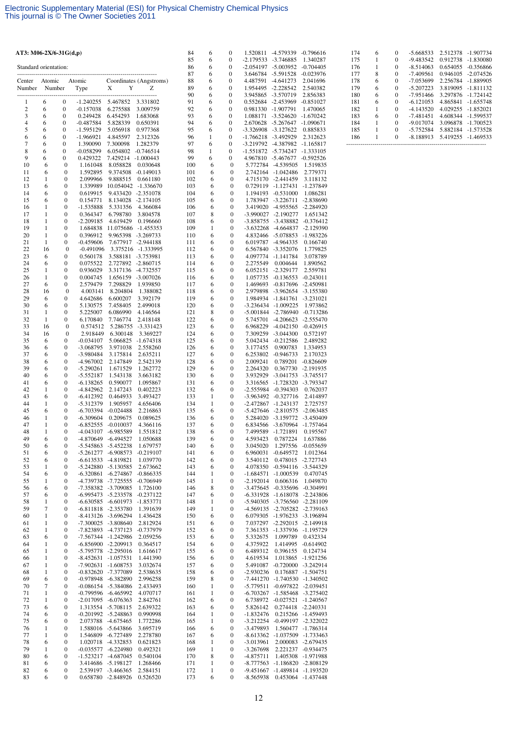| AT3: M06-2X/6-31 $G(d,p)$ |                   |                                      |                            |                                               |                                          | 84         | 6                 | 0                                |                                            | 1.520811 -4.579339                         | $-0.796616$                                                    |
|---------------------------|-------------------|--------------------------------------|----------------------------|-----------------------------------------------|------------------------------------------|------------|-------------------|----------------------------------|--------------------------------------------|--------------------------------------------|----------------------------------------------------------------|
| Standard orientation:     |                   |                                      |                            |                                               |                                          | 85<br>86   | 6<br>6            | 0<br>0                           | $-2.179533$<br>-2.054197 -5.003952         | -3.746885                                  | 1.340287<br>$-0.704405$                                        |
|                           |                   |                                      |                            |                                               |                                          | 87         | 6                 | $\mathbf{0}$                     | 3.646784                                   | $-5.591528$                                | $-0.023976$                                                    |
| Center<br>Number          | Atomic<br>Number  |                                      | Atomic<br>Type             | X<br>Y                                        | Coordinates (Angstroms)<br>Ζ             | 88<br>89   | 6<br>6            | $\mathbf{0}$<br>0                | 4.487591                                   | $-4.641273$<br>1.954495 -2.228542          | 2.041696<br>2.540382                                           |
|                           |                   |                                      |                            |                                               |                                          | 90         | 6                 | $\mathbf{0}$                     | 3.945865                                   | -3.570719                                  | 2.856383                                                       |
| 1                         | 6                 | $\boldsymbol{0}$                     | $-1.240255$                | 5.467852                                      | 3.331802                                 | 91         | 6                 | 0                                | 0.552684                                   | $-2.453969$                                | $-0.851027$                                                    |
| $\boldsymbol{2}$<br>3     | 6<br>6            | $\boldsymbol{0}$<br>$\boldsymbol{0}$ | $-0.157038$<br>0.249428    | 6.275588<br>6.454293                          | 3.009759<br>1.683068                     | 92<br>93   | 6<br>6            | 0<br>$\mathbf{0}$                | 0.981330 -1.907791<br>1.088171             | $-3.524620$                                | 1.470065<br>$-1.670242$                                        |
| $\overline{4}$            | 6                 | $\boldsymbol{0}$                     | $-0.487584$                | 5.828339                                      | 0.650391                                 | 94         | 6                 | 0                                | 2.670628                                   | $-5.267647$                                | $-1.090671$                                                    |
| 5                         | 6                 | $\boldsymbol{0}$                     | $-1.595129$                | 5.056918                                      | 0.977368                                 | 95         | 6                 | 0                                | -3.326908 -3.127622                        |                                            | 0.885833                                                       |
| 6<br>7                    | 6<br>6            | $\boldsymbol{0}$<br>$\boldsymbol{0}$ | $-1.966921$<br>1.390090    | 4.845597<br>7.300098                          | 2.312326<br>1.282379                     | 96<br>97   | 1<br>6            | 0<br>0                           | -1.766218 -3.492929<br>-3.219792 -4.387982 |                                            | 2.312623<br>$-1.165817$                                        |
| 8                         | 6                 | $\boldsymbol{0}$                     | $-0.058299$                | 6.054802                                      | $-0.746514$                              | 98         | 1                 | $\boldsymbol{0}$                 | $-1.551872$ $-5.734247$                    |                                            | $-1.333105$                                                    |
| 9<br>10                   | 6<br>6            | $\boldsymbol{0}$<br>$\boldsymbol{0}$ | 0.429322<br>1.161048       | 7.429214 -1.000443<br>8.058828                | 0.030648                                 | 99<br>100  | 6<br>6            | $\mathbf{0}$<br>$\boldsymbol{0}$ |                                            | 4.967810 -5.467677<br>5.772784 -4.539505   | $-0.592526$<br>1.519835                                        |
| 11                        | 6                 | $\boldsymbol{0}$                     | 1.592895                   | 9.374508                                      | -0.149013                                | 101        | 6                 | $\boldsymbol{0}$                 |                                            | 2.742164 -1.042486                         | 2.779371                                                       |
| 12                        | 1                 | $\boldsymbol{0}$                     | 2.099966                   | 9.888515                                      | 0.661180                                 | 102        | 6                 | 0                                |                                            | 4.715170 -2.441459                         | 3.118132                                                       |
| 13<br>14                  | 6<br>6            | $\boldsymbol{0}$<br>$\boldsymbol{0}$ | 1.339989<br>0.619915       | 10.054042                                     | -1.336670<br>9.433420 -2.351078          | 103<br>104 | 6<br>6            | 0<br>$\boldsymbol{0}$            |                                            | 0.729119 -1.127431<br>1.194193 -0.531000   | -1.237849<br>1.086281                                          |
| 15                        | 6                 | $\boldsymbol{0}$                     | 0.154771                   | 8.134028                                      | $-2.174105$                              | 105        | 6                 | 0                                |                                            | 1.783947 -3.226711                         | -2.838690                                                      |
| 16<br>17                  | 1<br>1            | $\boldsymbol{0}$<br>$\boldsymbol{0}$ | $-1.535888$<br>0.364347    | 5.331356<br>6.798780                          | 4.366084<br>3.804578                     | 106<br>107 | 6<br>8            | $\boldsymbol{0}$<br>0            |                                            | 3.419020 -4.955565<br>-3.990027 -2.190277  | $-2.284920$<br>1.651342                                        |
| 18                        | 1                 | $\boldsymbol{0}$                     | $-2.209185$                | 4.619429                                      | 0.196660                                 | 108        | 6                 | 0                                |                                            | -3.858755 -3.438882                        | $-0.376412$                                                    |
| 19                        | 1                 | $\boldsymbol{0}$                     | 1.684838                   | 11.075686                                     | -1.455353                                | 109        | 1                 | $\boldsymbol{0}$                 |                                            | -3.632268 -4.664837                        | $-2.129390$                                                    |
| 20<br>21                  | 1<br>1            | $\boldsymbol{0}$<br>$\boldsymbol{0}$ | 0.396912<br>-0.459606      |                                               | 9.965398 -3.269733<br>7.677917 -2.944188 | 110<br>111 | 6<br>6            | 0<br>0                           | 6.019787                                   | -4.964335                                  | 4.832466 -5.078853 -1.983226<br>0.166740                       |
| 22                        | 16                | $\bf{0}$                             | $-0.491096$                |                                               | 3.375216 -1.333995                       | 112        | 6                 | 0                                |                                            | 6.567840 -3.352076                         | 1.779825                                                       |
| 23                        | 6                 | $\boldsymbol{0}$                     | 0.560178                   | 3.588181 -3.753981                            |                                          | 113        | 6                 | 0                                |                                            | 4.097774 -1.141784                         | 3.078789                                                       |
| 24<br>25                  | 6<br>1            | $\boldsymbol{0}$<br>$\boldsymbol{0}$ | 0.075522<br>0.936029       |                                               | 2.727892 -2.860715<br>3.317136 -4.732557 | 114<br>115 | 6<br>6            | 0<br>0                           | 2.275549                                   | 0.004644<br>6.052151 -2.329177             | 1.890562<br>2.559781                                           |
| 26                        | 1                 | $\boldsymbol{0}$                     | 0.004745                   |                                               | 1.656159 -3.007026                       | 116        | 6                 | 0                                |                                            | 1.057735 -0.136553                         | $-0.243011$                                                    |
| 27                        | 6                 | $\mathbf{0}$<br>$\bf{0}$             | 2.579479                   | 7.298829                                      | 1.939850                                 | 117        | 6                 | $\boldsymbol{0}$<br>0            | 1.469693                                   |                                            | $-0.817696$ $-2.450981$<br>2.979898 -3.962654 -3.155380        |
| 28<br>29                  | 16<br>6           | $\boldsymbol{0}$                     | 4.003141<br>4.642686       | 8.204804<br>6.600207                          | 1.388082<br>3.392179                     | 118<br>119 | 6<br>6            | $\boldsymbol{0}$                 |                                            | 1.984934 -1.841761                         | $-3.231021$                                                    |
| 30                        | 6                 | $\boldsymbol{0}$                     | 5.130575                   | 7.458405                                      | 2.499018                                 | 120        | 6                 | $\boldsymbol{0}$                 |                                            | -3.236434 -1.009225                        | 1.973862                                                       |
| 31<br>32                  | 1<br>1            | $\boldsymbol{0}$<br>$\boldsymbol{0}$ | 5.225007<br>6.170840       | 6.086990<br>7.746774                          | 4.146564<br>2.418148                     | 121<br>122 | 8<br>6            | 0<br>0                           |                                            | -5.001844 -2.786940<br>5.745701 -4.206623  | $-0.713286$<br>$-2.555470$                                     |
| 33                        | 16                | $\bf{0}$                             | 0.574512                   | 5.286755                                      | $-3.331423$                              | 123        | 6                 | $\boldsymbol{0}$                 | 6.968229                                   | -4.042150                                  | -0.426915                                                      |
| 34                        | 16                | $\bf{0}$                             | 2.918449                   | 6.300148                                      | 3.369227                                 | 124        | 6                 | 0                                |                                            | 7.309259 -3.044300                         | 0.572197                                                       |
| 35<br>36                  | 6<br>6            | $\boldsymbol{0}$<br>$\boldsymbol{0}$ | $-0.034107$<br>$-3.068795$ | 5.066825<br>3.971038                          | -1.674318<br>2.558260                    | 125<br>126 | 6<br>6            | $\boldsymbol{0}$<br>0            | 5.042434<br>3.177455                       | $-0.212586$<br>0.900783                    | 2.489282<br>1.334953                                           |
| 37                        | 6                 | $\boldsymbol{0}$                     | -3.980484                  | 3.175814                                      | 2.635211                                 | 127        | 6                 | 0                                |                                            | 6.253802 -0.946733                         | 2.170323                                                       |
| 38<br>39                  | 6<br>6            | $\boldsymbol{0}$<br>$\boldsymbol{0}$ | -4.967002<br>$-5.290261$   | 2.147849<br>1.671529                          | 2.542139<br>1.262772                     | 128<br>129 | 6<br>6            | $\boldsymbol{0}$<br>0            | 2.009241<br>2.264320                       | 0.789201<br>0.367730                       | $-0.826609$<br>-2.191935                                       |
| 40                        | 6                 | $\boldsymbol{0}$                     | $-5.552187$                | 1.543138                                      | 3.663182                                 | 130        | 6                 | 0                                |                                            | 3.932929 -3.041753                         | $-3.745517$                                                    |
| 41                        | 6                 | $\boldsymbol{0}$                     | $-6.138265$                | 0.590077                                      | 1.095867                                 | 131        | 6                 | $\boldsymbol{0}$                 |                                            | 3.316565 -1.728320                         | -3.793347                                                      |
| 42<br>43                  | 1<br>6            | $\boldsymbol{0}$<br>$\boldsymbol{0}$ | -4.842962<br>$-6.412392$   | 2.147243<br>0.464933                          | 0.402223<br>3.493427                     | 132<br>133 | 6<br>1            | 0<br>0                           |                                            | -2.555984 -0.394303<br>-3.963492 -0.327716 | 0.762037<br>2.414897                                           |
| 44                        | 1                 | $\boldsymbol{0}$                     | $-5.312379$                | 1.905957                                      | 4.656406                                 | 134        | 1                 | 0                                |                                            | -2.472867 -1.243137                        | 2.725757                                                       |
| 45<br>46                  | 6<br>1            | $\boldsymbol{0}$<br>$\boldsymbol{0}$ | $-6.703394$<br>$-6.309604$ | $-0.024488$<br>0.209675                       | 2.216863<br>0.089625                     | 135<br>136 | 6<br>6            | 0<br>$\boldsymbol{0}$            |                                            | -5.427646 -2.810575                        | $-2.063485$<br>5.284020 -3.159772 -3.450409                    |
| 47                        | 1                 | $\boldsymbol{0}$                     | $-6.852555$                | $-0.010037$                                   | 4.366116                                 | 137        | 6                 | 0                                |                                            | 6.834566 -3.670964                         | -1.757464                                                      |
| 48                        | 1                 | $\boldsymbol{0}$                     | -4.043107                  | -6.985589                                     | 1.551812                                 | 138        | 6                 | $\boldsymbol{0}$                 |                                            | 7.499589 -1.721891                         | 0.195567                                                       |
| 49<br>50                  | 6<br>6            | 0<br>$\boldsymbol{0}$                |                            | -4.870649 -6.494527<br>-5.545863 -5.452238    | 1.050688<br>1.679757                     | 139<br>140 | 6<br>6            | 0<br>0                           | 4.593423<br>3.045020                       | 0.787224<br>1.297556                       | 1.637886<br>-0.055659                                          |
| 51                        | 6                 | 0                                    | $-5.261277$                | $-6.908573$                                   | $-0.219107$                              | 141        | 6                 | 0                                | 6.960031                                   | $-0.649572$                                | 1.012364                                                       |
| 52<br>53                  | 6<br>1            | $\boldsymbol{0}$<br>$\boldsymbol{0}$ | $-6.613533$<br>$-5.242880$ | -4.819821<br>-5.130585                        | 1.039770<br>2.673662                     | 142<br>143 | 6<br>6            | 0<br>0                           | 3.540112                                   |                                            | 0.478015 -2.727743<br>4.078350 -0.594116 -3.544329             |
| 54                        | 6                 | 0                                    | $-6.320861$                | $-6.274867$                                   | $-0.866335$                              | 144        | 1                 | 0                                | -1.684571                                  | $-1.000539$                                | 0.470745                                                       |
| 55                        | 1                 | $\boldsymbol{0}$                     |                            | -4.739738 -7.725555                           | $-0.706949$                              | 145        | 1                 | 0                                | $-2.192014$                                | 0.606316                                   | 1.049870                                                       |
| 56<br>57                  | 6<br>6            | $\boldsymbol{0}$<br>$\boldsymbol{0}$ | $-7.358382$<br>$-6.995473$ | -3.709085<br>-5.233578                        | 1.726100<br>$-0.237122$                  | 146<br>147 | 8<br>6            | 0<br>0                           |                                            |                                            | -3.475645 -0.335696 -0.304991<br>-6.331928 -1.618078 -2.243806 |
| 58                        | 1                 | $\boldsymbol{0}$                     |                            | -6.630585 -6.601973                           | -1.853771                                | 148        | 1                 | 0                                |                                            |                                            | -5.940305 -3.756560 -2.281109                                  |
| 59<br>60                  | 7<br>1            | $\boldsymbol{0}$<br>$\boldsymbol{0}$ | $-6.811818$                | $-2.353780$<br>-8.413126 -3.696294            | 1.391639<br>1.436428                     | 149<br>150 | $\mathbf{1}$<br>6 | $\boldsymbol{0}$<br>0            |                                            |                                            | -4.569135 -2.705282 -2.739163<br>6.079305 -1.976233 -3.196894  |
| 61                        | 1                 | $\boldsymbol{0}$                     | $-7.300025$                | -3.808640                                     | 2.812924                                 | 151        | 6                 | 0                                |                                            |                                            | 7.037297 -2.292015 -2.149918                                   |
| 62                        | 1                 | $\boldsymbol{0}$                     | $-7.823893$                | -4.737123                                     | $-0.737979$                              | 152        | 6                 | 0                                |                                            |                                            | 7.361353 -1.337936 -1.195729                                   |
| 63<br>64                  | 6<br>1            | 0<br>$\boldsymbol{0}$                |                            | -7.567344 -1.242986<br>$-6.856900 -2.209913$  | 2.059256<br>0.364517                     | 153<br>154 | 6<br>6            | 0<br>0                           | 5.332675<br>4.375922                       | 1.099789<br>1.414995                       | 0.432334<br>$-0.614902$                                        |
| 65                        | 1                 | $\boldsymbol{0}$                     | $-5.795778$                | $-2.295016$                                   | 1.616617                                 | 155        | 6                 | 0                                | 6.489312                                   | 0.396155                                   | 0.124734                                                       |
| 66                        | 1                 | $\boldsymbol{0}$                     | $-8.452631$                | -1.057531                                     | 1.441390                                 | 156        | 6                 | 0                                | 4.619534                                   |                                            | 1.013865 -1.921256                                             |
| 67<br>68                  | $\mathbf{1}$<br>1 | $\boldsymbol{0}$<br>$\boldsymbol{0}$ | $-7.902631$<br>$-0.832620$ | $-1.608753$<br>-7.377089                      | 3.032674<br>2.538635                     | 157<br>158 | 6<br>6            | 0<br>0                           | -2.930236                                  |                                            | 5.491087 -0.720000 -3.242914<br>0.176887 -1.504751             |
| 69                        | 6                 | $\boldsymbol{0}$                     |                            | -0.978948 -6.382890                           | 2.996258                                 | 159        | 8                 | 0                                |                                            |                                            | -7.441270 -1.740530 -1.340502                                  |
| 70<br>71                  | 7<br>1            | $\boldsymbol{0}$<br>$\boldsymbol{0}$ | $-0.086154$<br>$-0.799596$ | -5.384086<br>-6.465992                        | 2.433493<br>4.070717                     | 160<br>161 | $\mathbf{1}$<br>1 | $\boldsymbol{0}$<br>0            |                                            |                                            | -5.779511 -0.697822 -2.039451<br>-6.703267 -1.585468 -3.275402 |
| 72                        | 1                 | $\boldsymbol{0}$                     |                            | -2.017095 -6.076363                           | 2.842761                                 | 162        | 6                 | 0                                |                                            |                                            | 6.738972 -0.027521 -1.240567                                   |
| 73                        | 6                 | $\boldsymbol{0}$                     |                            | 1.313554 -5.708115                            | 2.639322                                 | 163        | 6                 | 0                                | 5.826142                                   |                                            | 0.274418 -2.240331                                             |
| 74<br>75                  | 6<br>6            | $\boldsymbol{0}$<br>$\boldsymbol{0}$ |                            | $-0.201992$ $-5.248863$<br>2.073788 -4.675465 | 0.990998<br>1.772286                     | 164<br>165 | 1<br>$\mathbf{1}$ | 0<br>0                           | -1.832476                                  |                                            | 0.215266 -1.459493<br>-3.212254 -0.499197 -2.322022            |
| 76                        | 1                 | $\boldsymbol{0}$                     | 1.588016                   | -5.643866                                     | 3.695719                                 | 166        | 6                 | 0                                | -3.479893                                  |                                            | 1.560477 -1.786314                                             |
| 77<br>78                  | 1<br>6            | 0                                    | 1.546809<br>1.020718       | $-6.727489$<br>-4.332853                      | 2.278780<br>0.621823                     | 167<br>168 | 6<br>$\mathbf{1}$ | 0<br>0                           | $-3.013961$                                |                                            | -8.613362 -1.037509 -1.733463<br>2.000083 -2.679435            |
| 79                        | 1                 | $\boldsymbol{0}$<br>$\boldsymbol{0}$ | $-0.035577$                | $-6.224980$                                   | 0.492321                                 | 169        | 1                 | 0                                | $-3.267698$                                |                                            | 2.221237 -0.934475                                             |
| 80                        | 6                 | 0                                    | $-1.523217$                | -4.687045                                     | 0.540104                                 | 170        | 8                 | 0                                | $-4.875711$                                |                                            | 1.405308 -1.971988                                             |
| 81<br>82                  | 6<br>6            | $\boldsymbol{0}$<br>$\boldsymbol{0}$ |                            | 3.414686 -5.198127<br>2.539197 -3.466365      | 1.268466<br>2.584151                     | 171<br>172 | 1<br>$\mathbf{1}$ | 0<br>0                           |                                            |                                            | -8.777563 -1.186820 -2.808129<br>-9.451667 -1.489814 -1.193520 |
| 83                        | 6                 | 0                                    |                            | 0.658780 -2.848926                            | 0.526520                                 | 173        | 6                 | 0                                | -8.565938                                  |                                            | 0.453064 -1.437448                                             |

| 174 | 6 | 0        | $-5.668533$ | 2.512378 | $-1.907734$ |
|-----|---|----------|-------------|----------|-------------|
| 175 | 1 | 0        | $-9.483542$ | 0.912738 | $-1.830080$ |
| 176 | 1 | 0        | $-8.514063$ | 0.654055 | $-0.356866$ |
| 177 | 8 | 0        | $-7.409561$ | 0.946105 | $-2.074526$ |
| 178 | 6 | 0        | $-7.053699$ | 2.256784 | $-1.889905$ |
| 179 | 6 | 0        | $-5.207223$ | 3.819095 | $-1.811132$ |
| 180 | 6 | 0        | $-7.951466$ | 3.297876 | $-1724142$  |
| 181 | 6 | 0        | $-6.121053$ | 4.865841 | $-1.655748$ |
| 182 | 1 | $\Omega$ | $-4.143520$ | 4.029255 | $-1.852021$ |
| 183 | 6 | 0        | $-7.481451$ | 4.608344 | $-1.599537$ |
| 184 | 1 | $\Omega$ | $-9.017074$ | 3.096878 | $-1.700523$ |
| 185 |   | 0        | $-5.752584$ | 5.882184 | $-1.573528$ |
| 186 |   | 0        | $-8.188913$ | 5.419255 | $-1.469533$ |
|     |   |          |             |          |             |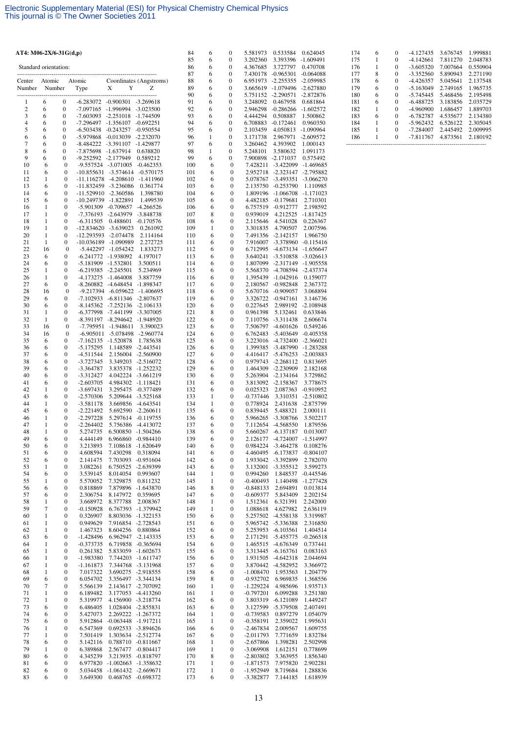| AT4: M06-2X/6-31G(d,p) |                   |                                      |                                            |                                                                      |                                          | 84         | 6                 | 0                     | 5.581973                       | 0.533584                                 | 0.624045                          |
|------------------------|-------------------|--------------------------------------|--------------------------------------------|----------------------------------------------------------------------|------------------------------------------|------------|-------------------|-----------------------|--------------------------------|------------------------------------------|-----------------------------------|
| Standard orientation:  |                   |                                      |                                            |                                                                      |                                          | 85<br>86   | 6<br>6            | 0<br>0                | 3.202360<br>4.367685           | 3.393396<br>3.727797                     | $-1.609491$<br>0.470708           |
|                        |                   |                                      |                                            |                                                                      |                                          | 87         | 6                 | 0                     | 7.430178                       | $-0.965301$                              | $-0.064088$                       |
| Center                 | Atomic            |                                      | Atomic                                     |                                                                      | Coordinates (Angstroms)                  | 88         | 6                 | 0                     | 6.951973                       | $-2.255355$                              | $-2.059985$                       |
| Number                 | Number            |                                      | Type                                       | X<br>Y                                                               | Z                                        | 89<br>90   | 6<br>6            | 0<br>0                |                                | 3.665619 -1.079496                       | $-2.627880$                       |
| 1                      | 6                 | $\bf{0}$                             |                                            | $-6.283072$ $-0.900301$ $-3.269618$                                  |                                          | 91         | 6                 | 0                     | 5.751152 -2.290571<br>3.248092 | 0.467958                                 | $-2.872876$<br>0.681864           |
| $\boldsymbol{2}$       | 6                 | $\boldsymbol{0}$                     |                                            | -7.097165 -1.996994 -3.023500                                        |                                          | 92         | 6                 | 0                     | 2.946298                       | $-0.286266$                              | $-1.602572$                       |
| 3<br>$\overline{4}$    | 6<br>6            | $\boldsymbol{0}$<br>$\mathbf{0}$     |                                            | -7.603093 -2.251018 -1.744509                                        |                                          | 93<br>94   | 6                 | 0                     | 4.444294                       | 0.508887                                 | 1.500862                          |
| 5                      | 6                 | $\boldsymbol{0}$                     |                                            | -7.296497 -1.356107 -0.692251<br>-6.503438 -0.243257 -0.950554       |                                          | 95         | 6<br>6            | 0<br>0                | 6.708883<br>2.103459           | $-0.172461$<br>4.050813 -1.090964        | 0.960350                          |
| 6                      | 6                 | $\boldsymbol{0}$                     |                                            | -5.979868 -0.013039 -2.232070                                        |                                          | 96         | $\mathbf{1}$      | $\bf{0}$              | 3.171738                       | 2.967971                                 | $-2.609572$                       |
| 7                      | 6                 | $\boldsymbol{0}$                     |                                            | -8.484222 -3.391107 -1.429877                                        |                                          | 97         | 6                 | 0                     | 3.260462                       | 4.393902                                 | 1.000143                          |
| 8<br>9                 | 6<br>6            | $\boldsymbol{0}$<br>$\boldsymbol{0}$ | -7.875698 -1.637914<br>-9.252592 -2.177949 |                                                                      | 0.638820<br>0.589212                     | 98<br>99   | 1<br>6            | 0<br>0                | 5.248101<br>7.900898           | 3.580632<br>-2.171037                    | 1.091173<br>0.575492              |
| 10                     | 6                 | $\boldsymbol{0}$                     |                                            | -9.557524 -3.071005                                                  | $-0.462353$                              | 100        | 6                 | $\mathbf{0}$          | 7.428211                       | $-3.422099$                              | -1.469685                         |
| 11                     | 6                 | $\boldsymbol{0}$                     |                                            |                                                                      | $-10.855631$ $-3.574614$ $-0.570175$     | 101        | 6                 | $\boldsymbol{0}$      |                                | 2.952718 -2.323147 -2.795882             |                                   |
| 12<br>13               | 1<br>6            | $\boldsymbol{0}$<br>$\boldsymbol{0}$ | -11.116278<br>$-11.832459$                 | $-3.236086$                                                          | -4.208610 -1.411960<br>0.361774          | 102<br>103 | 6<br>6            | $\boldsymbol{0}$<br>0 |                                | 5.078767 -3.493351<br>2.135750 -0.253790 | $-3.066270$<br>1.110985           |
| 14                     | 6                 | $\boldsymbol{0}$                     |                                            | -11.529910 -2.360586                                                 | 1.398780                                 | 104        | 6                 | 0                     |                                | 1.809196 -1.066708 -1.171023             |                                   |
| 15                     | 6                 | $\boldsymbol{0}$                     | $-10.249739$                               | -1.822891                                                            | 1.499539                                 | 105        | 6                 | $\boldsymbol{0}$      |                                | 4.482185 -0.179681                       | 2.710301                          |
| 16<br>17               | 1<br>$\mathbf{1}$ | $\boldsymbol{0}$                     | $-5.901309$                                | $-0.709657$                                                          | $-4.266526$                              | 106        | 6<br>8            | 0                     | 6.757519                       | -0.912777                                | 2.198592                          |
| 18                     | 1                 | $\boldsymbol{0}$<br>$\boldsymbol{0}$ | $-6.311505$                                | -7.376193 -2.643979 -3.848738<br>0.488601                            | $-0.170576$                              | 107<br>108 | 6                 | 0<br>$\boldsymbol{0}$ | 0.939019<br>2.115646           | 4.541028                                 | 4.212525 -1.817425<br>0.226367    |
| 19                     | 1                 | $\boldsymbol{0}$                     | $-12.834620$                               | $-3.639023$                                                          | 0.261092                                 | 109        | 1                 | 0                     | 3.301835                       | 4.790507                                 | 2.007596                          |
| 20                     | $\mathbf{1}$      | $\boldsymbol{0}$                     |                                            | $-12.293593 - 2.074478$                                              | 2.114164                                 | 110        | 6                 | $\boldsymbol{0}$      |                                | 7.491356 -2.142157                       | 1.966750                          |
| 21<br>22               | 1<br>16           | $\boldsymbol{0}$<br>$\mathbf{0}$     |                                            | -10.036189 -1.090989<br>$-5.442297 -1.054242$                        | 2.272725<br>1.833273                     | 111<br>112 | 6<br>6            | 0<br>0                |                                | 7.916007 -3.378960<br>6.712995 -4.673134 | -0.115416<br>-1.656647            |
| 23                     | 6                 | 0                                    |                                            | -6.241772 -1.938092                                                  | 4.197017                                 | 113        | 6                 | $\boldsymbol{0}$      |                                | 3.640241 -3.510858 -3.026613             |                                   |
| 24                     | 6                 | $\boldsymbol{0}$                     |                                            | -5.181909 -1.532801                                                  | 3.500511                                 | 114        | 6                 | 0                     |                                | 1.807099 -2.317149 -1.905558             |                                   |
| 25<br>26               | 1<br>$\mathbf{1}$ | $\boldsymbol{0}$<br>$\boldsymbol{0}$ |                                            | $-6.219385$ $-2.245501$<br>-4.173275 -1.464008                       | 5.234969<br>3.887759                     | 115<br>116 | 6<br>6            | 0<br>$\boldsymbol{0}$ | 5.568370                       | -4.708594<br>1.395439 -1.042916          | $-2.437374$<br>0.159077           |
| 27                     | 6                 | $\boldsymbol{0}$                     |                                            | -8.260882 -4.648454 -1.898347                                        |                                          | 117        | 6                 | 0                     |                                | 2.180567 -0.982848                       | 2.367372                          |
| 28                     | 16                | $\boldsymbol{0}$                     |                                            | -9.217394 -6.059622                                                  | -1.406695                                | 118        | 6                 | 0                     |                                | 5.670716 -0.909057                       | 3.068894                          |
| 29<br>30               | 6<br>6            | 0<br>$\boldsymbol{0}$                |                                            | -7.102933 -6.811346 -2.807637<br>$-8.145362$ $-7.252136$ $-2.106133$ |                                          | 119<br>120 | 6<br>6            | $\boldsymbol{0}$<br>0 | 0.227645                       | 3.326722 -0.947161<br>2.989192           | 3.146736<br>$-2.108948$           |
| 31                     | 1                 | $\boldsymbol{0}$                     |                                            | -6.377998 -7.441199 -3.307005                                        |                                          | 121        | 8                 | $\boldsymbol{0}$      | 0.961398                       | 5.132461                                 | 0.633846                          |
| 32                     | 1                 | 0                                    |                                            | -8.391197 -8.294642 -1.948920                                        |                                          | 122        | 6                 | 0                     |                                | 7.110756 -3.311438                       | 2.606674                          |
| 33                     | 16                | $\mathbf{0}$                         |                                            | -7.795951 -1.948611                                                  | 3.390023                                 | 123        | 6                 | $\boldsymbol{0}$      | 7.506797                       | -4.601626                                | 0.549246                          |
| 34<br>35               | 16<br>6           | $\boldsymbol{0}$<br>0                |                                            | -6.905011 -5.078498<br>-7.162135 -1.520878                           | -2.960774<br>1.785638                    | 124<br>125 | 6<br>6            | $\boldsymbol{0}$<br>0 |                                | 6.762483 -5.403649<br>3.223016 -4.732400 | $-0.405358$<br>$-2.366021$        |
| 36                     | 6                 | $\boldsymbol{0}$                     | $-5.175295$                                | 1.148589                                                             | $-2.443541$                              | 126        | 6                 | 0                     |                                | 1.399385 -3.487990                       | -1.283288                         |
| 37                     | 6                 | $\boldsymbol{0}$                     | -4.511544                                  |                                                                      | 2.156004 -2.560900                       | 127        | 6                 | 0                     |                                | 4.416417 -5.476253 -2.003883             |                                   |
| 38<br>39               | 6<br>6            | $\boldsymbol{0}$<br>$\boldsymbol{0}$ | $-3.727345$<br>$-3.364787$                 | 3.349203<br>3.835378                                                 | $-2.516072$<br>-1.252232                 | 128<br>129 | 6<br>6            | 0<br>0                |                                | 0.979743 -2.268112<br>1.464309 -2.230909 | 0.813695<br>2.182168              |
| 40                     | 6                 | $\boldsymbol{0}$                     | $-3.312427$                                |                                                                      | 4.042224 -3.661219                       | 130        | 6                 | 0                     |                                | 5.263904 -2.134164                       | 3.729862                          |
| 41                     | 6                 | $\boldsymbol{0}$                     | $-2.603705$                                |                                                                      | 4.984302 -1.118421                       | 131        | 6                 | 0                     |                                | 3.813092 -2.158367                       | 3.778675                          |
| 42<br>43               | 1<br>6            | $\boldsymbol{0}$<br>$\boldsymbol{0}$ | $-3.697431$<br>$-2.570306$                 | 3.295475                                                             | $-0.377489$<br>5.209644 -3.525168        | 132<br>133 | 6<br>1            | $\boldsymbol{0}$<br>0 | 0.025323<br>$-0.737446$        | 2.087363<br>3.310351                     | $-0.910952$<br>-2.510802          |
| 44                     | 1                 | $\boldsymbol{0}$                     | $-3.581178$                                | 3.669856                                                             | -4.643541                                | 134        | $\mathbf{1}$      | $\mathbf{0}$          | 0.778924                       | 2.431638                                 | -2.875799                         |
| 45                     | 6                 | $\boldsymbol{0}$                     | $-2.221492$                                | 5.692590                                                             | $-2.260611$                              | 135        | 6                 | 0                     | 0.839445                       | 5.488321                                 | 2.000111                          |
| 46<br>47               | 1<br>1            | $\boldsymbol{0}$<br>$\boldsymbol{0}$ | $-2.297228$<br>$-2.264402$                 | 5.756386                                                             | 5.297614 -0.119755<br>-4.413072          | 136<br>137 | 6<br>6            | 0<br>0                |                                | 5.966265 -3.308766<br>7.112654 -4.568550 | 3.502217<br>1.879556              |
| 48                     | 1                 | $\mathbf{0}$                         | 5.274735                                   |                                                                      | 6.500850 -1.504266                       | 138        | 6                 | $\mathbf{0}$          |                                | 5.660267 -6.137187                       | 0.013007                          |
| 49                     | 6                 | $\boldsymbol{0}$                     | 4.444149                                   |                                                                      | 6.966860 -0.984410                       | 139        | 6                 | 0                     |                                | 2.126177 -4.724007 -1.514997             |                                   |
| 50<br>51               | 6<br>6            | $\boldsymbol{0}$<br>0                | 3.213893<br>4.608594                       | 7.430298                                                             | 7.108618 -1.620649<br>0.318094           | 140<br>141 | 6<br>6            | 0<br>0                |                                | 0.984224 -3.464278<br>4.460495 -6.173837 | 0.108276<br>$-0.804107$           |
| 52                     | 6                 | 0                                    | 2.141475                                   |                                                                      | 7.703093 -0.951604                       | 142        | 6                 | 0                     |                                | 1.933042 -3.392899                       | 2.782070                          |
| 53                     | 1                 | $\boldsymbol{0}$                     | 3.082261                                   |                                                                      | 6.750525 -2.639399                       | 143        | 6                 | 0                     | 3.132001                       | $-3.355512$                              | 3.599273                          |
| 54<br>55               | 6<br>$\mathbf{1}$ | 0<br>0                               | 3.539145<br>5.570052                       | 8.014054<br>7.329875                                                 | 0.993607<br>0.811232                     | 144<br>145 | 1<br>$\mathbf{1}$ | 0<br>0                | 0.994260<br>$-0.400493$        | 1.848537                                 | $-0.445546$<br>1.140498 -1.277428 |
| 56                     | 6                 | $\boldsymbol{0}$                     | 0.818869                                   |                                                                      | 7.879896 -1.643870                       | 146        | 8                 | 0                     | $-0.848133$                    | 2.694891                                 | 0.013814                          |
| 57                     | 6                 | 0                                    | 2.306754                                   | 8.147972                                                             | 0.359695                                 | 147        | 6                 | 0                     | $-0.609377$                    | 5.843409                                 | 2.202154                          |
| 58<br>59               | $\mathbf{1}$<br>7 | 0<br>0                               | 3.668972<br>$-0.150928$                    | 8.377788                                                             | 2.008367<br>6.767393 -1.379942           | 148<br>149 | 1<br>1            | 0<br>0                | 1.512361<br>1.088618           | 6.321391<br>4.627982                     | 2.242000<br>2.636119              |
| 60                     | 1                 | 0                                    | 0.326907                                   | 8.803036                                                             | $-1.322153$                              | 150        | 6                 | 0                     |                                | 5.257502 -4.558138                       | 3.319987                          |
| 61                     | $\mathbf{1}$      | $\boldsymbol{0}$                     | 0.949629                                   |                                                                      | 7.916854 -2.728543                       | 151        | 6                 | 0                     |                                | 5.965742 -5.336388                       | 2.316850                          |
| 62<br>63               | 1<br>6            | 0<br>0                               | 1.467323<br>$-1.428496$                    | 8.604256<br>6.962947                                                 | 0.880864<br>$-2.143335$                  | 152<br>153 | 6<br>6            | 0<br>0                |                                | 5.253953 -6.103561<br>2.171291 -5.455775 | 1.404514<br>$-0.266518$           |
| 64                     | 1                 | $\boldsymbol{0}$                     | $-0.373735$                                |                                                                      | 6.719858 -0.365694                       | 154        | 6                 | 0                     |                                | 1.465515 -4.676349                       | 0.737441                          |
| 65                     | $\mathbf{1}$      | 0                                    | 0.261382                                   |                                                                      | 5.833059 -1.602673                       | 155        | 6                 | 0                     |                                | 3.313445 -6.163761                       | 0.083163                          |
| 66<br>67               | 1<br>1            | 0<br>0                               | -1.983380<br>$-1.161873$                   |                                                                      | 7.744203 -1.611747<br>7.344768 -3.131968 | 156<br>157 | 6<br>6            | 0<br>0                |                                | 1.931505 -4.642318<br>3.870442 -4.582952 | 2.044694<br>3.366972              |
| 68                     | 1                 | 0                                    | 7.017322                                   |                                                                      | 3.690275 -2.918555                       | 158        | 6                 | 0                     | $-1.008470$                    | 1.953563                                 | 1.204779                          |
| 69                     | 6                 | 0                                    | 6.054702                                   |                                                                      | 3.356497 -3.344134                       | 159        | 8                 | 0                     | $-0.932702$                    | 6.969835                                 | 1.368556                          |
| 70<br>71               | 7<br>1            | 0<br>0                               | 5.566139<br>6.189482                       |                                                                      | 2.143617 -2.707092<br>3.177053 -4.413260 | 160<br>161 | 1<br>$\mathbf{1}$ | 0<br>0                | $-1.229224$<br>$-0.797201$     | 4.985696<br>6.099288                     | 1.935713<br>3.251380              |
| 72                     | 1                 | 0                                    | 5.319977                                   |                                                                      | 4.156900 -3.218774                       | 162        | 6                 | 0                     | 3.803319                       | $-6.121089$                              | 1.449247                          |
| 73                     | 6                 | $\boldsymbol{0}$                     | 6.486405                                   |                                                                      | 1.028404 -2.855831                       | 163        | 6                 | 0                     | 3.127599                       | -5.379508                                | 2.407491                          |
| 74<br>75               | 6                 | 0                                    | 5.427073                                   |                                                                      | 2.269222 -1.267372                       | 164        | 1                 | 0<br>0                | $-0.739583$                    | 0.897279                                 | 1.054079                          |
| 76                     | 6<br>1            | 0<br>0                               | 5.912864<br>6.547369                       | $-0.063448$ $-1.917211$                                              | 0.692533 -3.894626                       | 165<br>166 | $\mathbf{1}$<br>6 | 0                     | $-0.358191$<br>$-2.467834$     | 2.359022<br>2.009567                     | 1.995631<br>1.609755              |
| 77                     | 1                 | 0                                    | 7.501419                                   |                                                                      | 1.303634 -2.512774                       | 167        | 6                 | 0                     | $-2.011793$                    | 7.771659                                 | 1.832784                          |
| 78                     | 6                 | 0                                    | 5.142116                                   |                                                                      | 0.788710 -0.811667                       | 168        | $\mathbf{1}$      | 0                     | $-2.657866$                    | 1.398281                                 | 2.502998                          |
| 79<br>80               | 1<br>6            | 0<br>0                               | 6.389868<br>4.345239                       |                                                                      | 2.567477 -0.804417<br>3.213935 -0.818797 | 169<br>170 | 1<br>8            | 0<br>0                | $-3.069908$<br>$-2.803802$     | 1.612151<br>3.363955                     | 0.778699<br>1.856340              |
| 81                     | 6                 | 0                                    | 6.977820                                   | $-1.002663 - 1.358632$                                               |                                          | 171        | $\mathbf{1}$      | 0                     | $-1.871573$                    | 7.975820                                 | 2.902281                          |
| 82                     | 6                 | 0                                    | 5.034458                                   | $-1.061432 -2.669671$                                                |                                          | 172        | $\mathbf{1}$      | 0                     | $-1.952949$                    | 8.719684                                 | 1.288836                          |
| 83                     | 6                 | 0                                    | 3.649300                                   | 0.468765                                                             | -0.698372                                | 173        | 6                 | 0                     | $-3.382877$                    | 7.144185                                 | 1.618939                          |

| 174 | 6 | 0 | $-4.127435$ | 3.676745 | 1.999881 |
|-----|---|---|-------------|----------|----------|
| 175 | 1 | 0 | $-4.142661$ | 7.811270 | 2.048783 |
| 176 |   | 0 | $-3.605320$ | 7.007664 | 0.550904 |
| 177 | 8 | 0 | $-3.352560$ | 5.890943 | 2.271190 |
| 178 | 6 | 0 | $-4.426357$ | 5.045641 | 2.137548 |
| 179 | 6 | 0 | $-5.163049$ | 2.749165 | 1.965735 |
| 180 | 6 | 0 | $-5.745445$ | 5.468456 | 2.195498 |
| 181 | 6 | 0 | $-6.488725$ | 3.183856 | 2.035729 |
| 182 | 1 | 0 | $-4.960900$ | 1.686457 | 1.889703 |
| 183 | 6 | 0 | $-6.782787$ | 4.535677 | 2.134380 |
| 184 |   | 0 | $-5.962432$ | 6.526122 | 2.305045 |
| 185 |   | 0 | $-7.284007$ | 2.445492 | 2.009995 |
| 186 |   | 0 | $-7.811767$ | 4.873561 | 2.180192 |
|     |   |   |             |          |          |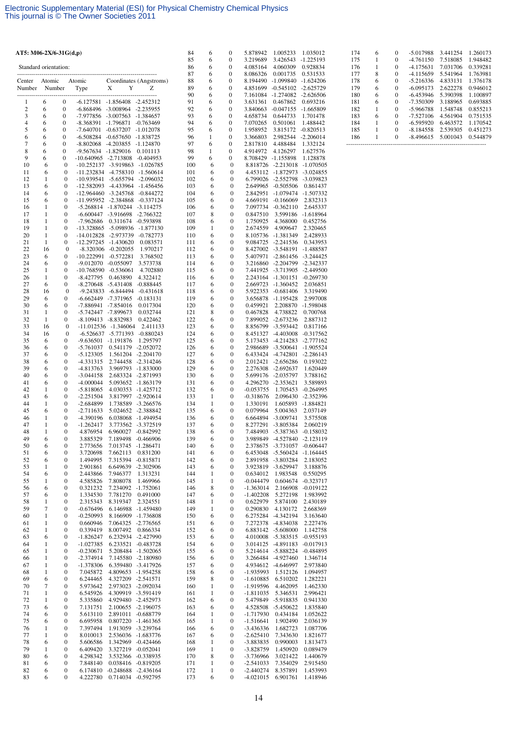| AT5: M06-2X/6-31G(d,p) |         |                                      |                                             |                                                                  |                                          | 84         | 6                 | $\boldsymbol{0}$                     | 5.878942                       | 1.005233                                                     | 1.035012                   |
|------------------------|---------|--------------------------------------|---------------------------------------------|------------------------------------------------------------------|------------------------------------------|------------|-------------------|--------------------------------------|--------------------------------|--------------------------------------------------------------|----------------------------|
|                        |         |                                      |                                             |                                                                  |                                          | 85<br>86   | 6<br>6            | $\boldsymbol{0}$<br>$\boldsymbol{0}$ | 3.219689<br>4.085164           | 3.426543<br>4.060309                                         | $-1.225193$                |
| Standard orientation:  |         |                                      |                                             |                                                                  |                                          | 87         | 6                 | $\boldsymbol{0}$                     | 8.086326                       | 0.001735                                                     | 0.928834<br>0.531533       |
| Center                 | Atomic  |                                      | Atomic                                      |                                                                  | Coordinates (Angstroms)                  | 88         | 6                 | $\boldsymbol{0}$                     | 8.194490                       | $-1.099840 -1.624206$                                        |                            |
| Number                 |         | Number                               | Type                                        | X<br>Y                                                           | Z                                        | 89<br>90   | 6                 | $\boldsymbol{0}$                     |                                | 4.851699 -0.545102 -2.625729<br>7.161084 -1.274082 -2.626506 |                            |
| 1                      | 6       | $\boldsymbol{0}$                     |                                             | $-6.127581 - 1.856408 - 2.452312$                                |                                          | 91         | 6<br>6            | $\boldsymbol{0}$<br>$\boldsymbol{0}$ | 3.631361                       | 0.467862                                                     | 0.693216                   |
| $\boldsymbol{2}$       | 6       | $\boldsymbol{0}$                     |                                             | -6.868496 -3.008964 -2.235955                                    |                                          | 92         | 6                 | $\boldsymbol{0}$                     | 3.840663                       | $-0.047155 - 1.665809$                                       |                            |
| 3<br>$\overline{4}$    | 6       | $\boldsymbol{0}$                     |                                             | -7.977856 -3.007563 -1.384657                                    |                                          | 93<br>94   | 6                 | $\boldsymbol{0}$                     | 4.658734                       | 0.644733                                                     | 1.701478                   |
| 5                      | 6<br>6  | 0<br>$\boldsymbol{0}$                |                                             | -8.368391 -1.796871 -0.763469<br>-7.640701 -0.637207 -1.012078   |                                          | 95         | 6<br>6            | $\boldsymbol{0}$<br>$\boldsymbol{0}$ | 7.070265<br>1.958952           | 0.501061<br>3.815172 -0.820513                               | 1.488442                   |
| 6                      | 6       | $\boldsymbol{0}$                     |                                             | -6.508284 -0.657650 -1.838725                                    |                                          | 96         | $\mathbf{1}$      | $\boldsymbol{0}$                     | 3.366803                       | 2.982544                                                     | $-2.206014$                |
| 7                      | 6       | $\boldsymbol{0}$                     |                                             | $-8.802068$ $-4.203855$ $-1.124870$                              |                                          | 97         | 6                 | $\boldsymbol{0}$                     | 2.817810                       | 4.488484                                                     | 1.332124                   |
| 8<br>9                 | 6<br>6  | $\boldsymbol{0}$<br>0                | -9.567634 -1.829016<br>-10.640965 -2.713808 |                                                                  | 0.101113<br>-0.404953                    | 98<br>99   | 1<br>6            | $\boldsymbol{0}$<br>0                | 4.914972<br>8.708429 -1.155898 | 4.126297                                                     | 1.627576<br>1.128878       |
| 10                     | 6       | $\boldsymbol{0}$                     |                                             | -10.252137 -3.919863 -1.026785                                   |                                          | 100        | 6                 | $\boldsymbol{0}$                     |                                | 8.818726 -2.213018                                           | $-1.070505$                |
| 11                     | 6       | $\boldsymbol{0}$                     |                                             | $-11.232834$ $-4.758310$ $-1.560614$                             |                                          | 101        | 6                 | $\boldsymbol{0}$                     |                                | 4.453112 -1.872973                                           | $-3.024855$                |
| 12<br>13               | 1<br>6  | $\mathbf{0}$<br>$\boldsymbol{0}$     |                                             | -10.939541 -5.655794 -2.096032<br>-12.582093 -4.433964 -1.456456 |                                          | 102<br>103 | 6<br>6            | $\mathbf{0}$<br>$\boldsymbol{0}$     | 6.799026                       | -2.552798<br>2.649965 -0.505506                              | $-3.039823$<br>0.861437    |
| 14                     | 6       | $\boldsymbol{0}$                     |                                             | -12.964460 -3.245768 -0.844272                                   |                                          | 104        | 6                 | $\boldsymbol{0}$                     | 2.842951                       | -1.079474                                                    | -1.507332                  |
| 15                     | 6       | 0                                    |                                             | -11.995952 -2.384868                                             | $-0.337124$                              | 105        | 6                 | $\mathbf{0}$                         | 4.669191                       | $-0.166069$                                                  | 2.832313                   |
| 16<br>17               | 1<br>1  | 0<br>$\boldsymbol{0}$                | $-6.600447$                                 | $-5.268814$ $-1.870244$ $-3.114275$<br>$-3.916698$               | -2.766322                                | 106<br>107 | 6<br>8            | $\boldsymbol{0}$<br>$\boldsymbol{0}$ | 0.847510                       | 7.097734 -0.362110<br>3.599186                               | 2.645337<br>$-1.618964$    |
| 18                     | 1       | 0                                    | -7.962686                                   |                                                                  | 0.311674 -0.593898                       | 108        | 6                 | $\boldsymbol{0}$                     | 1.750925                       | 4.368000                                                     | 0.452756                   |
| 19                     | 1       | $\boldsymbol{0}$                     |                                             | -13.328865 -5.098936 -1.877130                                   |                                          | 109        | 1                 | $\boldsymbol{0}$                     | 2.674559                       | 4.909647                                                     | 2.320465                   |
| 20<br>21               | 1<br>1  | $\mathbf{0}$<br>$\mathbf{0}$         |                                             | -14.012828 -2.973739 -0.782773<br>-12.297245 -1.430620           | 0.083571                                 | 110<br>111 | 6<br>6            | $\theta$<br>$\boldsymbol{0}$         | 9.084725                       | 8.105736 -1.381349<br>-2.241536                              | 2.428933<br>0.343953       |
| 22                     | 16      | $\boldsymbol{0}$                     |                                             | $-8.320306$ $-0.202055$                                          | 1.970217                                 | 112        | 6                 | $\boldsymbol{0}$                     |                                | 8.427002 -3.548191                                           | -1.488587                  |
| 23                     | 6       | 0                                    |                                             | -10.222991 -0.572281                                             | 3.768502                                 | 113        | 6                 | $\mathbf{0}$                         |                                | 5.407971 -2.861456                                           | -3.244425                  |
| 24<br>25               | 6<br>1  | 0<br>$\boldsymbol{0}$                |                                             | -9.012070 -0.055097<br>-10.768590 -0.536061                      | 3.573738<br>4.702880                     | 114<br>115 | 6<br>6            | $\boldsymbol{0}$<br>$\boldsymbol{0}$ | 3.216860                       | -2.204799<br>7.441925 -3.713905                              | -2.342337<br>-2.449500     |
| 26                     | 1       | $\boldsymbol{0}$                     | $-8.427795$                                 | 0.463890                                                         | 4.322412                                 | 116        | 6                 | $\boldsymbol{0}$                     |                                | 2.243164 -1.301151                                           | $-0.269730$                |
| 27                     | 6       | 0                                    | $-8.270648$                                 | -5.431408                                                        | $-0.888445$                              | 117        | 6                 | $\boldsymbol{0}$                     | 2.669723                       | -1.360452                                                    | 2.036851                   |
| 28<br>29               | 16<br>6 | $\boldsymbol{0}$<br>$\boldsymbol{0}$ |                                             | -9.243833 -6.844494 -0.431618<br>-6.662449 -7.371965 -0.183131   |                                          | 118<br>119 | 6<br>6            | $\boldsymbol{0}$<br>$\boldsymbol{0}$ |                                | 5.922353 -0.681406<br>3.656878 -1.195428                     | 3.319490<br>2.997008       |
| 30                     | 6       | 0                                    | -7.886941                                   | $-7.854016$                                                      | 0.017304                                 | 120        | 6                 | $\boldsymbol{0}$                     | 0.459921                       | 2.208870                                                     | $-1.598048$                |
| 31                     | 1       | 0                                    |                                             | -5.742447 -7.899673                                              | 0.032744                                 | 121        | 8                 | $\mathbf{0}$                         | 0.467828                       | 4.738822                                                     | 0.700768                   |
| 32<br>33               | 1<br>16 | 0<br>$\bf{0}$                        |                                             | -8.109413 -8.832983<br>$-11.012536 -1.346064$                    | 0.422462<br>2.411133                     | 122<br>123 | 6<br>6            | $\boldsymbol{0}$<br>$\boldsymbol{0}$ | 8.856799                       | 7.899052 -2.673236<br>-3.593442                              | 2.887312<br>0.817166       |
| 34                     | 16      | $\boldsymbol{0}$                     |                                             | -6.526637 -5.771393 -0.880243                                    |                                          | 124        | 6                 | $\mathbf{0}$                         |                                | 8.451327 -4.403008                                           | $-0.317562$                |
| 35                     | 6       | 0                                    |                                             | -9.636501 -1.191876                                              | 1.295797                                 | 125        | 6                 | $\boldsymbol{0}$                     |                                | 5.173453 -4.214283                                           | $-2.777162$                |
| 36<br>37               | 6<br>6  | 0<br>0                               | $-5.761037$<br>$-5.123305$                  |                                                                  | 0.541179 -2.052072<br>1.561204 -2.204170 | 126<br>127 | 6<br>6            | $\boldsymbol{0}$<br>$\mathbf{0}$     | 2.986689                       | $-3.500641$<br>6.433424 -4.742801                            | $-1.905524$<br>$-2.286143$ |
| 38                     | 6       | 0                                    | -4.331315                                   |                                                                  | 2.744458 -2.314246                       | 128        | 6                 | $\boldsymbol{0}$                     | 2.012421                       | -2.656286                                                    | 0.193022                   |
| 39                     | 6       | $\boldsymbol{0}$                     | -4.813763                                   |                                                                  | 3.969793 -1.833000                       | 129        | 6                 | $\boldsymbol{0}$                     |                                | 2.276308 -2.692637                                           | 1.620449                   |
| 40<br>41               | 6<br>6  | $\boldsymbol{0}$<br>$\boldsymbol{0}$ | $-3.044158$<br>$-4.000044$                  |                                                                  | 2.683324 -2.871993<br>5.093652 -1.863179 | 130<br>131 | 6<br>6            | $\mathbf{0}$<br>$\boldsymbol{0}$     |                                | 5.699176 -2.035797<br>4.296270 -2.353621                     | 3.788162<br>3.589893       |
| 42                     | 1       | $\boldsymbol{0}$                     | $-5.818065$                                 |                                                                  | 4.030353 -1.425712                       | 132        | 6                 | $\boldsymbol{0}$                     | $-0.053755$                    | 1.705453                                                     | $-0.264995$                |
| 43<br>44               | 6<br>1  | $\boldsymbol{0}$<br>$\boldsymbol{0}$ | $-2.251504$<br>$-2.684899$                  |                                                                  | 3.817997 -2.920614<br>1.738589 -3.266576 | 133<br>134 | 1<br>$\mathbf{1}$ | $\boldsymbol{0}$<br>$\boldsymbol{0}$ | $-0.318676$<br>1.330191        | 2.096430<br>1.605893                                         | -2.352396<br>$-1.884821$   |
| 45                     | 6       | $\boldsymbol{0}$                     | $-2.711633$                                 |                                                                  | 5.024652 -2.388842                       | 135        | 6                 | 0                                    | 0.079964                       | 5.004363                                                     | 2.037149                   |
| 46                     | 1       | $\boldsymbol{0}$                     | -4.390196                                   |                                                                  | 6.038068 -1.494954                       | 136        | 6                 | $\boldsymbol{0}$                     | 6.664894                       | -3.009741                                                    | 3.575508                   |
| 47<br>48               | 1<br>1  | $\boldsymbol{0}$<br>$\mathbf{0}$     | $-1.262417$<br>4.876954                     | 6.960027 -0.842992                                               | 3.773562 -3.372519                       | 137<br>138 | 6<br>6            | $\boldsymbol{0}$<br>$\mathbf{0}$     | 8.277291                       | $-3.805384$<br>7.484903 -5.387363                            | 2.060219<br>-0.158032      |
| 49                     | 6       | 0                                    | 3.885329                                    | 7.189498                                                         | -0.466906                                | 139        | 6                 | 0                                    | 3.989849                       | -4.527840                                                    | $-2.123119$                |
| 50                     | 6       | 0                                    | 2.773656                                    | 7.013745 -1.286471                                               |                                          | 140        | 6                 | $\boldsymbol{0}$                     | 2.378675                       | $-3.731057$                                                  | $-0.606447$                |
| 51<br>52               | 6<br>6  | 0<br>0                               | 3.720698<br>1.494995                        | 7.662113<br>7.315394 -0.815871                                   | 0.831200                                 | 141<br>142 | 6<br>6            | $\boldsymbol{0}$<br>$\boldsymbol{0}$ | 6.453048<br>2.891958           | -5.560424<br>$-3.803284$                                     | $-1.164445$<br>2.183052    |
| 53                     | 1       | 0                                    | 2.901861                                    |                                                                  | 6.649639 -2.302906                       | 143        | 6                 | 0                                    | 3.923819                       | $-3.629947$                                                  | 3.188876                   |
| 54                     | 6       | 0                                    | 2.443866                                    | 7.946377                                                         | 1.313231                                 | 144        | 1                 | $\boldsymbol{0}$                     | 0.634012                       | 1.983548                                                     | 0.550295                   |
| 55<br>56               | 1<br>6  | 0<br>0                               | 4.585826<br>0.321232                        | 7.808078<br>7.234092 -1.752061                                   | 1.469966                                 | 145<br>146 | $\mathbf{1}$<br>8 | $\boldsymbol{0}$<br>0                | $-0.044479$<br>$-1.363014$     | 0.604674<br>2.166908                                         | $-0.323717$<br>$-0.019122$ |
| 57                     | 6       | 0                                    | 1.334530                                    | 7.781270                                                         | 0.491000                                 | 147        | 6                 | $\boldsymbol{0}$                     | $-1.402208$                    | 5.272198                                                     | 1.983992                   |
| 58                     | 1       | 0                                    | 2.315343                                    | 8.319347                                                         | 2.324551                                 | 148        | 1                 | $\boldsymbol{0}$                     | 0.622979                       | 5.874100                                                     | 2.430189                   |
| 59<br>60               | 7<br>1  | 0<br>0                               | $-0.676496$<br>$-0.250993$                  |                                                                  | 6.146988 -1.459480<br>8.166909 -1.736808 | 149<br>150 | 1<br>6            | $\boldsymbol{0}$<br>$\boldsymbol{0}$ | 0.290830                       | 4.130172<br>6.275284 -4.342194                               | 2.668369<br>3.163640       |
| 61                     | 1       | 0                                    | 0.660946                                    |                                                                  | 7.064325 -2.776565                       | 151        | 6                 | $\boldsymbol{0}$                     |                                | 7.272378 -4.834038                                           | 2.227476                   |
| 62                     | 1       | 0                                    | 0.339419                                    | 8.007492                                                         | 0.866334                                 | 152        | 6                 | 0                                    |                                | 6.883142 -5.608000                                           | 1.142758                   |
| 63<br>64               | 6<br>1  | 0<br>0                               | $-1.826247$<br>$-1.027385$                  |                                                                  | 6.232934 -2.427990<br>6.233521 -0.483728 | 153<br>154 | 6<br>6            | $\boldsymbol{0}$<br>$\boldsymbol{0}$ |                                | 4.010008 -5.383515<br>3.014125 -4.891183                     | $-0.955193$<br>$-0.017913$ |
| 65                     | 1       | 0                                    | $-0.230671$                                 |                                                                  | 5.208484 -1.502065                       | 155        | 6                 | $\boldsymbol{0}$                     |                                | 5.214614 -5.888224                                           | $-0.484895$                |
| 66                     | 1       | 0                                    | $-2.374914$                                 |                                                                  | 7.145580 -2.180980                       | 156        | 6                 | $\boldsymbol{0}$                     |                                | 3.266484 -4.927460                                           | 1.346714                   |
| 67<br>68               | 1<br>1  | 0<br>0                               | $-1.378306$<br>7.045872                     |                                                                  | 6.359480 -3.417926<br>4.809653 -1.954258 | 157<br>158 | 6<br>6            | $\boldsymbol{0}$<br>$\boldsymbol{0}$ | $-1.935993$                    | 4.934612 -4.646997<br>1.512126                               | 2.973840<br>1.094957       |
| 69                     | 6       | 0                                    | 6.244465                                    | 4.327209 -2.541571                                               |                                          | 159        | 8                 | $\boldsymbol{0}$                     | $-1.610885$                    | 6.510202                                                     | 1.282221                   |
| 70                     | 7       | 0                                    | 5.973642                                    | 2.973023 -2.092034                                               |                                          | 160        | 1                 | $\boldsymbol{0}$                     | $-1.919596$                    | 4.462095                                                     | 1.462330                   |
| 71<br>72               | 1<br>1  | 0<br>0                               | 6.545926<br>5.335860                        |                                                                  | 4.309919 -3.591419<br>4.929480 -2.452973 | 161<br>162 | 1<br>6            | $\boldsymbol{0}$<br>$\boldsymbol{0}$ | $-1.811035$                    | 5.346531<br>5.479849 -5.918835                               | 2.996421<br>0.941330       |
| 73                     | 6       | 0                                    | 7.131751                                    | 2.100655 -2.196075                                               |                                          | 163        | 6                 | $\boldsymbol{0}$                     | 4.528508                       | $-5.450622$                                                  | 1.835840                   |
| 74                     | 6       | 0                                    | 5.613110                                    |                                                                  | 2.891011 -0.688779                       | 164        | 1                 | $\boldsymbol{0}$                     | $-1.717930$                    | 0.434184                                                     | 1.052622                   |
| 75<br>76               | 6<br>1  | 0<br>0                               | 6.695958<br>7.397494                        | 1.913059 -3.239764                                               | 0.807220 -1.461365                       | 165<br>166 | 1<br>6            | $\boldsymbol{0}$<br>$\boldsymbol{0}$ | $-1.516641$<br>$-3.436336$     | 1.902490<br>1.682723                                         | 2.036139<br>1.087706       |
| 77                     | 1       | 0                                    | 8.010013                                    |                                                                  | 2.536036 -1.683776                       | 167        | 6                 | 0                                    | $-2.625410$                    | 7.343630                                                     | 1.821677                   |
| 78                     | 6       | 0                                    | 5.606586                                    |                                                                  | 1.342969 -0.424466                       | 168        | 1                 | $\boldsymbol{0}$                     | -3.883835                      | 0.990003                                                     | 1.813473                   |
| 79<br>80               | 1<br>6  | 0<br>0                               | 6.409420<br>4.298342                        | 3.327219 -0.052041                                               | 3.532366 -0.338935                       | 169<br>170 | 1<br>8            | $\boldsymbol{0}$<br>$\boldsymbol{0}$ | $-3.828759$<br>$-3.736966$     | 1.450920<br>3.021422                                         | 0.089479<br>1.440679       |
| 81                     | 6       | 0                                    | 7.848140                                    |                                                                  | 0.038416 -0.819205                       | 171        | 1                 | $\boldsymbol{0}$                     | $-2.541033$                    | 7.354029                                                     | 2.915450                   |
| 82<br>83               | 6<br>6  | 0<br>0                               | 6.174810<br>4.222780                        | $-0.248688$ $-2.436164$<br>0.714034 -0.592795                    |                                          | 172<br>173 | $\mathbf{1}$<br>6 | $\boldsymbol{0}$<br>$\boldsymbol{0}$ | $-2.440274$<br>$-4.021015$     | 8.357891<br>6.901761                                         | 1.453993<br>1.418946       |
|                        |         |                                      |                                             |                                                                  |                                          |            |                   |                                      |                                |                                                              |                            |

| 174 | 6 | $\Omega$ | $-5.017988$ | 3.441254 | 1.260173 |
|-----|---|----------|-------------|----------|----------|
| 175 |   | 0        | $-4.761150$ | 7.518085 | 1.948482 |
| 176 |   | 0        | $-4.175631$ | 7.031706 | 0.339281 |
| 177 | 8 | 0        | $-4.115659$ | 5.541964 | 1.763981 |
| 178 | 6 | 0        | $-5.216336$ | 4.833131 | 1.376178 |
| 179 | 6 | 0        | $-6.095173$ | 2.622278 | 0.946012 |
| 180 | 6 | 0        | $-6.453946$ | 5.390398 | 1.100897 |
| 181 | 6 | 0        | $-7.350309$ | 3.188965 | 0.693885 |
| 182 | 1 | 0        | $-5.966788$ | 1.548748 | 0.855213 |
| 183 | 6 | 0        | $-7.527106$ | 4.561904 | 0.751535 |
| 184 |   | 0        | $-6.595920$ | 6.463572 | 1.170542 |
| 185 |   | 0        | $-8.184558$ | 2.539305 | 0.451273 |
| 186 |   | 0        | $-8.496615$ | 5.001043 | 0.544879 |
|     |   |          |             |          |          |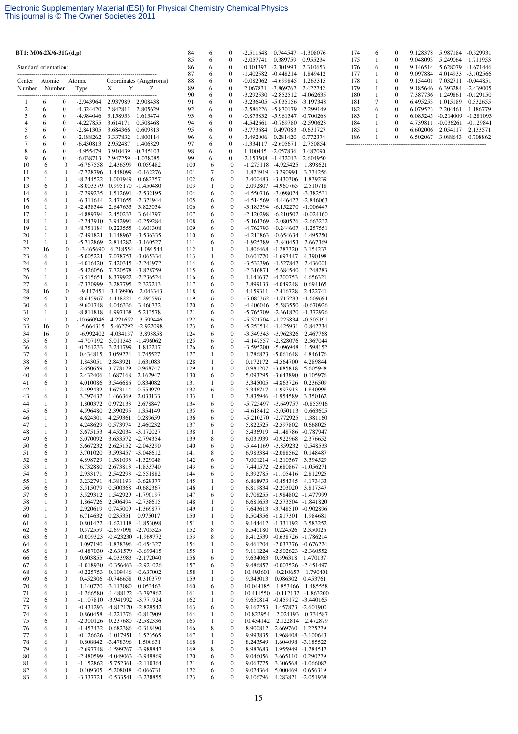| BT1: M06-2X/6-31 $G(d,p)$ |                   |                                      |                            |                                                                | 84                                       | 6          | 0                            | -2.511648                            | 0.744547 -1.308076                    |                                                               |                                 |
|---------------------------|-------------------|--------------------------------------|----------------------------|----------------------------------------------------------------|------------------------------------------|------------|------------------------------|--------------------------------------|---------------------------------------|---------------------------------------------------------------|---------------------------------|
| Standard orientation:     |                   |                                      |                            |                                                                |                                          | 85<br>86   | 6<br>6                       | $\boldsymbol{0}$<br>$\boldsymbol{0}$ | $-2.057741$<br>0.101393 -2.301993     | 0.389759                                                      | 0.955234<br>2.310653            |
|                           | ---------         |                                      |                            |                                                                |                                          | 87         | 6                            | $\boldsymbol{0}$                     | -1.402582 -0.448214                   |                                                               | 1.849412                        |
| Center                    | Atomic            |                                      | Atomic                     | X<br>Y                                                         | Coordinates (Angstroms)<br>Z             | 88<br>89   | 6<br>6                       | $\boldsymbol{0}$<br>$\boldsymbol{0}$ | $-0.082062$ $-4.699845$<br>2.067831   |                                                               | 1.263315                        |
| Number                    | Number            |                                      | Type                       |                                                                |                                          | 90         | 6                            | $\boldsymbol{0}$                     |                                       | -3.869767<br>-3.292530 -2.852512 -4.062635                    | 2.422742                        |
| 1                         | 6                 | $\boldsymbol{0}$                     | $-2.943964$                | 2.937989                                                       | 2.908438                                 | 91         | 6                            | $\boldsymbol{0}$                     | -3.236405 -5.035156                   |                                                               | -3.197348                       |
| $\mathfrak{2}$<br>3       | 6<br>6            | $\boldsymbol{0}$<br>$\mathbf{0}$     | $-4.324420$<br>-4.984046   | 2.842811<br>3.158933                                           | 2.805629<br>1.613474                     | 92<br>93   | 6<br>6                       | $\boldsymbol{0}$<br>$\boldsymbol{0}$ | -2.586226 -5.870179                   | -0.873832 -5.961547 -0.700268                                 | -2.299149                       |
| $\overline{4}$            | 6                 | $\boldsymbol{0}$                     | $-4.227855$                | 3.614171                                                       | 0.508468                                 | 94         | 6                            | $\boldsymbol{0}$                     | -4.542661                             | $-0.769780$                                                   | $-2.590623$                     |
| 5                         | 6                 | $\boldsymbol{0}$                     | $-2.841305$                | 3.684366                                                       | 0.609813                                 | 95         | 6                            | $\boldsymbol{0}$                     | -3.773684                             | 0.497083                                                      | $-0.631727$                     |
| 6<br>$\tau$               | 6<br>6            | $\boldsymbol{0}$<br>$\boldsymbol{0}$ | $-2.188262$<br>$-6.430813$ | 3.337832<br>2.952487                                           | 1.800114<br>1.406829                     | 96<br>97   | 6<br>6                       | $\boldsymbol{0}$<br>$\boldsymbol{0}$ | $-3.492006$<br>$-1.334117 - 2.605671$ | 0.281420                                                      | 0.772374<br>2.750854            |
| 8                         | 6                 | $\mathbf{0}$                         | -4.955479                  | 3.910439                                                       | $-0.745103$                              | 98         | 6                            | 0                                    | 1.100445 -2.057836                    |                                                               | 3.487090                        |
| 9<br>10                   | 6<br>6            | $\boldsymbol{0}$<br>$\boldsymbol{0}$ | $-6.038713$<br>$-6.767558$ | 2.947259<br>2.436599                                           | -1.038085<br>0.059482                    | 99<br>100  | 6<br>6                       | 0<br>$\mathbf{0}$                    | -2.153508 -1.432013                   | $-1.275118$ $-4.925425$                                       | 2.604950<br>1.898621            |
| 11                        | 6                 | $\boldsymbol{0}$                     | -7.728796                  | 1.448099                                                       | $-0.162276$                              | 101        | 7                            | 0                                    |                                       | 1.821919 -3.290991                                            | 3.734256                        |
| 12<br>13                  | $\mathbf{1}$<br>6 | $\boldsymbol{0}$<br>$\boldsymbol{0}$ | $-8.244522$                | 1.001949                                                       | 0.682757                                 | 102        | 6<br>1                       | $\mathbf{0}$<br>0                    |                                       | 3.400483 -3.430306                                            | 1.839239                        |
| 14                        | 6                 | 0                                    | $-8.003379$<br>-7.299235   | 0.995170<br>1.512691                                           | -1.450480<br>-2.532195                   | 103<br>104 | 6                            | 0                                    |                                       | 2.092807 -4.960765<br>-4.550716 -3.098024                     | 2.510718<br>$-3.382531$         |
| 15                        | 6                 | $\boldsymbol{0}$                     | $-6.311644$                | 2.471655                                                       | -2.321944                                | 105        | 6                            | 0                                    |                                       | -4.514569 -4.446427                                           | $-2.846063$                     |
| 16<br>17                  | 1<br>1            | $\boldsymbol{0}$<br>0                | $-2.438344$<br>-4.889794   | 2.647633<br>2.450237                                           | 3.823034<br>3.644797                     | 106<br>107 | 6<br>6                       | 0<br>0                               |                                       | -3.185394 -6.152270<br>$-2.120298$ $-6.210502$ $-0.024160$    | $-1.006447$                     |
| 18                        | $\mathbf{1}$      | $\boldsymbol{0}$                     | $-2.243910$                | 3.942991                                                       | $-0.259284$                              | 108        | 6                            | 0                                    |                                       | -5.161369 -2.080526                                           | -2.663232                       |
| 19                        | 1                 | $\boldsymbol{0}$                     | $-8.751184$                | 0.223555                                                       | -1.601308                                | 109        | 6                            | 0                                    |                                       | -4.762793 -0.244607                                           | $-1.257551$                     |
| 20<br>21                  | $\mathbf{1}$<br>1 | $\boldsymbol{0}$<br>$\boldsymbol{0}$ | $-7.491821$<br>$-5.712869$ |                                                                | 1.148967 -3.536335<br>2.814282 -3.160527 | 110<br>111 | 6<br>6                       | $\boldsymbol{0}$<br>$\boldsymbol{0}$ |                                       | $-4.213863 -0.654634$<br>-1.925389 -3.840453                  | 1.495250<br>2.667369            |
| 22                        | 16                | $\boldsymbol{0}$                     | $-3.465690$                |                                                                | 6.218554 -1.091544                       | 112        | 1                            | 0                                    |                                       | 1.806468 -1.287320                                            | 3.154237                        |
| 23<br>24                  | 6<br>6            | 0<br>$\boldsymbol{0}$                | $-5.005221$<br>$-4.016420$ |                                                                | 7.078753 -3.065334<br>7.420315 -2.241972 | 113<br>114 | 1<br>6                       | 0<br>$\mathbf{0}$                    |                                       | 0.601770 -1.697447<br>-3.532396 -1.527847                     | 4.390198<br>2.436001            |
| 25                        | 1                 | 0                                    | $-5.426056$                | 7.720578                                                       | -3.828759                                | 115        | 6                            | 0                                    |                                       | -2.316871 -5.684540                                           | 1.248283                        |
| 26                        | $\mathbf{1}$      | $\boldsymbol{0}$                     | $-3.515651$                |                                                                | 8.379922 -2.236524                       | 116        | 6                            | 0                                    |                                       | 1.141637 -4.200753                                            | 4.656321                        |
| 27<br>28                  | 6<br>16           | 0<br>$\boldsymbol{0}$                | -7.370999<br>$-9.117451$   | 3.287795<br>3.139906                                           | 2.327213<br>2.043343                     | 117<br>118 | 6<br>6                       | $\boldsymbol{0}$<br>0                |                                       | 3.899133 -4.049248<br>4.159311 -2.416728                      | 0.694165<br>2.422741            |
| 29                        | 6                 | 0                                    | $-8.645967$                | 4.448221                                                       | 4.295596                                 | 119        | 6                            | $\boldsymbol{0}$                     |                                       | -5.085362 -4.715283                                           | -1.609694                       |
| 30<br>31                  | 6<br>$\mathbf{1}$ | 0<br>$\boldsymbol{0}$                | $-9.601748$<br>$-8.811818$ | 4.046336<br>4.997138                                           | 3.460732<br>5.213578                     | 120<br>121 | 6<br>6                       | 0<br>0                               |                                       | -4.406046 -5.583550<br>-5.765709 -2.361820                    | -0.670926<br>-1.372976          |
| 32                        | 1                 | $\boldsymbol{0}$                     | $-10.660946$               | 4.221652                                                       | 3.599446                                 | 122        | 6                            | 0                                    |                                       | -5.521704 -1.225834                                           | $-0.505191$                     |
| 33                        | 16                | $\boldsymbol{0}$                     | $-5.664315$                | 5.462792                                                       | -2.922098                                | 123        | 6                            | 0                                    |                                       | -5.253514 -1.425931                                           | 0.842734                        |
| 34<br>35                  | 16<br>6           | $\boldsymbol{0}$<br>0                | $-6.992402$<br>-4.707192   | 4.034137                                                       | 3.893858<br>5.011345 -1.496062           | 124<br>125 | 6<br>6                       | 0<br>$\boldsymbol{0}$                |                                       | -3.349343 -3.962326<br>-4.147557 -2.828076                    | 2.467768<br>2.367044            |
| 36                        | 6                 | 0                                    | $-0.761233$                | 3.241799                                                       | 1.812217                                 | 126        | 6                            | 0                                    |                                       | -3.595200 -5.096948                                           | 1.598152                        |
| 37<br>38                  | 6<br>6            | $\boldsymbol{0}$<br>$\boldsymbol{0}$ | 0.434815<br>1.843051       | 3.059274<br>2.843921                                           | 1.745527<br>1.631083                     | 127<br>128 | 1<br>1                       | $\boldsymbol{0}$<br>$\boldsymbol{0}$ |                                       | 1.786823 -5.061648<br>0.172172 -4.564700                      | 4.846176<br>4.289844            |
| 39                        | 6                 | 0                                    | 2.650659                   | 3.778179                                                       | 0.968747                                 | 129        | 1                            | 0                                    |                                       | 0.981207 -3.685818                                            | 5.605948                        |
| 40<br>41                  | 6<br>6            | $\boldsymbol{0}$<br>$\boldsymbol{0}$ | 2.432406                   | 1.687168<br>3.546686                                           | 2.162947<br>0.834082                     | 130        | 6<br>1                       | $\boldsymbol{0}$<br>$\boldsymbol{0}$ |                                       | 5.093295 -3.643890                                            | 0.105976<br>0.236509            |
| 42                        | $\mathbf{1}$      | $\boldsymbol{0}$                     | 4.010086<br>2.199432       | 4.673114                                                       | 0.554979                                 | 131<br>132 | 6                            | $\boldsymbol{0}$                     |                                       | 3.345005 -4.863726<br>5.346717 -1.997913                      | 1.840998                        |
| 43                        | 6                 | 0                                    | 3.797432                   | 1.466369                                                       | 2.033133                                 | 133        | 1                            | 0                                    |                                       | 3.835946 -1.954589                                            | 3.350162                        |
| 44<br>45                  | 1<br>6            | 0<br>0                               | 1.800372<br>4.596480       | 0.972133<br>2.390295                                           | 2.678847<br>1.354149                     | 134<br>135 | 6<br>6                       | 0<br>0                               |                                       | -5.725497 -3.649757<br>$-4.618412 - 5.050113$                 | $-0.855916$<br>0.663605         |
| 46                        | 1                 | 0                                    | 4.624301                   | 4.259361                                                       | 0.289659                                 | 136        | 6                            | 0                                    |                                       | -5.210270 -2.772925                                           | 1.381160                        |
| 47<br>48                  | 1<br>1            | $\boldsymbol{0}$<br>$\mathbf{0}$     | 4.248629                   | 0.573974<br>4.452034                                           | 2.460232<br>$-3.172027$                  | 137<br>138 | 6<br>1                       | 0<br>$\boldsymbol{0}$                |                                       | 5.822525 -2.597802<br>5.436919 -4.148786                      | 0.668025<br>$-0.787947$         |
| 49                        | 6                 | 0                                    | 5.675153<br>5.070092       |                                                                | 3.633572 -2.794354                       | 139        | 8                            | 0                                    |                                       | 6.031939 -0.922968                                            | 2.376652                        |
| 50                        | 6                 | 0                                    | 5.667232                   | 2.625152 -2.043290                                             |                                          | 140        | 6                            | 0                                    |                                       | -5.441169 -3.859232                                           | 0.548533                        |
| 51<br>52                  | 6<br>6            | 0<br>0                               | 3.701020<br>4.898729       |                                                                | 3.593457 -3.048612<br>1.581093 -1.529048 | 141<br>142 | 8<br>6                       | 0<br>0                               |                                       | 6.983384 -2.088562<br>7.001214 -1.210367                      | 0.148487<br>3.394529            |
| 53                        | 1                 | 0                                    | 6.732880                   |                                                                | 2.673813 -1.833740                       | 143        | 6                            | 0                                    |                                       | 7.441572 -2.680867 -1.056271                                  |                                 |
| 54<br>55                  | 6<br>1            | 0<br>0                               | 2.933171<br>3.232791       |                                                                | 2.542293 -2.551882<br>4.381193 -3.629377 | 144<br>145 | 6<br>1                       | 0<br>0                               |                                       | 8.392785 -1.105416<br>6.868973 -0.454345                      | 2.812925<br>4.173433            |
| 56                        | 6                 | 0                                    | 5.515079                   | 0.500368 -0.682367                                             |                                          | 146        | 1                            | 0                                    |                                       | 6.819834 -2.203020                                            | 3.817347                        |
| 57                        | 6                 | 0                                    | 3.529312<br>1.864726       | 1.542929                                                       | $-1.790197$                              | 147<br>148 | 6<br>1                       | 0<br>0                               |                                       | 8.708255 -1.984802 -1.477999<br>6.681653 -2.573504 -1.841820  |                                 |
| 58<br>59                  | 1<br>$\mathbf{1}$ | 0<br>$\boldsymbol{0}$                | 2.920619                   | 0.745009 -1.369877                                             | 2.506494 -2.738615                       | 149        | $\mathbf{1}$                 | 0                                    |                                       | 7.643613 -3.748510 -0.902896                                  |                                 |
| 60                        | 1                 | 0                                    | 6.714632                   | 0.235351                                                       | 0.975017                                 | 150        | 1                            | 0                                    |                                       | 8.504356 -1.817301                                            | 1.984681                        |
| 61<br>62                  | 6<br>6            | 0<br>0                               |                            | 0.801422 -1.621118 -1.853098<br>0.572559 -2.697098 -2.705325   |                                          | 151<br>152 | $\mathbf{1}$<br>8            | 0<br>0                               | 8.540180                              | 9.144412 -1.331192<br>0.224526                                | 3.583252<br>2.350026            |
| 63                        | 6                 | 0                                    |                            | -0.009323 -0.423230 -1.969772                                  |                                          | 153        | 8                            | 0                                    |                                       | 8.412539 -0.638726 -1.786214                                  |                                 |
| 64                        | 6                 | 0<br>0                               |                            | 1.097190 -1.838396 -0.454327<br>-0.487030 -2.631579 -3.693415  |                                          | 154        | 1<br>1                       | 0<br>0                               |                                       | 9.461204 -2.037376 -0.676224<br>9.111224 -2.502623 -2.360552  |                                 |
| 65<br>66                  | 6<br>6            | 0                                    | 0.603855                   | -4.033983 -2.172040                                            |                                          | 155<br>156 | 6                            | 0                                    | 9.634063                              | 0.396318                                                      | 1.470137                        |
| 67                        | 6                 | 0                                    |                            | -1.018930 -0.356463 -2.921026                                  |                                          | 157        | 6                            | 0                                    |                                       | 9.486857 -0.007526 -2.451497                                  |                                 |
| 68<br>69                  | 6<br>6            | 0<br>0                               | $-0.225753$<br>0.452306    | -0.746658                                                      | 0.109446 -0.637002<br>0.310379           | 158<br>159 | $\mathbf{1}$<br>1            | 0<br>0                               | 9.343013                              | 10.493601 -0.210657<br>0.086302                               | 1.790401<br>0.453761            |
| 70                        | 6                 | 0                                    |                            | 1.140770 -3.113080                                             | 0.053463                                 | 160        | 6                            | 0                                    | 10.044185                             | 1.853466                                                      | 1.485558                        |
| 71<br>72                  | 6<br>6            | 0<br>0                               |                            | -1.266580 -1.488122 -3.797862<br>-1.107810 -3.941992 -3.771924 |                                          | 161<br>162 | $\mathbf{1}$<br>$\mathbf{1}$ | 0<br>0                               |                                       | 10.411550 -0.112132 -1.863200<br>9.650814 -0.459172 -3.440165 |                                 |
| 73                        | 6                 | 0                                    |                            | -0.431293 -4.812170 -2.829542                                  |                                          | 163        | 6                            | 0                                    | 9.162253                              |                                                               | 1.457873 -2.601900              |
| 74                        | 6                 | 0                                    | 0.860458                   | -4.221376 -0.817909                                            |                                          | 164        | 1                            | 0                                    | 10.822954                             | 2.024193                                                      | 0.734587                        |
| 75<br>76                  | 6<br>6            | 0<br>0                               | $-2.300126$<br>$-1.453432$ | 0.237680                                                       | -2.582336<br>0.682386 -0.318490          | 165<br>166 | $\mathbf{1}$<br>8            | 0<br>0                               | 10.434142<br>8.900812                 | 2.122814<br>2.669760                                          | 2.472879<br>1.225279            |
| 77                        | 6                 | 0                                    |                            | $-0.126626$ $-1.017951$                                        | 1.523565                                 | 167        | $\mathbf{1}$                 | 0                                    | 9.993835                              |                                                               | 1.968408 -3.100643              |
| 78<br>79                  | 6<br>6            | 0<br>0                               |                            | 0.808842 -3.478396<br>-2.697748 -1.599767 -3.989847            | 1.500631                                 | 168<br>169 | $\mathbf{1}$<br>8            | 0<br>0                               | 8.243549<br>8.987683                  | 1.604098                                                      | -3.185522<br>1.955949 -1.284517 |
| 80                        | 6                 | $\boldsymbol{0}$                     |                            | -2.480599 -4.049063 -3.949869                                  |                                          | 170        | 6                            | $\boldsymbol{0}$                     | 9.046056                              | 3.665110                                                      | 0.290279                        |
| 81                        | 6                 | 0                                    |                            | -1.152862 -5.752361 -2.110364                                  |                                          | 171        | 6                            | 0                                    | 9.063775                              | 3.306568                                                      | -1.066087                       |
| 82<br>83                  | 6<br>6            | 0<br>0                               |                            | 0.109305 -5.208018 -0.066731<br>-3.337721 -0.533541            | $-3.238855$                              | 172<br>173 | 6<br>6                       | 0<br>0                               | 9.074364<br>9.106796                  | 5.000469<br>4.283821                                          | 0.656319<br>$-2.051938$         |

| 174 | 6 | 0 | 9.128378 | 5.987184    | $-0.329931$ |
|-----|---|---|----------|-------------|-------------|
| 175 | 1 | 0 | 9.048093 | 5.249064    | 1.711953    |
| 176 | 6 | 0 | 9.146514 | 5.628079    | $-1.671446$ |
| 177 | 1 | 0 | 9.097884 | 4.014933    | $-3.102566$ |
| 178 |   | 0 | 9.154401 | 7.032711    | $-0.044851$ |
| 179 |   | 0 | 9.185646 | 6.393284    | $-2.439005$ |
| 180 | 1 | 0 | 7.387736 | 1.249861    | $-0.129150$ |
| 181 | 7 | 0 | 6.495253 | 1.015189    | 0.332655    |
| 182 | 6 | 0 | 6.079523 | 2.204461    | 1.186779    |
| 183 |   | 0 | 6.085245 | $-0.214009$ | $-1.281093$ |
| 184 |   | 0 | 4.739811 | $-0.036261$ | $-0.129841$ |
| 185 |   | 0 | 6.602006 | 2.054117    | 2.133571    |
| 186 |   | 0 | 6.502067 | 3.088643    | 0.708862    |
|     |   |   |          |             |             |